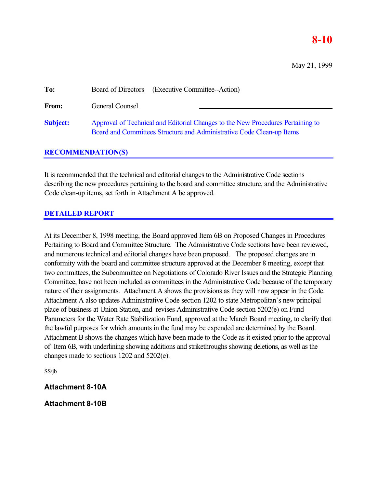# **8-10**

May 21, 1999

| To:             | Board of Directors (Executive Committee--Action)                                                                                                         |
|-----------------|----------------------------------------------------------------------------------------------------------------------------------------------------------|
| <b>From:</b>    | General Counsel                                                                                                                                          |
| <b>Subject:</b> | Approval of Technical and Editorial Changes to the New Procedures Pertaining to<br>Board and Committees Structure and Administrative Code Clean-up Items |

# **RECOMMENDATION(S)**

It is recommended that the technical and editorial changes to the Administrative Code sections describing the new procedures pertaining to the board and committee structure, and the Administrative Code clean-up items, set forth in Attachment A be approved.

# **DETAILED REPORT**

At its December 8, 1998 meeting, the Board approved Item 6B on Proposed Changes in Procedures Pertaining to Board and Committee Structure. The Administrative Code sections have been reviewed, and numerous technical and editorial changes have been proposed. The proposed changes are in conformity with the board and committee structure approved at the December 8 meeting, except that two committees, the Subcommittee on Negotiations of Colorado River Issues and the Strategic Planning Committee, have not been included as committees in the Administrative Code because of the temporary nature of their assignments. Attachment A shows the provisions as they will now appear in the Code. Attachment A also updates Administrative Code section 1202 to state Metropolitan's new principal place of business at Union Station, and revises Administrative Code section 5202(e) on Fund Parameters for the Water Rate Stabilization Fund, approved at the March Board meeting, to clarify that the lawful purposes for which amounts in the fund may be expended are determined by the Board. Attachment B shows the changes which have been made to the Code as it existed prior to the approval of Item 6B, with underlining showing additions and strikethroughs showing deletions, as well as the changes made to sections 1202 and 5202(e).

SS\jb

# **Attachment 8-10A**

**Attachment 8-10B**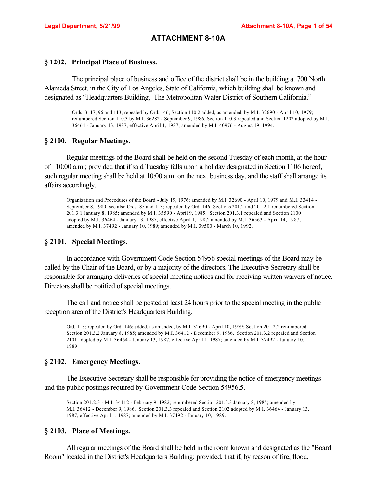# **ATTACHMENT 8-10A**

## **§ 1202. Principal Place of Business.**

The principal place of business and office of the district shall be in the building at 700 North Alameda Street, in the City of Los Angeles, State of California, which building shall be known and designated as "Headquarters Building, The Metropolitan Water District of Southern California."

Ords. 3, 17, 96 and 113; repealed by Ord. 146; Section 110.2 added, as amended, by M.I. 32690 - April 10, 1979; renumbered Section 110.3 by M.I. 36282 - September 9, 1986. Section 110.3 repealed and Section 1202 adopted by M.I. 36464 - January 13, 1987, effective April 1, 1987; amended by M.I. 40976 - August 19, 1994.

### **§ 2100. Regular Meetings.**

Regular meetings of the Board shall be held on the second Tuesday of each month, at the hour of 10:00 a.m.; provided that if said Tuesday falls upon a holiday designated in Section 1106 hereof, such regular meeting shall be held at 10:00 a.m. on the next business day, and the staff shall arrange its affairs accordingly.

Organization and Procedures of the Board - July 19, 1976; amended by M.I. 32690 - April 10, 1979 and M.I. 33414 - September 8, 1980; see also Ords. 85 and 113; repealed by Ord. 146; Sections 201.2 and 201.2.1 renumbered Section 201.3.1 January 8, 1985; amended by M.I. 35590 - April 9, 1985. Section 201.3.1 repealed and Section 2100 adopted by M.I. 36464 - January 13, 1987, effective April 1, 1987; amended by M.I. 36563 - April 14, 1987; amended by M.I. 37492 - January 10, 1989; amended by M.I. 39500 - March 10, 1992.

## **§ 2101. Special Meetings.**

In accordance with Government Code Section 54956 special meetings of the Board may be called by the Chair of the Board, or by a majority of the directors. The Executive Secretary shall be responsible for arranging deliveries of special meeting notices and for receiving written waivers of notice. Directors shall be notified of special meetings.

The call and notice shall be posted at least 24 hours prior to the special meeting in the public reception area of the District's Headquarters Building.

Ord. 113; repealed by Ord. 146; added, as amended, by M.I. 32690 - April 10, 1979; Section 201.2.2 renumbered Section 201.3.2 January 8, 1985; amended by M.I. 36412 - December 9, 1986. Section 201.3.2 repealed and Section 2101 adopted by M.I. 36464 - January 13, 1987, effective April 1, 1987; amended by M.I. 37492 - January 10, 1989.

### **§ 2102. Emergency Meetings.**

The Executive Secretary shall be responsible for providing the notice of emergency meetings and the public postings required by Government Code Section 54956.5.

Section 201.2.3 - M.I. 34112 - February 9, 1982; renumbered Section 201.3.3 January 8, 1985; amended by M.I. 36412 - December 9, 1986. Section 201.3.3 repealed and Section 2102 adopted by M.I. 36464 - January 13, 1987, effective April 1, 1987; amended by M.I. 37492 - January 10, 1989.

### **§ 2103. Place of Meetings.**

All regular meetings of the Board shall be held in the room known and designated as the "Board Room" located in the District's Headquarters Building; provided, that if, by reason of fire, flood,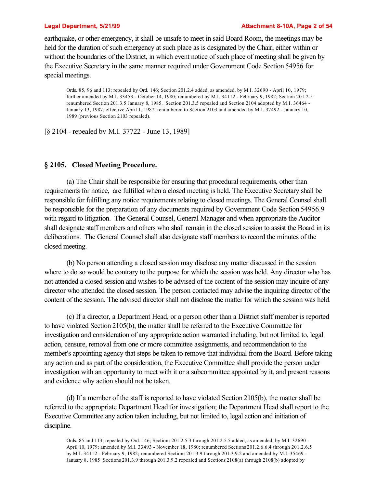### **Legal Department, 5/21/99 Attachment 8-10A, Page 2 of 54**

earthquake, or other emergency, it shall be unsafe to meet in said Board Room, the meetings may be held for the duration of such emergency at such place as is designated by the Chair, either within or without the boundaries of the District, in which event notice of such place of meeting shall be given by the Executive Secretary in the same manner required under Government Code Section 54956 for special meetings.

Ords. 85, 96 and 113; repealed by Ord. 146; Section 201.2.4 added, as amended, by M.I. 32690 - April 10, 1979; further amended by M.I. 33453 - October 14, 1980; renumbered by M.I. 34112 - February 9, 1982; Section 201.2.5 renumbered Section 201.3.5 January 8, 1985. Section 201.3.5 repealed and Section 2104 adopted by M.I. 36464 - January 13, 1987, effective April 1, 1987; renumbered to Section 2103 and amended by M.I. 37492 - January 10, 1989 (previous Section 2103 repealed).

[§ 2104 - repealed by M.I. 37722 - June 13, 1989]

# **§ 2105. Closed Meeting Procedure.**

(a) The Chair shall be responsible for ensuring that procedural requirements, other than requirements for notice, are fulfilled when a closed meeting is held. The Executive Secretary shall be responsible for fulfilling any notice requirements relating to closed meetings. The General Counsel shall be responsible for the preparation of any documents required by Government Code Section 54956.9 with regard to litigation. The General Counsel, General Manager and when appropriate the Auditor shall designate staff members and others who shall remain in the closed session to assist the Board in its deliberations. The General Counsel shall also designate staff members to record the minutes of the closed meeting.

(b) No person attending a closed session may disclose any matter discussed in the session where to do so would be contrary to the purpose for which the session was held. Any director who has not attended a closed session and wishes to be advised of the content of the session may inquire of any director who attended the closed session. The person contacted may advise the inquiring director of the content of the session. The advised director shall not disclose the matter for which the session was held.

(c) If a director, a Department Head, or a person other than a District staff member is reported to have violated Section 2105(b), the matter shall be referred to the Executive Committee for investigation and consideration of any appropriate action warranted including, but not limited to, legal action, censure, removal from one or more committee assignments, and recommendation to the member's appointing agency that steps be taken to remove that individual from the Board. Before taking any action and as part of the consideration, the Executive Committee shall provide the person under investigation with an opportunity to meet with it or a subcommittee appointed by it, and present reasons and evidence why action should not be taken.

(d) If a member of the staff is reported to have violated Section 2105(b), the matter shall be referred to the appropriate Department Head for investigation; the Department Head shall report to the Executive Committee any action taken including, but not limited to, legal action and initiation of discipline.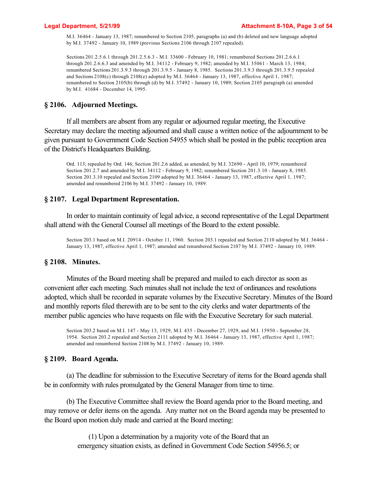M.I. 36464 - January 13, 1987; renumbered to Section 2105, paragraphs (a) and (b) deleted and new language adopted by M.I. 37492 - January 10, 1989 (previous Sections 2106 through 2107 repealed).

Sections 201.2.5.6.1 through 201.2.5.6.3 - M.I. 33600 - February 10, 1981; renumbered Sections 201.2.6.6.1 through 201.2.6.6.3 and amended by M.I. 34112 - February 9, 1982; amended by M.I. 35061 - March 13, 1984; renumbered Sections 201.3.9.3 through 201.3.9.5 - January 8, 1985. Sections 201.3.9.3 through 201.3.9.5 repealed and Sections 2108(c) through 2108(e) adopted by M.I. 36464 - January 13, 1987, effective April 1, 1987; renumbered to Section 2105(b) through (d) by M.I. 37492 - January 10, 1989; Section 2105 paragraph (a) amended by M.I. 41684 - December 14, 1995.

# **§ 2106. Adjourned Meetings.**

If all members are absent from any regular or adjourned regular meeting, the Executive Secretary may declare the meeting adjourned and shall cause a written notice of the adjournment to be given pursuant to Government Code Section 54955 which shall be posted in the public reception area of the District's Headquarters Building.

Ord. 113; repealed by Ord. 146; Section 201.2.6 added, as amended, by M.I. 32690 - April 10, 1979; renumbered Section 201.2.7 and amended by M.I. 34112 - February 9, 1982; renumbered Section 201.3.10 - January 8, 1985. Section 201.3.10 repealed and Section 2109 adopted by M.I. 36464 - January 13, 1987, effective April 1, 1987; amended and renumbered 2106 by M.I. 37492 - January 10, 1989.

# **§ 2107. Legal Department Representation.**

In order to maintain continuity of legal advice, a second representative of the Legal Department shall attend with the General Counsel all meetings of the Board to the extent possible.

Section 203.1 based on M.I. 20914 - October 11, 1960. Section 203.1 repealed and Section 2110 adopted by M.I. 36464 - January 13, 1987, effective April 1, 1987; amended and renumbered Section 2107 by M.I. 37492 - January 10, 1989.

## **§ 2108. Minutes.**

Minutes of the Board meeting shall be prepared and mailed to each director as soon as convenient after each meeting. Such minutes shall not include the text of ordinances and resolutions adopted, which shall be recorded in separate volumes by the Executive Secretary. Minutes of the Board and monthly reports filed therewith are to be sent to the city clerks and water departments of the member public agencies who have requests on file with the Executive Secretary for such material.

Section 203.2 based on M.I. 147 - May 13, 1929, M.I. 435 - December 27, 1929, and M.I. 15950 - September 28, 1954. Section 203.2 repealed and Section 2111 adopted by M.I. 36464 - January 13, 1987, effective April 1, 1987; amended and renumbered Section 2108 by M.I. 37492 - January 10, 1989.

## **§ 2109. Board Agenda.**

(a) The deadline for submission to the Executive Secretary of items for the Board agenda shall be in conformity with rules promulgated by the General Manager from time to time.

(b) The Executive Committee shall review the Board agenda prior to the Board meeting, and may remove or defer items on the agenda. Any matter not on the Board agenda may be presented to the Board upon motion duly made and carried at the Board meeting:

> (1) Upon a determination by a majority vote of the Board that an emergency situation exists, as defined in Government Code Section 54956.5; or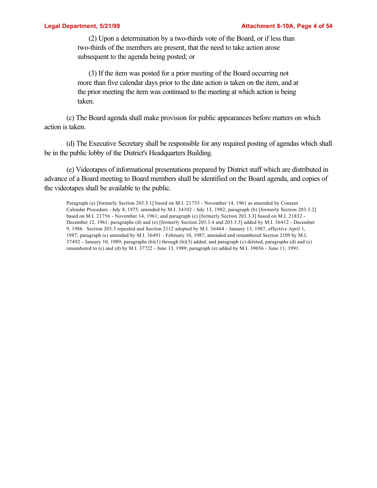(2) Upon a determination by a two-thirds vote of the Board, or if less than two-thirds of the members are present, that the need to take action arose subsequent to the agenda being posted; or

(3) If the item was posted for a prior meeting of the Board occurring not more than five calendar days prior to the date action is taken on the item, and at the prior meeting the item was continued to the meeting at which action is being taken.

(c) The Board agenda shall make provision for public appearances before matters on which action is taken.

(d) The Executive Secretary shall be responsible for any required posting of agendas which shall be in the public lobby of the District's Headquarters Building.

(e) Videotapes of informational presentations prepared by District staff which are distributed in advance of a Board meeting to Board members shall be identified on the Board agenda, and copies of the videotapes shall be available to the public.

Paragraph (a) [formerly Section 203.3.1] based on M.I. 21755 - November 14, 1961 as amended by Consent Calendar Procedure - July 8, 1975; amended by M.I. 34302 - July 13, 1982; paragraph (b) [formerly Section 203.3.2] based on M.I. 21756 - November 14, 1961; and paragraph (c) [formerly Section 203.3.3] based on M.I. 21832 -December 12, 1961; paragraphs (d) and (e) [formerly Section 203.3.4 and 203.3.5] added by M.I. 36412 - December 9, 1986. Section 203.3 repealed and Section 2112 adopted by M.I. 36464 - January 13, 1987, effective April 1, 1987; paragraph (e) amended by M.I. 36491 - February 10, 1987; amended and renumbered Section 2109 by M.I.  $37492$  - January 10, 1989; paragraphs (b)(1) through (b)(3) added, and paragraph (c) deleted, paragraphs (d) and (e) renumbered to (c) and (d) by M.I. 37722 - June 13, 1989; paragraph (e) added by M.I. 39036 - June 11, 1991.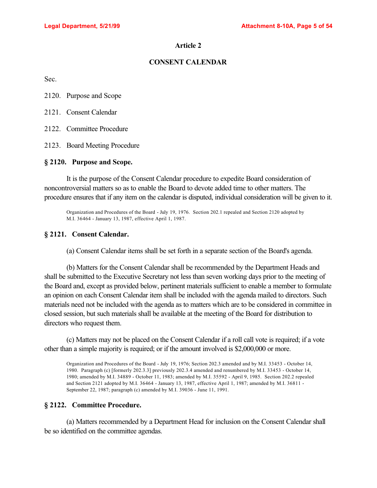# **CONSENT CALENDAR**

Sec.

2120. Purpose and Scope

2121. Consent Calendar

2122. Committee Procedure

2123. Board Meeting Procedure

## **§ 2120. Purpose and Scope.**

It is the purpose of the Consent Calendar procedure to expedite Board consideration of noncontroversial matters so as to enable the Board to devote added time to other matters. The procedure ensures that if any item on the calendar is disputed, individual consideration will be given to it.

Organization and Procedures of the Board - July 19, 1976. Section 202.1 repealed and Section 2120 adopted by M.I. 36464 - January 13, 1987, effective April 1, 1987.

## **§ 2121. Consent Calendar.**

(a) Consent Calendar items shall be set forth in a separate section of the Board's agenda.

(b) Matters for the Consent Calendar shall be recommended by the Department Heads and shall be submitted to the Executive Secretary not less than seven working days prior to the meeting of the Board and, except as provided below, pertinent materials sufficient to enable a member to formulate an opinion on each Consent Calendar item shall be included with the agenda mailed to directors. Such materials need not be included with the agenda as to matters which are to be considered in committee in closed session, but such materials shall be available at the meeting of the Board for distribution to directors who request them.

(c) Matters may not be placed on the Consent Calendar if a roll call vote is required; if a vote other than a simple majority is required; or if the amount involved is \$2,000,000 or more.

Organization and Procedures of the Board - July 19, 1976; Section 202.3 amended and by M.I. 33453 - October 14, 1980. Paragraph (c) [formerly 202.3.3] previously 202.3.4 amended and renumbered by M.I. 33453 - October 14, 1980; amended by M.I. 34889 - October 11, 1983; amended by M.I. 35592 - April 9, 1985. Section 202.2 repealed and Section 2121 adopted by M.I. 36464 - January 13, 1987, effective April 1, 1987; amended by M.I. 36811 - September 22, 1987; paragraph (c) amended by M.I. 39036 - June 11, 1991.

# **§ 2122. Committee Procedure.**

(a) Matters recommended by a Department Head for inclusion on the Consent Calendar shall be so identified on the committee agendas.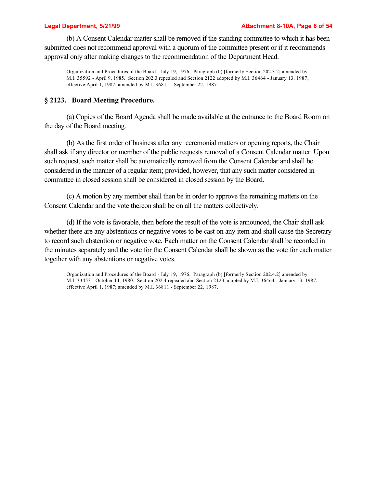### **Legal Department, 5/21/99 Attachment 8-10A, Page 6 of 54**

(b) A Consent Calendar matter shall be removed if the standing committee to which it has been submitted does not recommend approval with a quorum of the committee present or if it recommends approval only after making changes to the recommendation of the Department Head.

Organization and Procedures of the Board - July 19, 1976. Paragraph (b) [formerly Section 202.3.2] amended by M.I. 35592 - April 9, 1985. Section 202.3 repealed and Section 2122 adopted by M.I. 36464 - January 13, 1987, effective April 1, 1987; amended by M.I. 36811 - September 22, 1987.

## **§ 2123. Board Meeting Procedure.**

(a) Copies of the Board Agenda shall be made available at the entrance to the Board Room on the day of the Board meeting.

(b) As the first order of business after any ceremonial matters or opening reports, the Chair shall ask if any director or member of the public requests removal of a Consent Calendar matter. Upon such request, such matter shall be automatically removed from the Consent Calendar and shall be considered in the manner of a regular item; provided, however, that any such matter considered in committee in closed session shall be considered in closed session by the Board.

(c) A motion by any member shall then be in order to approve the remaining matters on the Consent Calendar and the vote thereon shall be on all the matters collectively.

(d) If the vote is favorable, then before the result of the vote is announced, the Chair shall ask whether there are any abstentions or negative votes to be cast on any item and shall cause the Secretary to record such abstention or negative vote. Each matter on the Consent Calendar shall be recorded in the minutes separately and the vote for the Consent Calendar shall be shown as the vote for each matter together with any abstentions or negative votes.

Organization and Procedures of the Board - July 19, 1976. Paragraph (b) [formerly Section 202.4.2] amended by M.I. 33453 - October 14, 1980. Section 202.4 repealed and Section 2123 adopted by M.I. 36464 - January 13, 1987, effective April 1, 1987; amended by M.I. 36811 - September 22, 1987.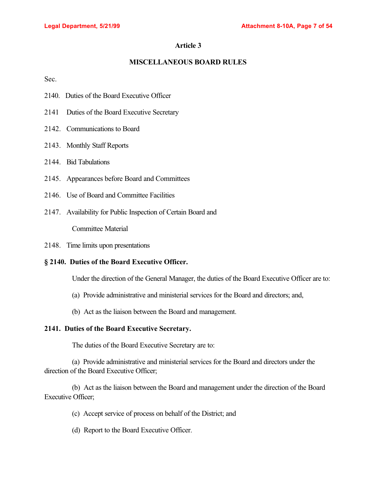# **MISCELLANEOUS BOARD RULES**

Sec.

- 2140. Duties of the Board Executive Officer
- 2141 Duties of the Board Executive Secretary
- 2142. Communications to Board
- 2143. Monthly Staff Reports
- 2144. Bid Tabulations
- 2145. Appearances before Board and Committees
- 2146. Use of Board and Committee Facilities
- 2147. Availability for Public Inspection of Certain Board and

Committee Material

2148. Time limits upon presentations

## **§ 2140. Duties of the Board Executive Officer.**

Under the direction of the General Manager, the duties of the Board Executive Officer are to:

- (a) Provide administrative and ministerial services for the Board and directors; and,
- (b) Act as the liaison between the Board and management.

# **2141. Duties of the Board Executive Secretary.**

The duties of the Board Executive Secretary are to:

(a) Provide administrative and ministerial services for the Board and directors under the direction of the Board Executive Officer;

(b) Act as the liaison between the Board and management under the direction of the Board Executive Officer;

- (c) Accept service of process on behalf of the District; and
- (d) Report to the Board Executive Officer.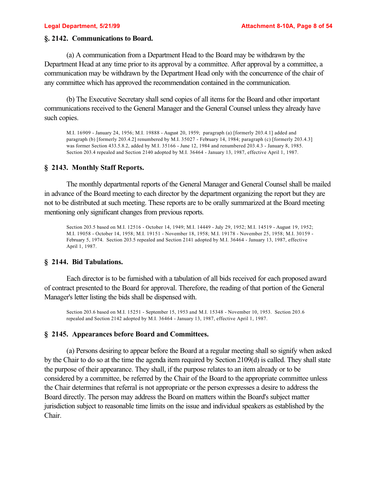## **§. 2142. Communications to Board.**

(a) A communication from a Department Head to the Board may be withdrawn by the Department Head at any time prior to its approval by a committee. After approval by a committee, a communication may be withdrawn by the Department Head only with the concurrence of the chair of any committee which has approved the recommendation contained in the communication.

(b) The Executive Secretary shall send copies of all items for the Board and other important communications received to the General Manager and the General Counsel unless they already have such copies.

M.I. 16909 - January 24, 1956; M.I. 19888 - August 20, 1959; paragraph (a) [formerly 203.4.1] added and paragraph (b) [formerly 203.4.2] renumbered by M.I. 35027 - February 14, 1984; paragraph (c) [formerly 203.4.3] was former Section 433.5.8.2, added by M.I. 35166 - June 12, 1984 and renumbered 203.4.3 - January 8, 1985. Section 203.4 repealed and Section 2140 adopted by M.I. 36464 - January 13, 1987, effective April 1, 1987.

# **§ 2143. Monthly Staff Reports.**

The monthly departmental reports of the General Manager and General Counsel shall be mailed in advance of the Board meeting to each director by the department organizing the report but they are not to be distributed at such meeting. These reports are to be orally summarized at the Board meeting mentioning only significant changes from previous reports.

Section 203.5 based on M.I. 12516 - October 14, 1949; M.I. 14449 - July 29, 1952; M.I. 14519 - August 19, 1952; M.I. 19058 - October 14, 1958; M.I. 19151 - November 18, 1958; M.I. 19178 - November 25, 1958; M.I. 30159 - February 5, 1974. Section 203.5 repealed and Section 2141 adopted by M.I. 36464 - January 13, 1987, effective April 1, 1987.

## **§ 2144. Bid Tabulations.**

Each director is to be furnished with a tabulation of all bids received for each proposed award of contract presented to the Board for approval. Therefore, the reading of that portion of the General Manager's letter listing the bids shall be dispensed with.

Section 203.6 based on M.I. 15251 - September 15, 1953 and M.I. 15348 - November 10, 1953. Section 203.6 repealed and Section 2142 adopted by M.I. 36464 - January 13, 1987, effective April 1, 1987.

## **§ 2145. Appearances before Board and Committees.**

(a) Persons desiring to appear before the Board at a regular meeting shall so signify when asked by the Chair to do so at the time the agenda item required by Section 2109(d) is called. They shall state the purpose of their appearance. They shall, if the purpose relates to an item already or to be considered by a committee, be referred by the Chair of the Board to the appropriate committee unless the Chair determines that referral is not appropriate or the person expresses a desire to address the Board directly. The person may address the Board on matters within the Board's subject matter jurisdiction subject to reasonable time limits on the issue and individual speakers as established by the Chair.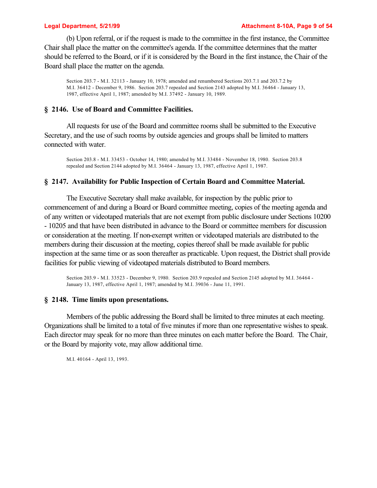(b) Upon referral, or if the request is made to the committee in the first instance, the Committee Chair shall place the matter on the committee's agenda. If the committee determines that the matter should be referred to the Board, or if it is considered by the Board in the first instance, the Chair of the Board shall place the matter on the agenda.

Section 203.7 - M.I. 32113 - January 10, 1978; amended and renumbered Sections 203.7.1 and 203.7.2 by M.I. 36412 - December 9, 1986. Section 203.7 repealed and Section 2143 adopted by M.I. 36464 - January 13, 1987, effective April 1, 1987; amended by M.I. 37492 - January 10, 1989.

## **§ 2146. Use of Board and Committee Facilities.**

All requests for use of the Board and committee rooms shall be submitted to the Executive Secretary, and the use of such rooms by outside agencies and groups shall be limited to matters connected with water.

Section 203.8 - M.I. 33453 - October 14, 1980; amended by M.I. 33484 - November 18, 1980. Section 203.8 repealed and Section 2144 adopted by M.I. 36464 - January 13, 1987, effective April 1, 1987.

### **§ 2147. Availability for Public Inspection of Certain Board and Committee Material.**

The Executive Secretary shall make available, for inspection by the public prior to commencement of and during a Board or Board committee meeting, copies of the meeting agenda and of any written or videotaped materials that are not exempt from public disclosure under Sections 10200 - 10205 and that have been distributed in advance to the Board or committee members for discussion or consideration at the meeting. If non-exempt written or videotaped materials are distributed to the members during their discussion at the meeting, copies thereof shall be made available for public inspection at the same time or as soon thereafter as practicable. Upon request, the District shall provide facilities for public viewing of videotaped materials distributed to Board members.

Section 203.9 - M.I. 33523 - December 9, 1980. Section 203.9 repealed and Section 2145 adopted by M.I. 36464 - January 13, 1987, effective April 1, 1987; amended by M.I. 39036 - June 11, 1991.

## **§ 2148. Time limits upon presentations.**

Members of the public addressing the Board shall be limited to three minutes at each meeting. Organizations shall be limited to a total of five minutes if more than one representative wishes to speak. Each director may speak for no more than three minutes on each matter before the Board. The Chair, or the Board by majority vote, may allow additional time.

M.I. 40164 - April 13, 1993.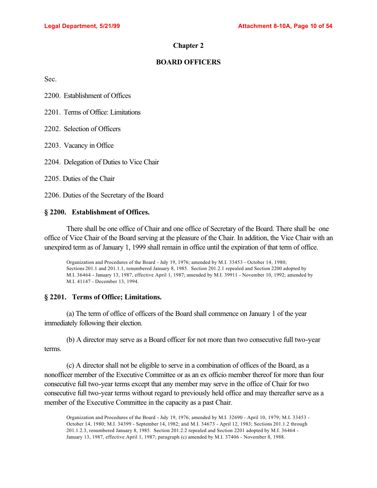## **Chapter 2**

## **BOARD OFFICERS**

Sec.

2200. Establishment of Offices

2201. Terms of Office: Limitations

2202. Selection of Officers

2203. Vacancy in Office

2204. Delegation of Duties to Vice Chair

2205. Duties of the Chair

2206. Duties of the Secretary of the Board

## **§ 2200. Establishment of Offices.**

There shall be one office of Chair and one office of Secretary of the Board. There shall be one office of Vice Chair of the Board serving at the pleasure of the Chair. In addition, the Vice Chair with an unexpired term as of January 1, 1999 shall remain in office until the expiration of that term of office.

Organization and Procedures of the Board - July 19, 1976; amended by M.I. 33453 - October 14, 1980; Sections 201.1 and 201.1.1, renumbered January 8, 1985. Section 201.2.1 repealed and Section 2200 adopted by M.I. 36464 - January 13, 1987, effective April 1, 1987; amended by M.I. 39911 - November 10, 1992; amended by M.I. 41147 - December 13, 1994.

## **§ 2201. Terms of Office; Limitations.**

(a) The term of office of officers of the Board shall commence on January 1 of the year immediately following their election.

(b) A director may serve as a Board officer for not more than two consecutive full two-year terms.

(c) A director shall not be eligible to serve in a combination of offices of the Board, as a nonofficer member of the Executive Committee or as an ex officio member thereof for more than four consecutive full two-year terms except that any member may serve in the office of Chair for two consecutive full two-year terms without regard to previously held office and may thereafter serve as a member of the Executive Committee in the capacity as a past Chair.

Organization and Procedures of the Board - July 19, 1976; amended by M.I. 32690 - April 10, 1979; M.I. 33453 - October 14, 1980; M.I. 34399 - September 14, 1982; and M.I. 34673 - April 12, 1983; Sections 201.1.2 through 201.1.2.3, renumbered January 8, 1985. Section 201.2.2 repealed and Section 2201 adopted by M.I. 36464 - January 13, 1987, effective April 1, 1987; paragraph (c) amended by M.I. 37406 - November 8, 1988.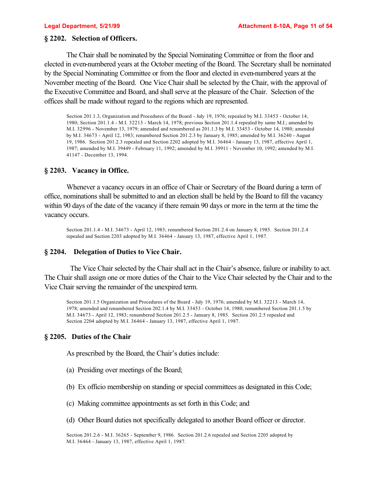## **§ 2202. Selection of Officers.**

The Chair shall be nominated by the Special Nominating Committee or from the floor and elected in even-numbered years at the October meeting of the Board. The Secretary shall be nominated by the Special Nominating Committee or from the floor and elected in even-numbered years at the November meeting of the Board. One Vice Chair shall be selected by the Chair, with the approval of the Executive Committee and Board, and shall serve at the pleasure of the Chair. Selection of the offices shall be made without regard to the regions which are represented.

Section 201.1.3, Organization and Procedures of the Board - July 19, 1976; repealed by M.I. 33453 - October 14, 1980; Section 201.1.4 - M.I. 32213 - March 14, 1978; previous Section 201.1.4 repealed by same M.I.; amended by M.I. 32996 - November 13, 1979; amended and renumbered as 201.1.3 by M.I. 33453 - October 14, 1980; amended by M.I. 34673 - April 12, 1983; renumbered Section 201.2.3 by January 8, 1985; amended by M.I. 36240 - August 19, 1986. Section 201.2.3 repealed and Section 2202 adopted by M.I. 36464 - January 13, 1987, effective April 1, 1987; amended by M.I. 39449 - February 11, 1992; amended by M.I. 39911 - November 10, 1992; amended by M.I. 41147 - December 13, 1994.

## **§ 2203. Vacancy in Office.**

Whenever a vacancy occurs in an office of Chair or Secretary of the Board during a term of office, nominations shall be submitted to and an election shall be held by the Board to fill the vacancy within 90 days of the date of the vacancy if there remain 90 days or more in the term at the time the vacancy occurs.

Section 201.1.4 - M.I. 34673 - April 12, 1983; renumbered Section 201.2.4 on January 8, 1985. Section 201.2.4 repealed and Section 2203 adopted by M.I. 36464 - January 13, 1987, effective April 1, 1987.

## **§ 2204. Delegation of Duties to Vice Chair.**

 The Vice Chair selected by the Chair shall act in the Chair's absence, failure or inability to act. The Chair shall assign one or more duties of the Chair to the Vice Chair selected by the Chair and to the Vice Chair serving the remainder of the unexpired term.

Section 201.1.5 Organization and Procedures of the Board - July 19, 1976; amended by M.I. 32213 - March 14, 1978; amended and renumbered Section 202.1.4 by M.I. 33453 - October 14, 1980; renumbered Section 201.1.5 by M.I. 34673 - April 12, 1983; renumbered Section 201.2.5 - January 8, 1985. Section 201.2.5 repealed and Section 2204 adopted by M.I. 36464 - January 13, 1987, effective April 1, 1987.

## **§ 2205. Duties of the Chair**

As prescribed by the Board, the Chair's duties include:

- (a) Presiding over meetings of the Board;
- (b) Ex officio membership on standing or special committees as designated in this Code;
- (c) Making committee appointments as set forth in this Code; and
- (d) Other Board duties not specifically delegated to another Board officer or director.

Section 201.2.6 - M.I. 36265 - September 9, 1986. Section 201.2.6 repealed and Section 2205 adopted by M.I. 36464 - January 13, 1987, effective April 1, 1987.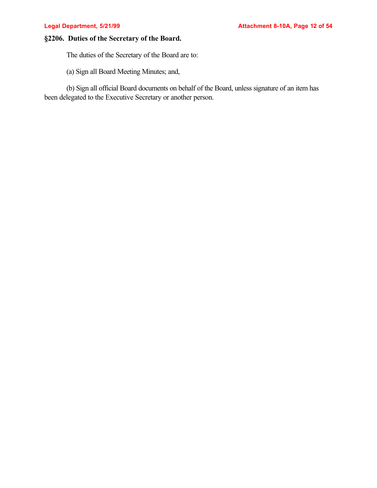# **§2206. Duties of the Secretary of the Board.**

The duties of the Secretary of the Board are to:

(a) Sign all Board Meeting Minutes; and,

(b) Sign all official Board documents on behalf of the Board, unless signature of an item has been delegated to the Executive Secretary or another person.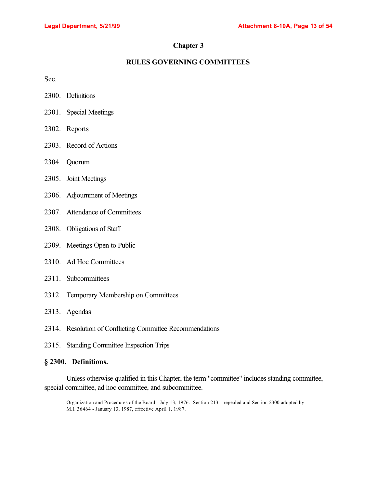# **Chapter 3**

# **RULES GOVERNING COMMITTEES**

Sec.

- 2300. Definitions
- 2301. Special Meetings
- 2302. Reports
- 2303. Record of Actions
- 2304. Quorum
- 2305. Joint Meetings
- 2306. Adjournment of Meetings
- 2307. Attendance of Committees
- 2308. Obligations of Staff
- 2309. Meetings Open to Public
- 2310. Ad Hoc Committees
- 2311. Subcommittees
- 2312. Temporary Membership on Committees
- 2313. Agendas
- 2314. Resolution of Conflicting Committee Recommendations
- 2315. Standing Committee Inspection Trips

## **§ 2300. Definitions.**

Unless otherwise qualified in this Chapter, the term "committee" includes standing committee, special committee, ad hoc committee, and subcommittee.

Organization and Procedures of the Board - July 13, 1976. Section 213.1 repealed and Section 2300 adopted by M.I. 36464 - January 13, 1987, effective April 1, 1987.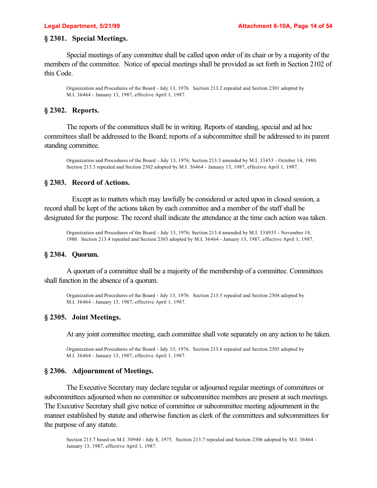# **§ 2301. Special Meetings.**

Special meetings of any committee shall be called upon order of its chair or by a majority of the members of the committee. Notice of special meetings shall be provided as set forth in Section 2102 of this Code.

Organization and Procedures of the Board - July 13, 1976. Section 213.2 repealed and Section 2301 adopted by M.I. 36464 - January 13, 1987, effective April 1, 1987.

## **§ 2302. Reports.**

The reports of the committees shall be in writing. Reports of standing, special and ad hoc committees shall be addressed to the Board; reports of a subcommittee shall be addressed to its parent standing committee.

Organization and Procedures of the Board - July 13, 1976; Section 213.3 amended by M.I. 33453 - October 14, 1980. Section 213.3 repealed and Section 2302 adopted by M.I. 36464 - January 13, 1987, effective April 1, 1987.

## **§ 2303. Record of Actions.**

Except as to matters which may lawfully be considered or acted upon in closed session, a record shall be kept of the actions taken by each committee and a member of the staff shall be designated for the purpose. The record shall indicate the attendance at the time each action was taken.

Organization and Procedures of the Board - July 13, 1976; Section 213.4 amended by M.I. 334935 - November 18, 1980. Section 213.4 repealed and Section 2303 adopted by M.I. 36464 - January 13, 1987, effective April 1, 1987.

## **§ 2304. Quorum.**

A quorum of a committee shall be a majority of the membership of a committee. Committees shall function in the absence of a quorum.

Organization and Procedures of the Board - July 13, 1976. Section 213.5 repealed and Section 2304 adopted by M.I. 36464 - January 13, 1987, effective April 1, 1987.

## **§ 2305. Joint Meetings.**

At any joint committee meeting, each committee shall vote separately on any action to be taken.

Organization and Procedures of the Board - July 13, 1976. Section 213.6 repealed and Section 2305 adopted by M.I. 36464 - January 13, 1987, effective April 1, 1987.

### **§ 2306. Adjournment of Meetings.**

The Executive Secretary may declare regular or adjourned regular meetings of committees or subcommittees adjourned when no committee or subcommittee members are present at such meetings. The Executive Secretary shall give notice of committee or subcommittee meeting adjournment in the manner established by statute and otherwise function as clerk of the committees and subcommittees for the purpose of any statute.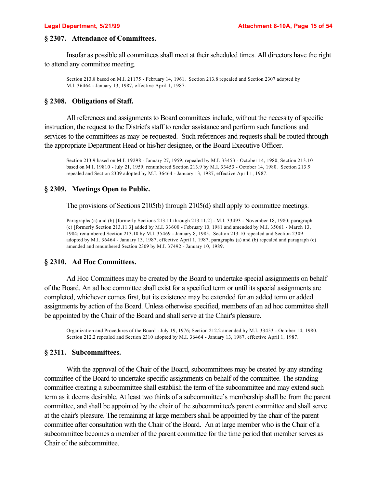## **§ 2307. Attendance of Committees.**

Insofar as possible all committees shall meet at their scheduled times. All directors have the right to attend any committee meeting.

Section 213.8 based on M.I. 21175 - February 14, 1961. Section 213.8 repealed and Section 2307 adopted by M.I. 36464 - January 13, 1987, effective April 1, 1987.

## **§ 2308. Obligations of Staff.**

All references and assignments to Board committees include, without the necessity of specific instruction, the request to the District's staff to render assistance and perform such functions and services to the committees as may be requested. Such references and requests shall be routed through the appropriate Department Head or his/her designee, or the Board Executive Officer.

Section 213.9 based on M.I. 19298 - January 27, 1959; repealed by M.I. 33453 - October 14, 1980; Section 213.10 based on M.I. 19810 - July 21, 1959; renumbered Section 213.9 by M.I. 33453 - October 14, 1980. Section 213.9 repealed and Section 2309 adopted by M.I. 36464 - January 13, 1987, effective April 1, 1987.

## **§ 2309. Meetings Open to Public.**

The provisions of Sections 2105(b) through 2105(d) shall apply to committee meetings.

Paragraphs (a) and (b) [formerly Sections 213.11 through 213.11.2] - M.I. 33493 - November 18, 1980; paragraph (c) [formerly Section 213.11.3] added by M.I. 33600 - February 10, 1981 and amended by M.I. 35061 - March 13, 1984; renumbered Section 213.10 by M.I. 35469 - January 8, 1985. Section 213.10 repealed and Section 2309 adopted by M.I. 36464 - January 13, 1987, effective April 1, 1987; paragraphs (a) and (b) repealed and paragraph (c) amended and renumbered Section 2309 by M.I. 37492 - January 10, 1989.

## **§ 2310. Ad Hoc Committees.**

Ad Hoc Committees may be created by the Board to undertake special assignments on behalf of the Board. An ad hoc committee shall exist for a specified term or until its special assignments are completed, whichever comes first, but its existence may be extended for an added term or added assignments by action of the Board. Unless otherwise specified, members of an ad hoc committee shall be appointed by the Chair of the Board and shall serve at the Chair's pleasure.

Organization and Procedures of the Board - July 19, 1976; Section 212.2 amended by M.I. 33453 - October 14, 1980. Section 212.2 repealed and Section 2310 adopted by M.I. 36464 - January 13, 1987, effective April 1, 1987.

### **§ 2311. Subcommittees.**

With the approval of the Chair of the Board, subcommittees may be created by any standing committee of the Board to undertake specific assignments on behalf of the committee. The standing committee creating a subcommittee shall establish the term of the subcommittee and may extend such term as it deems desirable. At least two thirds of a subcommittee's membership shall be from the parent committee, and shall be appointed by the chair of the subcommittee's parent committee and shall serve at the chair's pleasure. The remaining at large members shall be appointed by the chair of the parent committee after consultation with the Chair of the Board. An at large member who is the Chair of a subcommittee becomes a member of the parent committee for the time period that member serves as Chair of the subcommittee.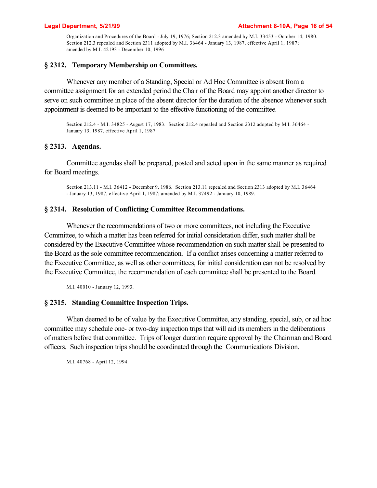Organization and Procedures of the Board - July 19, 1976; Section 212.3 amended by M.I. 33453 - October 14, 1980. Section 212.3 repealed and Section 2311 adopted by M.I. 36464 - January 13, 1987, effective April 1, 1987; amended by M.I. 42193 - December 10, 1996

# **§ 2312. Temporary Membership on Committees.**

Whenever any member of a Standing, Special or Ad Hoc Committee is absent from a committee assignment for an extended period the Chair of the Board may appoint another director to serve on such committee in place of the absent director for the duration of the absence whenever such appointment is deemed to be important to the effective functioning of the committee.

Section 212.4 - M.I. 34825 - August 17, 1983. Section 212.4 repealed and Section 2312 adopted by M.I. 36464 - January 13, 1987, effective April 1, 1987.

# **§ 2313. Agendas.**

Committee agendas shall be prepared, posted and acted upon in the same manner as required for Board meetings.

Section 213.11 - M.I. 36412 - December 9, 1986. Section 213.11 repealed and Section 2313 adopted by M.I. 36464 - January 13, 1987, effective April 1, 1987; amended by M.I. 37492 - January 10, 1989.

## **§ 2314. Resolution of Conflicting Committee Recommendations.**

Whenever the recommendations of two or more committees, not including the Executive Committee, to which a matter has been referred for initial consideration differ, such matter shall be considered by the Executive Committee whose recommendation on such matter shall be presented to the Board as the sole committee recommendation. If a conflict arises concerning a matter referred to the Executive Committee, as well as other committees, for initial consideration can not be resolved by the Executive Committee, the recommendation of each committee shall be presented to the Board.

M.I. 40010 - January 12, 1993.

## **§ 2315. Standing Committee Inspection Trips.**

When deemed to be of value by the Executive Committee, any standing, special, sub, or ad hoc committee may schedule one- or two-day inspection trips that will aid its members in the deliberations of matters before that committee. Trips of longer duration require approval by the Chairman and Board officers. Such inspection trips should be coordinated through the Communications Division.

M.I. 40768 - April 12, 1994.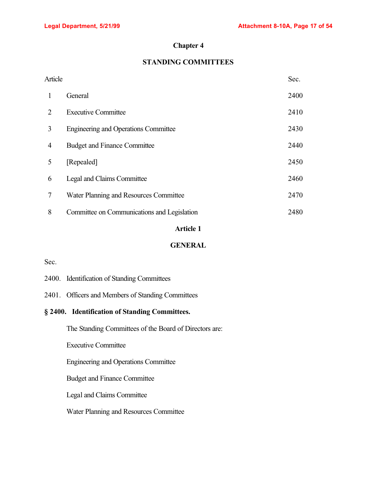# **Chapter 4**

# **STANDING COMMITTEES**

| Article                     |                                             | Sec. |
|-----------------------------|---------------------------------------------|------|
| 1                           | General                                     | 2400 |
| $\mathcal{D}_{\mathcal{L}}$ | <b>Executive Committee</b>                  | 2410 |
| 3                           | <b>Engineering and Operations Committee</b> | 2430 |
| 4                           | <b>Budget and Finance Committee</b>         | 2440 |
| 5                           | [Repealed]                                  | 2450 |
| 6                           | Legal and Claims Committee                  | 2460 |
| 7                           | Water Planning and Resources Committee      | 2470 |
| 8                           | Committee on Communications and Legislation | 2480 |
|                             |                                             |      |

# **Article 1**

# **GENERAL**

Sec.

|  |  | 2400. Identification of Standing Committees |
|--|--|---------------------------------------------|
|--|--|---------------------------------------------|

2401. Officers and Members of Standing Committees

# **§ 2400. Identification of Standing Committees.**

The Standing Committees of the Board of Directors are:

Executive Committee

Engineering and Operations Committee

Budget and Finance Committee

Legal and Claims Committee

Water Planning and Resources Committee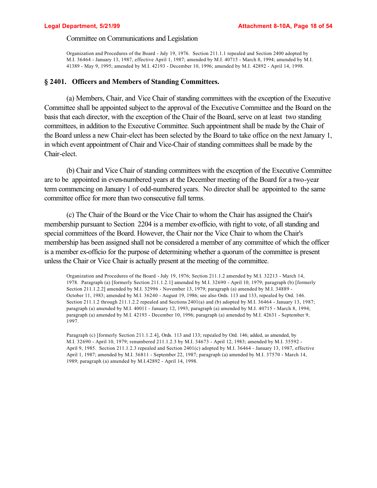## Committee on Communications and Legislation

Organization and Procedures of the Board - July 19, 1976. Section 211.1.1 repealed and Section 2400 adopted by M.I. 36464 - January 13, 1987, effective April 1, 1987; amended by M.I. 40715 - March 8, 1994; amended by M.I. 41389 - May 9, 1995; amended by M.I. 42193 - December 10, 1996; amended by M.I. 42892 - April 14, 1998.

## **§ 2401. Officers and Members of Standing Committees.**

(a) Members, Chair, and Vice Chair of standing committees with the exception of the Executive Committee shall be appointed subject to the approval of the Executive Committee and the Board on the basis that each director, with the exception of the Chair of the Board, serve on at least two standing committees, in addition to the Executive Committee. Such appointment shall be made by the Chair of the Board unless a new Chair-elect has been selected by the Board to take office on the next January 1, in which event appointment of Chair and Vice-Chair of standing committees shall be made by the Chair-elect.

(b) Chair and Vice Chair of standing committees with the exception of the Executive Committee are to be appointed in even-numbered years at the December meeting of the Board for a two-year term commencing on January 1 of odd-numbered years. No director shall be appointed to the same committee office for more than two consecutive full terms.

(c) The Chair of the Board or the Vice Chair to whom the Chair has assigned the Chair's membership pursuant to Section 2204 is a member ex-officio, with right to vote, of all standing and special committees of the Board. However, the Chair nor the Vice Chair to whom the Chair's membership has been assigned shall not be considered a member of any committee of which the officer is a member ex-officio for the purpose of determining whether a quorum of the committee is present unless the Chair or Vice Chair is actually present at the meeting of the committee.

Organization and Procedures of the Board - July 19, 1976; Section 211.1.2 amended by M.I. 32213 - March 14, 1978. Paragraph (a) [formerly Section 211.1.2.1] amended by M.I. 32690 - April 10, 1979; paragraph (b) [formerly Section 211.1.2.2] amended by M.I. 32996 - November 13, 1979; paragraph (a) amended by M.I. 34889 - October 11, 1983; amended by M.I. 36240 - August 19, 1986; see also Ords. 113 and 133, repealed by Ord. 146. Section 211.1.2 through 211.1.2.2 repealed and Sections 2401(a) and (b) adopted by M.I. 36464 - January 13, 1987; paragraph (a) amended by M.I. 40011 - January 12, 1993; paragraph (a) amended by M.I. 40715 - March 8, 1994; paragraph (a) amended by M.I. 42193 - December 10, 1996; paragraph (a) amended by M.I. 42631 - September 9, 1997.

Paragraph (c) [formerly Section 211.1.2.4], Ords. 113 and 133; repealed by Ord. 146; added, as amended, by M.I. 32690 - April 10, 1979; renumbered 211.1.2.3 by M.I. 34673 - April 12, 1983; amended by M.I. 35592 -April 9, 1985. Section 211.1.2.3 repealed and Section 2401(c) adopted by M.I. 36464 - January 13, 1987, effective April 1, 1987; amended by M.I. 36811 - September 22, 1987; paragraph (a) amended by M.I. 37570 - March 14, 1989; paragraph (a) amended by M.I.42892 - April 14, 1998.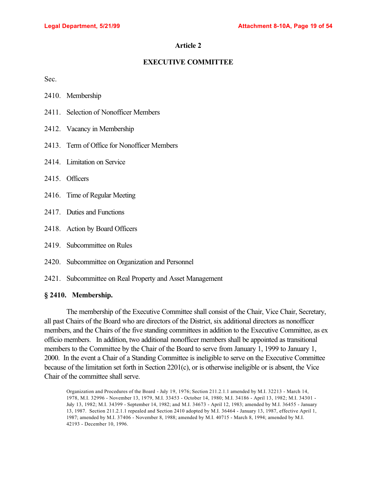# **EXECUTIVE COMMITTEE**

Sec.

- 2411. Selection of Nonofficer Members
- 2412. Vacancy in Membership
- 2413. Term of Office for Nonofficer Members
- 2414. Limitation on Service
- 2415. Officers
- 2416. Time of Regular Meeting
- 2417. Duties and Functions
- 2418. Action by Board Officers
- 2419. Subcommittee on Rules
- 2420. Subcommittee on Organization and Personnel
- 2421. Subcommittee on Real Property and Asset Management

# **§ 2410. Membership.**

The membership of the Executive Committee shall consist of the Chair, Vice Chair, Secretary, all past Chairs of the Board who are directors of the District, six additional directors as nonofficer members, and the Chairs of the five standing committees in addition to the Executive Committee, as ex officio members. In addition, two additional nonofficer members shall be appointed as transitional members to the Committee by the Chair of the Board to serve from January 1, 1999 to January 1, 2000. In the event a Chair of a Standing Committee is ineligible to serve on the Executive Committee because of the limitation set forth in Section 2201(c), or is otherwise ineligible or is absent, the Vice Chair of the committee shall serve.

Organization and Procedures of the Board - July 19, 1976; Section 211.2.1.1 amended by M.I. 32213 - March 14, 1978, M.I. 32996 - November 13, 1979, M.I. 33453 - October 14, 1980; M.I. 34186 - April 13, 1982; M.I. 34301 - July 13, 1982; M.I. 34399 - September 14, 1982; and M.I. 34673 - April 12, 1983; amended by M.I. 36455 - January 13, 1987. Section 211.2.1.1 repealed and Section 2410 adopted by M.I. 36464 - January 13, 1987, effective April 1, 1987; amended by M.I. 37406 - November 8, 1988; amended by M.I. 40715 - March 8, 1994; amended by M.I. 42193 - December 10, 1996.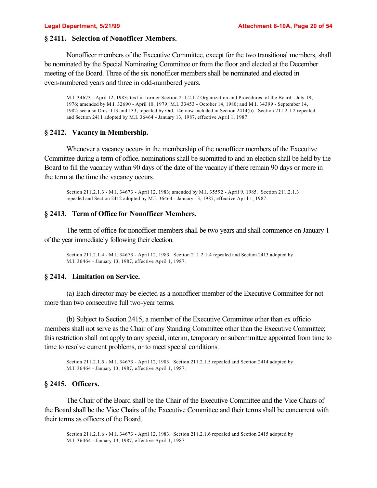## **§ 2411. Selection of Nonofficer Members.**

Nonofficer members of the Executive Committee, except for the two transitional members, shall be nominated by the Special Nominating Committee or from the floor and elected at the December meeting of the Board. Three of the six nonofficer members shall be nominated and elected in even-numbered years and three in odd-numbered years.

M.I. 34673 - April 12, 1983; text in former Section 211.2.1.2 Organization and Procedures of the Board - July 19, 1976; amended by M.I. 32690 - April 10, 1979; M.I. 33453 - October 14, 1980; and M.I. 34399 - September 14, 1982; see also Ords. 113 and 133; repealed by Ord. 146 now included in Section 2414(b). Section 211.2.1.2 repealed and Section 2411 adopted by M.I. 36464 - January 13, 1987, effective April 1, 1987.

# **§ 2412. Vacancy in Membership.**

Whenever a vacancy occurs in the membership of the nonofficer members of the Executive Committee during a term of office, nominations shall be submitted to and an election shall be held by the Board to fill the vacancy within 90 days of the date of the vacancy if there remain 90 days or more in the term at the time the vacancy occurs.

Section 211.2.1.3 - M.I. 34673 - April 12, 1983; amended by M.I. 35592 - April 9, 1985. Section 211.2.1.3 repealed and Section 2412 adopted by M.I. 36464 - January 13, 1987, effective April 1, 1987.

# **§ 2413. Term of Office for Nonofficer Members.**

The term of office for nonofficer members shall be two years and shall commence on January 1 of the year immediately following their election.

Section 211.2.1.4 - M.I. 34673 - April 12, 1983. Section 211.2.1.4 repealed and Section 2413 adopted by M.I. 36464 - January 13, 1987, effective April 1, 1987.

## **§ 2414. Limitation on Service.**

(a) Each director may be elected as a nonofficer member of the Executive Committee for not more than two consecutive full two-year terms.

(b) Subject to Section 2415, a member of the Executive Committee other than ex officio members shall not serve as the Chair of any Standing Committee other than the Executive Committee; this restriction shall not apply to any special, interim, temporary or subcommittee appointed from time to time to resolve current problems, or to meet special conditions.

Section 211.2.1.5 - M.I. 34673 - April 12, 1983. Section 211.2.1.5 repealed and Section 2414 adopted by M.I. 36464 - January 13, 1987, effective April 1, 1987.

## **§ 2415. Officers.**

The Chair of the Board shall be the Chair of the Executive Committee and the Vice Chairs of the Board shall be the Vice Chairs of the Executive Committee and their terms shall be concurrent with their terms as officers of the Board.

Section 211.2.1.6 - M.I. 34673 - April 12, 1983. Section 211.2.1.6 repealed and Section 2415 adopted by M.I. 36464 - January 13, 1987, effective April 1, 1987.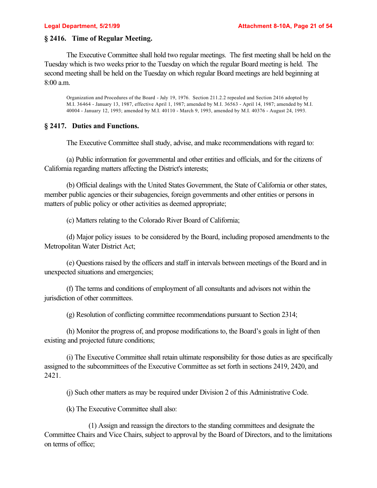## **§ 2416. Time of Regular Meeting.**

The Executive Committee shall hold two regular meetings. The first meeting shall be held on the Tuesday which is two weeks prior to the Tuesday on which the regular Board meeting is held. The second meeting shall be held on the Tuesday on which regular Board meetings are held beginning at 8:00 a.m.

Organization and Procedures of the Board - July 19, 1976. Section 211.2.2 repealed and Section 2416 adopted by M.I. 36464 - January 13, 1987, effective April 1, 1987; amended by M.I. 36563 - April 14, 1987; amended by M.I. 40004 - January 12, 1993; amended by M.I. 40110 - March 9, 1993, amended by M.I. 40376 - August 24, 1993.

## **§ 2417. Duties and Functions.**

The Executive Committee shall study, advise, and make recommendations with regard to:

(a) Public information for governmental and other entities and officials, and for the citizens of California regarding matters affecting the District's interests;

(b) Official dealings with the United States Government, the State of California or other states, member public agencies or their subagencies, foreign governments and other entities or persons in matters of public policy or other activities as deemed appropriate;

(c) Matters relating to the Colorado River Board of California;

(d) Major policy issues to be considered by the Board, including proposed amendments to the Metropolitan Water District Act;

(e) Questions raised by the officers and staff in intervals between meetings of the Board and in unexpected situations and emergencies;

(f) The terms and conditions of employment of all consultants and advisors not within the jurisdiction of other committees.

(g) Resolution of conflicting committee recommendations pursuant to Section 2314;

(h) Monitor the progress of, and propose modifications to, the Board's goals in light of then existing and projected future conditions;

(i) The Executive Committee shall retain ultimate responsibility for those duties as are specifically assigned to the subcommittees of the Executive Committee as set forth in sections 2419, 2420, and 2421.

(j) Such other matters as may be required under Division 2 of this Administrative Code.

(k) The Executive Committee shall also:

(1) Assign and reassign the directors to the standing committees and designate the Committee Chairs and Vice Chairs, subject to approval by the Board of Directors, and to the limitations on terms of office;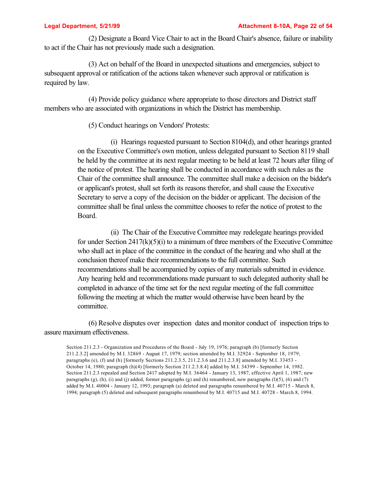(2) Designate a Board Vice Chair to act in the Board Chair's absence, failure or inability to act if the Chair has not previously made such a designation.

(3) Act on behalf of the Board in unexpected situations and emergencies, subject to subsequent approval or ratification of the actions taken whenever such approval or ratification is required by law.

(4) Provide policy guidance where appropriate to those directors and District staff members who are associated with organizations in which the District has membership.

(5) Conduct hearings on Vendors' Protests:

(i) Hearings requested pursuant to Section 8104(d), and other hearings granted on the Executive Committee's own motion, unless delegated pursuant to Section 8119 shall be held by the committee at its next regular meeting to be held at least 72 hours after filing of the notice of protest. The hearing shall be conducted in accordance with such rules as the Chair of the committee shall announce. The committee shall make a decision on the bidder's or applicant's protest, shall set forth its reasons therefor, and shall cause the Executive Secretary to serve a copy of the decision on the bidder or applicant. The decision of the committee shall be final unless the committee chooses to refer the notice of protest to the Board.

(ii) The Chair of the Executive Committee may redelegate hearings provided for under Section  $2417(k)(5)(i)$  to a minimum of three members of the Executive Committee who shall act in place of the committee in the conduct of the hearing and who shall at the conclusion thereof make their recommendations to the full committee. Such recommendations shall be accompanied by copies of any materials submitted in evidence. Any hearing held and recommendations made pursuant to such delegated authority shall be completed in advance of the time set for the next regular meeting of the full committee following the meeting at which the matter would otherwise have been heard by the committee.

(6) Resolve disputes over inspection dates and monitor conduct of inspection trips to assure maximum effectiveness.

Section 211.2.3 - Organization and Procedures of the Board - July 19, 1976; paragraph (b) [formerly Section 211.2.3.2] amended by M.I. 32869 - August 17, 1979; section amended by M.I. 32924 - September 18, 1979; paragraphs (e), (f) and (h) [formerly Sections 211.2.3.5, 211.2.3.6 and 211.2.3.8] amended by M.I. 33453 - October 14, 1980; paragraph (h)(4) [formerly Section 211.2.3.8.4] added by M.I. 34399 - September 14, 1982. Section 211.2.3 repealed and Section 2417 adopted by M.I. 36464 - January 13, 1987, effective April 1, 1987; new paragraphs  $(g)$ ,  $(h)$ ,  $(i)$  and  $(j)$  added, former paragraphs  $(g)$  and  $(h)$  renumbered, new paragraphs  $(l)(5)$ ,  $(6)$  and  $(7)$ added by M.I. 40004 - January 12, 1993; paragraph (a) deleted and paragraphs renumbered by M.I. 40715 - March 8, 1994; paragraph (5) deleted and subsequent paragraphs renumbered by M.I. 40715 and M.I. 40728 - March 8, 1994.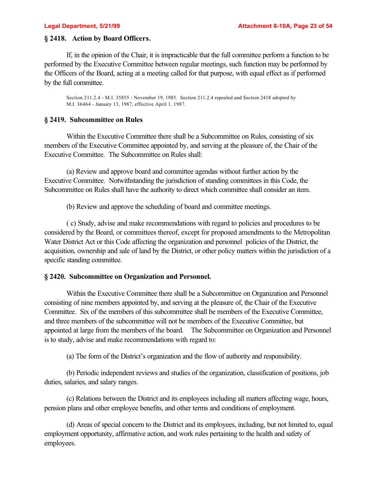# **§ 2418. Action by Board Officers.**

If, in the opinion of the Chair, it is impracticable that the full committee perform a function to be performed by the Executive Committee between regular meetings, such function may be performed by the Officers of the Board, acting at a meeting called for that purpose, with equal effect as if performed by the full committee.

Section 211.2.4 - M.I. 35855 - November 19, 1985. Section 211.2.4 repealed and Section 2418 adopted by M.I. 36464 - January 13, 1987, effective April 1, 1987.

## **§ 2419. Subcommittee on Rules**

Within the Executive Committee there shall be a Subcommittee on Rules, consisting of six members of the Executive Committee appointed by, and serving at the pleasure of, the Chair of the Executive Committee. The Subcommittee on Rules shall:

(a) Review and approve board and committee agendas without further action by the Executive Committee. Notwithstanding the jurisdiction of standing committees in this Code, the Subcommittee on Rules shall have the authority to direct which committee shall consider an item.

(b) Review and approve the scheduling of board and committee meetings.

( c) Study, advise and make recommendations with regard to policies and procedures to be considered by the Board, or committees thereof, except for proposed amendments to the Metropolitan Water District Act or this Code affecting the organization and personnel policies of the District, the acquisition, ownership and sale of land by the District, or other policy matters within the jurisdiction of a specific standing committee.

# **§ 2420. Subcommittee on Organization and Personnel.**

Within the Executive Committee there shall be a Subcommittee on Organization and Personnel consisting of nine members appointed by, and serving at the pleasure of, the Chair of the Executive Committee. Six of the members of this subcommittee shall be members of the Executive Committee, and three members of the subcommittee will not be members of the Executive Committee, but appointed at large from the members of the board. The Subcommittee on Organization and Personnel is to study, advise and make recommendations with regard to:

(a) The form of the District's organization and the flow of authority and responsibility.

(b) Periodic independent reviews and studies of the organization, classification of positions, job duties, salaries, and salary ranges.

(c) Relations between the District and its employees including all matters affecting wage, hours, pension plans and other employee benefits, and other terms and conditions of employment.

(d) Areas of special concern to the District and its employees, including, but not limited to, equal employment opportunity, affirmative action, and work rules pertaining to the health and safety of employees.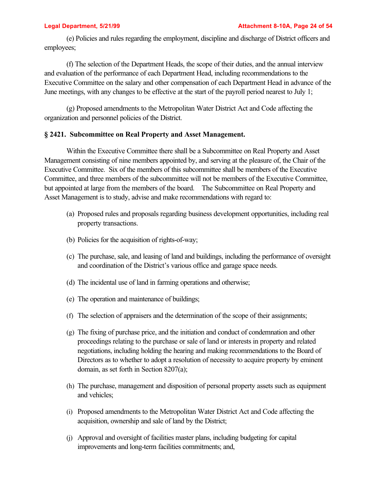(e) Policies and rules regarding the employment, discipline and discharge of District officers and employees;

(f) The selection of the Department Heads, the scope of their duties, and the annual interview and evaluation of the performance of each Department Head, including recommendations to the Executive Committee on the salary and other compensation of each Department Head in advance of the June meetings, with any changes to be effective at the start of the payroll period nearest to July 1;

(g) Proposed amendments to the Metropolitan Water District Act and Code affecting the organization and personnel policies of the District.

# **§ 2421. Subcommittee on Real Property and Asset Management.**

Within the Executive Committee there shall be a Subcommittee on Real Property and Asset Management consisting of nine members appointed by, and serving at the pleasure of, the Chair of the Executive Committee. Six of the members of this subcommittee shall be members of the Executive Committee, and three members of the subcommittee will not be members of the Executive Committee, but appointed at large from the members of the board. The Subcommittee on Real Property and Asset Management is to study, advise and make recommendations with regard to:

- (a) Proposed rules and proposals regarding business development opportunities, including real property transactions.
- (b) Policies for the acquisition of rights-of-way;
- (c) The purchase, sale, and leasing of land and buildings, including the performance of oversight and coordination of the District's various office and garage space needs.
- (d) The incidental use of land in farming operations and otherwise;
- (e) The operation and maintenance of buildings;
- (f) The selection of appraisers and the determination of the scope of their assignments;
- (g) The fixing of purchase price, and the initiation and conduct of condemnation and other proceedings relating to the purchase or sale of land or interests in property and related negotiations, including holding the hearing and making recommendations to the Board of Directors as to whether to adopt a resolution of necessity to acquire property by eminent domain, as set forth in Section 8207(a);
- (h) The purchase, management and disposition of personal property assets such as equipment and vehicles;
- (i) Proposed amendments to the Metropolitan Water District Act and Code affecting the acquisition, ownership and sale of land by the District;
- (j) Approval and oversight of facilities master plans, including budgeting for capital improvements and long-term facilities commitments; and,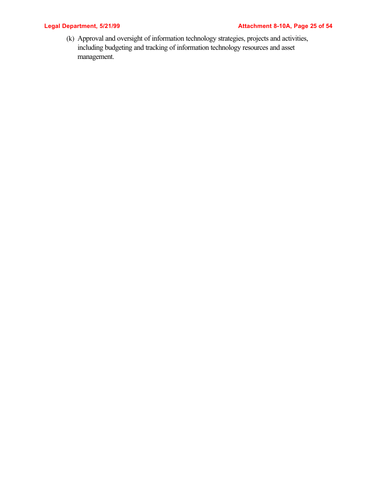# **Legal Department, 5/21/99 Construction Constraining Attachment 8-10A, Page 25 of 54**

(k) Approval and oversight of information technology strategies, projects and activities, including budgeting and tracking of information technology resources and asset management.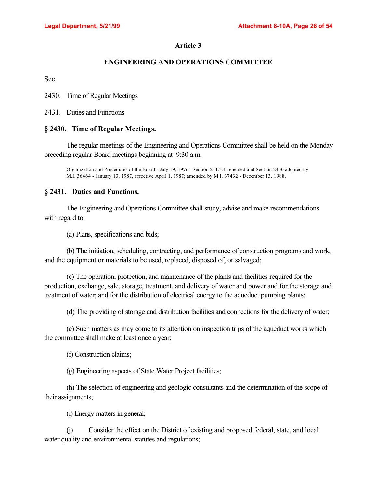# **ENGINEERING AND OPERATIONS COMMITTEE**

Sec.

2430. Time of Regular Meetings

2431. Duties and Functions

# **§ 2430. Time of Regular Meetings.**

The regular meetings of the Engineering and Operations Committee shall be held on the Monday preceding regular Board meetings beginning at 9:30 a.m.

Organization and Procedures of the Board - July 19, 1976. Section 211.3.1 repealed and Section 2430 adopted by M.I. 36464 - January 13, 1987, effective April 1, 1987; amended by M.I. 37432 - December 13, 1988.

# **§ 2431. Duties and Functions.**

The Engineering and Operations Committee shall study, advise and make recommendations with regard to:

(a) Plans, specifications and bids;

(b) The initiation, scheduling, contracting, and performance of construction programs and work, and the equipment or materials to be used, replaced, disposed of, or salvaged;

(c) The operation, protection, and maintenance of the plants and facilities required for the production, exchange, sale, storage, treatment, and delivery of water and power and for the storage and treatment of water; and for the distribution of electrical energy to the aqueduct pumping plants;

(d) The providing of storage and distribution facilities and connections for the delivery of water;

(e) Such matters as may come to its attention on inspection trips of the aqueduct works which the committee shall make at least once a year;

(f) Construction claims;

(g) Engineering aspects of State Water Project facilities;

(h) The selection of engineering and geologic consultants and the determination of the scope of their assignments;

(i) Energy matters in general;

(j) Consider the effect on the District of existing and proposed federal, state, and local water quality and environmental statutes and regulations;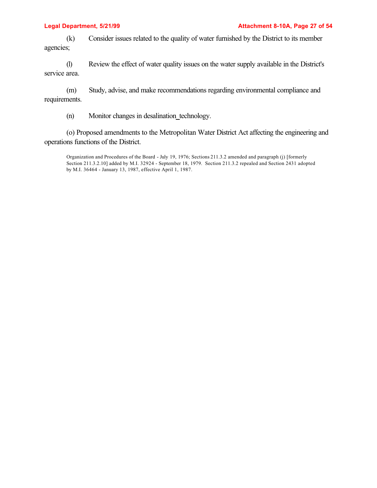(k) Consider issues related to the quality of water furnished by the District to its member agencies;

(l) Review the effect of water quality issues on the water supply available in the District's service area.

(m) Study, advise, and make recommendations regarding environmental compliance and requirements.

(n) Monitor changes in desalination technology.

(o) Proposed amendments to the Metropolitan Water District Act affecting the engineering and operations functions of the District.

Organization and Procedures of the Board - July 19, 1976; Sections 211.3.2 amended and paragraph (j) [formerly Section 211.3.2.10] added by M.I. 32924 - September 18, 1979. Section 211.3.2 repealed and Section 2431 adopted by M.I. 36464 - January 13, 1987, effective April 1, 1987.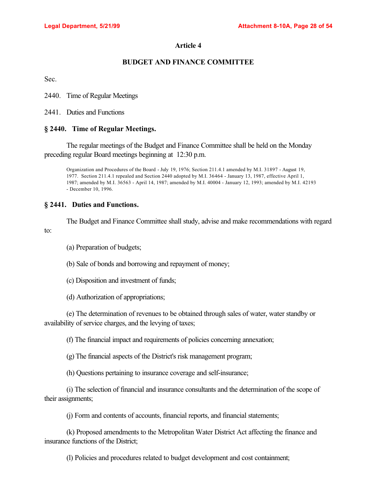# **BUDGET AND FINANCE COMMITTEE**

Sec.

2440. Time of Regular Meetings

2441. Duties and Functions

# **§ 2440. Time of Regular Meetings.**

The regular meetings of the Budget and Finance Committee shall be held on the Monday preceding regular Board meetings beginning at 12:30 p.m.

Organization and Procedures of the Board - July 19, 1976; Section 211.4.1 amended by M.I. 31897 - August 19, 1977. Section 211.4.1 repealed and Section 2440 adopted by M.I. 36464 - January 13, 1987, effective April 1, 1987; amended by M.I. 36563 - April 14, 1987; amended by M.I. 40004 - January 12, 1993; amended by M.I. 42193 - December 10, 1996.

## **§ 2441. Duties and Functions.**

The Budget and Finance Committee shall study, advise and make recommendations with regard to:

(a) Preparation of budgets;

(b) Sale of bonds and borrowing and repayment of money;

(c) Disposition and investment of funds;

(d) Authorization of appropriations;

(e) The determination of revenues to be obtained through sales of water, water standby or availability of service charges, and the levying of taxes;

(f) The financial impact and requirements of policies concerning annexation;

(g) The financial aspects of the District's risk management program;

(h) Questions pertaining to insurance coverage and self-insurance;

(i) The selection of financial and insurance consultants and the determination of the scope of their assignments;

(j) Form and contents of accounts, financial reports, and financial statements;

(k) Proposed amendments to the Metropolitan Water District Act affecting the finance and insurance functions of the District;

(l) Policies and procedures related to budget development and cost containment;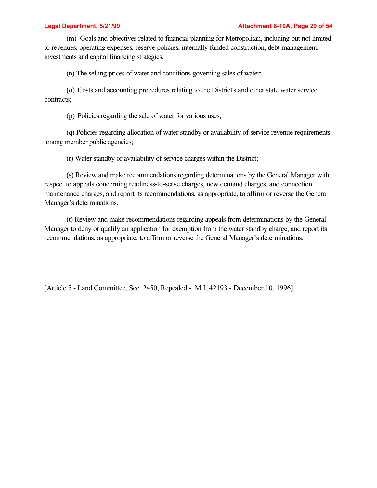(m) Goals and objectives related to financial planning for Metropolitan, including but not limited to revenues, operating expenses, reserve policies, internally funded construction, debt management, investments and capital financing strategies.

(n) The selling prices of water and conditions governing sales of water;

(o) Costs and accounting procedures relating to the District's and other state water service contracts;

(p) Policies regarding the sale of water for various uses;

(q) Policies regarding allocation of water standby or availability of service revenue requirements among member public agencies;

(r) Water standby or availability of service charges within the District;

(s) Review and make recommendations regarding determinations by the General Manager with respect to appeals concerning readiness-to-serve charges, new demand charges, and connection maintenance charges, and report its recommendations, as appropriate, to affirm or reverse the General Manager's determinations.

(t) Review and make recommendations regarding appeals from determinations by the General Manager to deny or qualify an application for exemption from the water standby charge, and report its recommendations, as appropriate, to affirm or reverse the General Manager's determinations.

[Article 5 - Land Committee, Sec. 2450, Repealed - M.I. 42193 - December 10, 1996]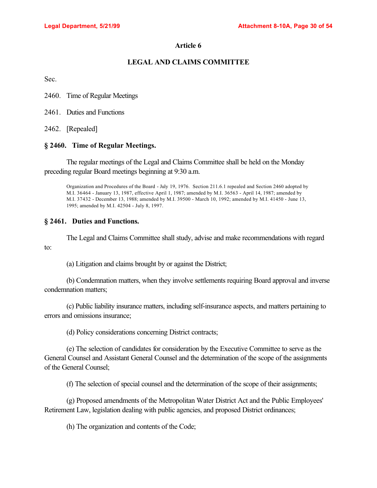## **LEGAL AND CLAIMS COMMITTEE**

Sec.

to:

2460. Time of Regular Meetings

2461. Duties and Functions

2462. [Repealed]

## **§ 2460. Time of Regular Meetings.**

The regular meetings of the Legal and Claims Committee shall be held on the Monday preceding regular Board meetings beginning at 9:30 a.m.

Organization and Procedures of the Board - July 19, 1976. Section 211.6.1 repealed and Section 2460 adopted by M.I. 36464 - January 13, 1987, effective April 1, 1987; amended by M.I. 36563 - April 14, 1987; amended by M.I. 37432 - December 13, 1988; amended by M.I. 39500 - March 10, 1992; amended by M.I. 41450 - June 13, 1995; amended by M.I. 42504 - July 8, 1997.

## **§ 2461. Duties and Functions.**

The Legal and Claims Committee shall study, advise and make recommendations with regard

(a) Litigation and claims brought by or against the District;

(b) Condemnation matters, when they involve settlements requiring Board approval and inverse condemnation matters;

(c) Public liability insurance matters, including self-insurance aspects, and matters pertaining to errors and omissions insurance;

(d) Policy considerations concerning District contracts;

(e) The selection of candidates for consideration by the Executive Committee to serve as the General Counsel and Assistant General Counsel and the determination of the scope of the assignments of the General Counsel;

(f) The selection of special counsel and the determination of the scope of their assignments;

(g) Proposed amendments of the Metropolitan Water District Act and the Public Employees' Retirement Law, legislation dealing with public agencies, and proposed District ordinances;

(h) The organization and contents of the Code;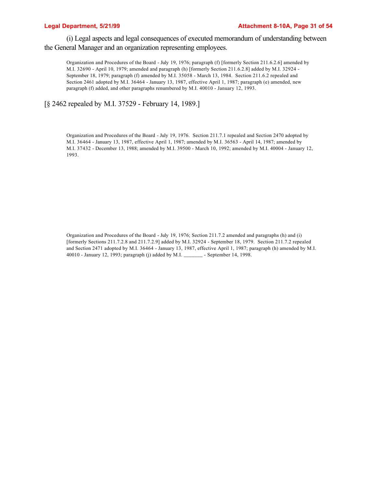### **Legal Department, 5/21/99 Attachment 8-10A, Page 31 of 54**

(i) Legal aspects and legal consequences of executed memorandum of understanding between the General Manager and an organization representing employees.

Organization and Procedures of the Board - July 19, 1976; paragraph (f) [formerly Section 211.6.2.6] amended by M.I. 32690 - April 10, 1979; amended and paragraph (h) [formerly Section 211.6.2.8] added by M.I. 32924 - September 18, 1979; paragraph (f) amended by M.I. 35058 - March 13, 1984. Section 211.6.2 repealed and Section 2461 adopted by M.I. 36464 - January 13, 1987, effective April 1, 1987; paragraph (e) amended, new paragraph (f) added, and other paragraphs renumbered by M.I. 40010 - January 12, 1993.

[§ 2462 repealed by M.I. 37529 - February 14, 1989.]

Organization and Procedures of the Board - July 19, 1976. Section 211.7.1 repealed and Section 2470 adopted by M.I. 36464 - January 13, 1987, effective April 1, 1987; amended by M.I. 36563 - April 14, 1987; amended by M.I. 37432 - December 13, 1988; amended by M.I. 39500 - March 10, 1992; amended by M.I. 40004 - January 12, 1993.

Organization and Procedures of the Board - July 19, 1976; Section 211.7.2 amended and paragraphs (h) and (i) [formerly Sections 211.7.2.8 and 211.7.2.9] added by M.I. 32924 - September 18, 1979. Section 211.7.2 repealed and Section 2471 adopted by M.I. 36464 - January 13, 1987, effective April 1, 1987; paragraph (h) amended by M.I. 40010 - January 12, 1993; paragraph (j) added by M.I. \_\_\_\_\_\_\_ - September 14, 1998.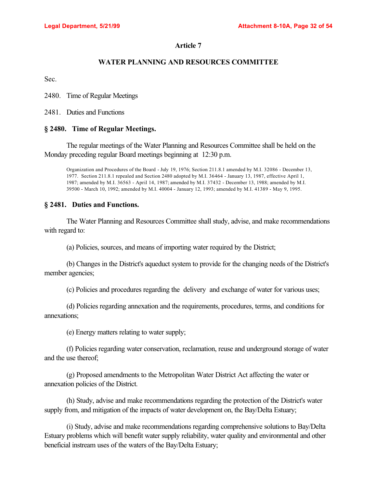# **WATER PLANNING AND RESOURCES COMMITTEE**

Sec.

2480. Time of Regular Meetings

2481. Duties and Functions

# **§ 2480. Time of Regular Meetings.**

The regular meetings of the Water Planning and Resources Committee shall be held on the Monday preceding regular Board meetings beginning at 12:30 p.m.

Organization and Procedures of the Board - July 19, 1976; Section 211.8.1 amended by M.I. 32086 - December 13, 1977. Section 211.8.1 repealed and Section 2480 adopted by M.I. 36464 - January 13, 1987, effective April 1, 1987; amended by M.I. 36563 - April 14, 1987; amended by M.I. 37432 - December 13, 1988; amended by M.I. 39500 - March 10, 1992; amended by M.I. 40004 - January 12, 1993; amended by M.I. 41389 - May 9, 1995.

## **§ 2481. Duties and Functions.**

The Water Planning and Resources Committee shall study, advise, and make recommendations with regard to:

(a) Policies, sources, and means of importing water required by the District;

(b) Changes in the District's aqueduct system to provide for the changing needs of the District's member agencies;

(c) Policies and procedures regarding the delivery and exchange of water for various uses;

(d) Policies regarding annexation and the requirements, procedures, terms, and conditions for annexations;

(e) Energy matters relating to water supply;

(f) Policies regarding water conservation, reclamation, reuse and underground storage of water and the use thereof;

(g) Proposed amendments to the Metropolitan Water District Act affecting the water or annexation policies of the District.

(h) Study, advise and make recommendations regarding the protection of the District's water supply from, and mitigation of the impacts of water development on, the Bay/Delta Estuary;

(i) Study, advise and make recommendations regarding comprehensive solutions to Bay/Delta Estuary problems which will benefit water supply reliability, water quality and environmental and other beneficial instream uses of the waters of the Bay/Delta Estuary;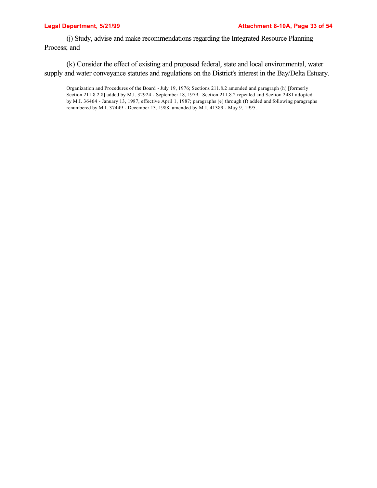(j) Study, advise and make recommendations regarding the Integrated Resource Planning Process; and

(k) Consider the effect of existing and proposed federal, state and local environmental, water supply and water conveyance statutes and regulations on the District's interest in the Bay/Delta Estuary.

Organization and Procedures of the Board - July 19, 1976; Sections 211.8.2 amended and paragraph (h) [formerly Section 211.8.2.8] added by M.I. 32924 - September 18, 1979. Section 211.8.2 repealed and Section 2481 adopted by M.I. 36464 - January 13, 1987, effective April 1, 1987; paragraphs (e) through (f) added and following paragraphs renumbered by M.I. 37449 - December 13, 1988; amended by M.I. 41389 - May 9, 1995.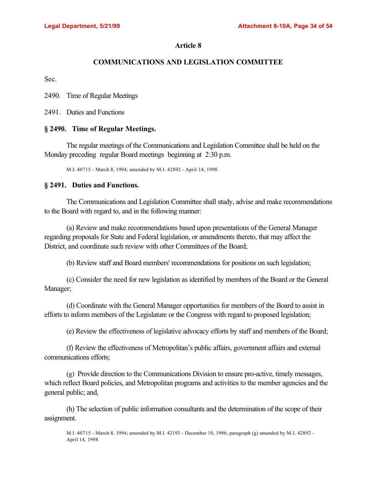# **COMMUNICATIONS AND LEGISLATION COMMITTEE**

Sec.

2490. Time of Regular Meetings

2491. Duties and Functions

## **§ 2490. Time of Regular Meetings.**

The regular meetings of the Communications and Legislation Committee shall be held on the Monday preceding regular Board meetings beginning at 2:30 p.m.

M.I. 40715 - March 8, 1994; amended by M.I. 42892 - April 14, 1998.

## **§ 2491. Duties and Functions.**

The Communications and Legislation Committee shall study, advise and make recommendations to the Board with regard to, and in the following manner:

(a) Review and make recommendations based upon presentations of the General Manager regarding proposals for State and Federal legislation, or amendments thereto, that may affect the District, and coordinate such review with other Committees of the Board;

(b) Review staff and Board members' recommendations for positions on such legislation;

(c) Consider the need for new legislation as identified by members of the Board or the General Manager;

(d) Coordinate with the General Manager opportunities for members of the Board to assist in efforts to inform members of the Legislature or the Congress with regard to proposed legislation;

(e) Review the effectiveness of legislative advocacy efforts by staff and members of the Board;

(f) Review the effectiveness of Metropolitan's public affairs, government affairs and external communications efforts;

(g) Provide direction to the Communications Division to ensure pro-active, timely messages, which reflect Board policies, and Metropolitan programs and activities to the member agencies and the general public; and,

(h) The selection of public information consultants and the determination of the scope of their assignment.

M.I. 40715 - March 8, 1994; amended by M.I. 42193 - December 10, 1996; paragraph (g) amended by M.I. 42892 - April 14, 1998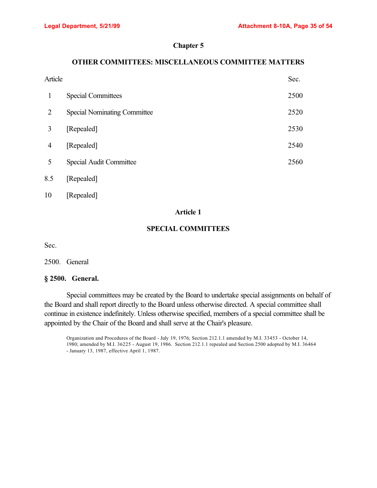## **Chapter 5**

# **OTHER COMMITTEES: MISCELLANEOUS COMMITTEE MATTERS**

|     | Article                             |      |
|-----|-------------------------------------|------|
| 1   | <b>Special Committees</b>           | 2500 |
| 2   | <b>Special Nominating Committee</b> | 2520 |
| 3   | [Repealed]                          | 2530 |
| 4   | [Repealed]                          | 2540 |
| 5   | Special Audit Committee             | 2560 |
| 8.5 | [Repealed]                          |      |

10 [Repealed]

# **Article 1**

# **SPECIAL COMMITTEES**

Sec.

2500. General

## **§ 2500. General.**

Special committees may be created by the Board to undertake special assignments on behalf of the Board and shall report directly to the Board unless otherwise directed. A special committee shall continue in existence indefinitely. Unless otherwise specified, members of a special committee shall be appointed by the Chair of the Board and shall serve at the Chair's pleasure.

Organization and Procedures of the Board - July 19, 1976; Section 212.1.1 amended by M.I. 33453 - October 14, 1980; amended by M.I. 36225 - August 19, 1986. Section 212.1.1 repealed and Section 2500 adopted by M.I. 36464 - January 13, 1987, effective April 1, 1987.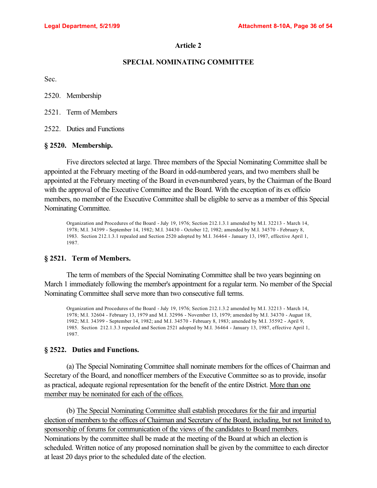#### **SPECIAL NOMINATING COMMITTEE**

Sec.

2520. Membership

2521. Term of Members

2522. Duties and Functions

#### **§ 2520. Membership.**

Five directors selected at large. Three members of the Special Nominating Committee shall be appointed at the February meeting of the Board in odd-numbered years, and two members shall be appointed at the February meeting of the Board in even-numbered years, by the Chairman of the Board with the approval of the Executive Committee and the Board. With the exception of its ex officio members, no member of the Executive Committee shall be eligible to serve as a member of this Special Nominating Committee.

Organization and Procedures of the Board - July 19, 1976; Section 212.1.3.1 amended by M.I. 32213 - March 14, 1978; M.I. 34399 - September 14, 1982; M.I. 34430 - October 12, 1982; amended by M.I. 34570 - February 8, 1983. Section 212.1.3.1 repealed and Section 2520 adopted by M.I. 36464 - January 13, 1987, effective April 1, 1987.

#### **§ 2521. Term of Members.**

The term of members of the Special Nominating Committee shall be two years beginning on March 1 immediately following the member's appointment for a regular term. No member of the Special Nominating Committee shall serve more than two consecutive full terms.

Organization and Procedures of the Board - July 19, 1976; Section 212.1.3.2 amended by M.I. 32213 - March 14, 1978; M.I. 32604 - February 13, 1979 and M.I. 32996 - November 13, 1979; amended by M.I. 34370 - August 18, 1982; M.I. 34399 - September 14, 1982; and M.I. 34570 - February 8, 1983; amended by M.I. 35592 - April 9, 1985. Section 212.1.3.3 repealed and Section 2521 adopted by M.I. 36464 - January 13, 1987, effective April 1, 1987.

#### **§ 2522. Duties and Functions.**

(a) The Special Nominating Committee shall nominate members for the offices of Chairman and Secretary of the Board, and nonofficer members of the Executive Committee so as to provide, insofar as practical, adequate regional representation for the benefit of the entire District. More than one member may be nominated for each of the offices.

(b) The Special Nominating Committee shall establish procedures for the fair and impartial election of members to the offices of Chairman and Secretary of the Board, including, but not limited to, sponsorship of forums for communication of the views of the candidates to Board members. Nominations by the committee shall be made at the meeting of the Board at which an election is scheduled. Written notice of any proposed nomination shall be given by the committee to each director at least 20 days prior to the scheduled date of the election.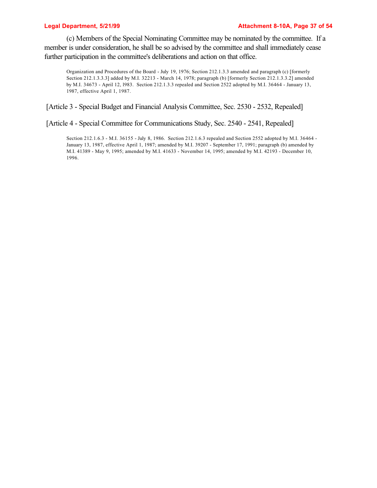(c) Members of the Special Nominating Committee may be nominated by the committee. If a member is under consideration, he shall be so advised by the committee and shall immediately cease further participation in the committee's deliberations and action on that office.

Organization and Procedures of the Board - July 19, 1976; Section 212.1.3.3 amended and paragraph (c) [formerly Section 212.1.3.3.3] added by M.I. 32213 - March 14, 1978; paragraph (b) [formerly Section 212.1.3.3.2] amended by M.I. 34673 - April 12, l983. Section 212.1.3.3 repealed and Section 2522 adopted by M.I. 36464 - January 13, 1987, effective April 1, 1987.

[Article 3 - Special Budget and Financial Analysis Committee, Sec. 2530 - 2532, Repealed]

[Article 4 - Special Committee for Communications Study, Sec. 2540 - 2541, Repealed]

Section 212.1.6.3 - M.I. 36155 - July 8, 1986. Section 212.1.6.3 repealed and Section 2552 adopted by M.I. 36464 - January 13, 1987, effective April 1, 1987; amended by M.I. 39207 - September 17, 1991; paragraph (b) amended by M.I. 41389 - May 9, 1995; amended by M.I. 41633 - November 14, 1995; amended by M.I. 42193 - December 10, 1996.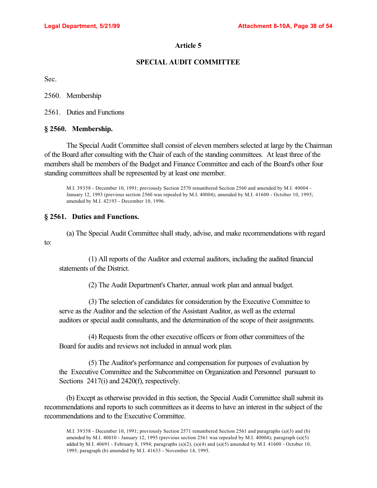# **SPECIAL AUDIT COMMITTEE**

Sec.

2560. Membership

2561. Duties and Functions

## **§ 2560. Membership.**

The Special Audit Committee shall consist of eleven members selected at large by the Chairman of the Board after consulting with the Chair of each of the standing committees. At least three of the members shall be members of the Budget and Finance Committee and each of the Board's other four standing committees shall be represented by at least one member.

M.I. 39358 - December 10, 1991; previously Section 2570 renumbered Section 2560 and amended by M.I. 40004 - January 12, 1993 (previous section 2560 was repealed by M.I. 40004); amended by M.I. 41600 - October 10, 1995; amended by M.I. 42193 - December 10, 1996.

# **§ 2561. Duties and Functions.**

(a) The Special Audit Committee shall study, advise, and make recommendations with regard to:

(1) All reports of the Auditor and external auditors, including the audited financial statements of the District.

(2) The Audit Department's Charter, annual work plan and annual budget.

(3) The selection of candidates for consideration by the Executive Committee to serve as the Auditor and the selection of the Assistant Auditor, as well as the external auditors or special audit consultants, and the determination of the scope of their assignments.

(4) Requests from the other executive officers or from other committees of the Board for audits and reviews not included in annual work plan.

(5) The Auditor's performance and compensation for purposes of evaluation by the Executive Committee and the Subcommittee on Organization and Personnel pursuant to Sections 2417(i) and 2420(f), respectively.

(b) Except as otherwise provided in this section, the Special Audit Committee shall submit its recommendations and reports to such committees as it deems to have an interest in the subject of the recommendations and to the Executive Committee.

M.I. 39358 - December 10, 1991; previously Section 2571 renumbered Section 2561 and paragraphs (a)(3) and (b) amended by M.I. 40010 - January 12, 1993 (previous section 2561 was repealed by M.I. 40004); paragraph (a)(5) added by M.I. 40691 - February 8, 1994; paragraphs  $(a)(2)$ ,  $(a)(4)$  and  $(a)(5)$  amended by M.I. 41600 - October 10, 1995; paragraph (b) amended by M.I. 41633 - November 14, 1995.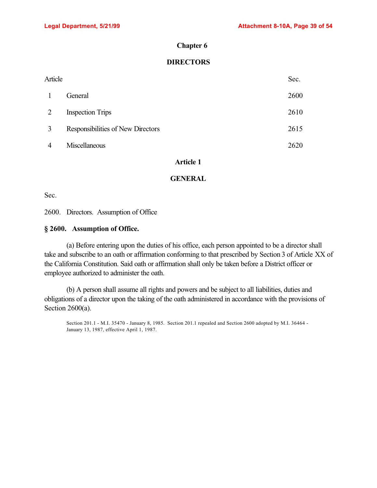#### **Chapter 6**

# **DIRECTORS**

| Article      |                                   | Sec. |
|--------------|-----------------------------------|------|
| $\mathbf{1}$ | General                           | 2600 |
| 2            | <b>Inspection Trips</b>           | 2610 |
| 3            | Responsibilities of New Directors | 2615 |
| 4            | Miscellaneous                     | 2620 |

## **Article 1**

#### **GENERAL**

Sec.

2600. Directors. Assumption of Office

#### **§ 2600. Assumption of Office.**

(a) Before entering upon the duties of his office, each person appointed to be a director shall take and subscribe to an oath or affirmation conforming to that prescribed by Section 3 of Article XX of the California Constitution. Said oath or affirmation shall only be taken before a District officer or employee authorized to administer the oath.

(b) A person shall assume all rights and powers and be subject to all liabilities, duties and obligations of a director upon the taking of the oath administered in accordance with the provisions of Section 2600(a).

Section 201.1 - M.I. 35470 - January 8, 1985. Section 201.1 repealed and Section 2600 adopted by M.I. 36464 - January 13, 1987, effective April 1, 1987.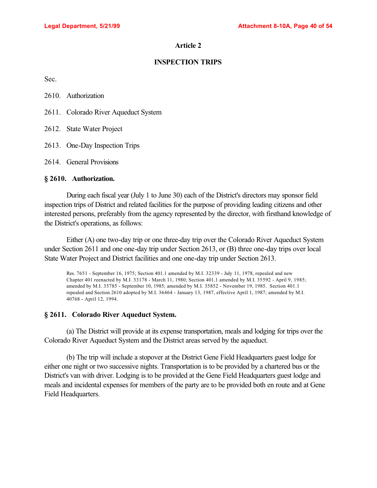## **INSPECTION TRIPS**

Sec.

| 2610. | Authorization |
|-------|---------------|
|-------|---------------|

- 2611. Colorado River Aqueduct System
- 2612. State Water Project
- 2613. One-Day Inspection Trips
- 2614. General Provisions

#### **§ 2610. Authorization.**

During each fiscal year (July 1 to June 30) each of the District's directors may sponsor field inspection trips of District and related facilities for the purpose of providing leading citizens and other interested persons, preferably from the agency represented by the director, with firsthand knowledge of the District's operations, as follows:

Either (A) one two-day trip or one three-day trip over the Colorado River Aqueduct System under Section 2611 and one one-day trip under Section 2613, or (B) three one-day trips over local State Water Project and District facilities and one one-day trip under Section 2613.

Res. 7651 - September 16, 1975; Section 401.1 amended by M.I. 32339 - July 11, 1978, repealed and new Chapter 401 reenacted by M.I. 33178 - March 11, 1980; Section 401.1 amended by M.I. 35592 - April 9, 1985; amended by M.I. 35785 - September 10, 1985; amended by M.I. 35852 - November 19, 1985. Section 401.1 repealed and Section 2610 adopted by M.I. 36464 - January 13, 1987, effective April 1, 1987; amended by M.I. 40768 - April 12, 1994.

#### **§ 2611. Colorado River Aqueduct System.**

(a) The District will provide at its expense transportation, meals and lodging for trips over the Colorado River Aqueduct System and the District areas served by the aqueduct.

(b) The trip will include a stopover at the District Gene Field Headquarters guest lodge for either one night or two successive nights. Transportation is to be provided by a chartered bus or the District's van with driver. Lodging is to be provided at the Gene Field Headquarters guest lodge and meals and incidental expenses for members of the party are to be provided both en route and at Gene Field Headquarters.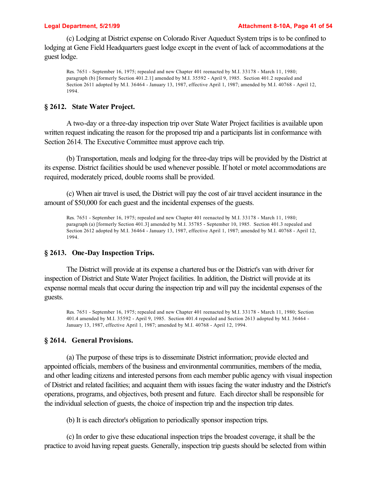(c) Lodging at District expense on Colorado River Aqueduct System trips is to be confined to lodging at Gene Field Headquarters guest lodge except in the event of lack of accommodations at the guest lodge.

Res. 7651 - September 16, 1975; repealed and new Chapter 401 reenacted by M.I. 33178 - March 11, 1980; paragraph (b) [formerly Section 401.2.1] amended by M.I. 35592 - April 9, 1985. Section 401.2 repealed and Section 2611 adopted by M.I. 36464 - January 13, 1987, effective April 1, 1987; amended by M.I. 40768 - April 12, 1994.

#### **§ 2612. State Water Project.**

A two-day or a three-day inspection trip over State Water Project facilities is available upon written request indicating the reason for the proposed trip and a participants list in conformance with Section 2614. The Executive Committee must approve each trip.

(b) Transportation, meals and lodging for the three-day trips will be provided by the District at its expense. District facilities should be used whenever possible. If hotel or motel accommodations are required, moderately priced, double rooms shall be provided.

(c) When air travel is used, the District will pay the cost of air travel accident insurance in the amount of \$50,000 for each guest and the incidental expenses of the guests.

Res. 7651 - September 16, 1975; repealed and new Chapter 401 reenacted by M.I. 33178 - March 11, 1980; paragraph (a) [formerly Section 401.3] amended by M.I. 35785 - September 10, 1985. Section 401.3 repealed and Section 2612 adopted by M.I. 36464 - January 13, 1987, effective April 1, 1987; amended by M.I. 40768 - April 12, 1994.

#### **§ 2613. One-Day Inspection Trips.**

The District will provide at its expense a chartered bus or the District's van with driver for inspection of District and State Water Project facilities. In addition, the District will provide at its expense normal meals that occur during the inspection trip and will pay the incidental expenses of the guests.

Res. 7651 - September 16, 1975; repealed and new Chapter 401 reenacted by M.I. 33178 - March 11, 1980; Section 401.4 amended by M.I. 35592 - April 9, 1985. Section 401.4 repealed and Section 2613 adopted by M.I. 36464 - January 13, 1987, effective April 1, 1987; amended by M.I. 40768 - April 12, 1994.

#### **§ 2614. General Provisions.**

(a) The purpose of these trips is to disseminate District information; provide elected and appointed officials, members of the business and environmental communities, members of the media, and other leading citizens and interested persons from each member public agency with visual inspection of District and related facilities; and acquaint them with issues facing the water industry and the District's operations, programs, and objectives, both present and future. Each director shall be responsible for the individual selection of guests, the choice of inspection trip and the inspection trip dates.

(b) It is each director's obligation to periodically sponsor inspection trips.

(c) In order to give these educational inspection trips the broadest coverage, it shall be the practice to avoid having repeat guests. Generally, inspection trip guests should be selected from within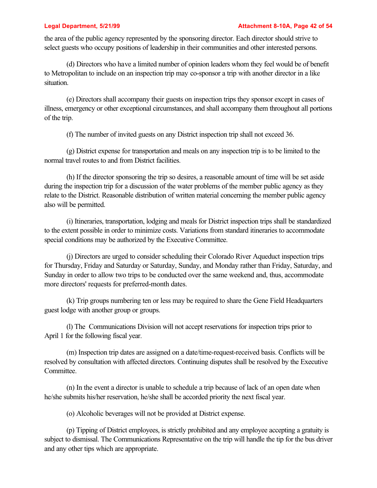the area of the public agency represented by the sponsoring director. Each director should strive to select guests who occupy positions of leadership in their communities and other interested persons.

(d) Directors who have a limited number of opinion leaders whom they feel would be of benefit to Metropolitan to include on an inspection trip may co-sponsor a trip with another director in a like situation.

(e) Directors shall accompany their guests on inspection trips they sponsor except in cases of illness, emergency or other exceptional circumstances, and shall accompany them throughout all portions of the trip.

(f) The number of invited guests on any District inspection trip shall not exceed 36.

(g) District expense for transportation and meals on any inspection trip is to be limited to the normal travel routes to and from District facilities.

(h) If the director sponsoring the trip so desires, a reasonable amount of time will be set aside during the inspection trip for a discussion of the water problems of the member public agency as they relate to the District. Reasonable distribution of written material concerning the member public agency also will be permitted.

(i) Itineraries, transportation, lodging and meals for District inspection trips shall be standardized to the extent possible in order to minimize costs. Variations from standard itineraries to accommodate special conditions may be authorized by the Executive Committee.

(j) Directors are urged to consider scheduling their Colorado River Aqueduct inspection trips for Thursday, Friday and Saturday or Saturday, Sunday, and Monday rather than Friday, Saturday, and Sunday in order to allow two trips to be conducted over the same weekend and, thus, accommodate more directors' requests for preferred-month dates.

(k) Trip groups numbering ten or less may be required to share the Gene Field Headquarters guest lodge with another group or groups.

(l) The Communications Division will not accept reservations for inspection trips prior to April 1 for the following fiscal year.

(m) Inspection trip dates are assigned on a date/time-request-received basis. Conflicts will be resolved by consultation with affected directors. Continuing disputes shall be resolved by the Executive Committee.

(n) In the event a director is unable to schedule a trip because of lack of an open date when he/she submits his/her reservation, he/she shall be accorded priority the next fiscal year.

(o) Alcoholic beverages will not be provided at District expense.

(p) Tipping of District employees, is strictly prohibited and any employee accepting a gratuity is subject to dismissal. The Communications Representative on the trip will handle the tip for the bus driver and any other tips which are appropriate.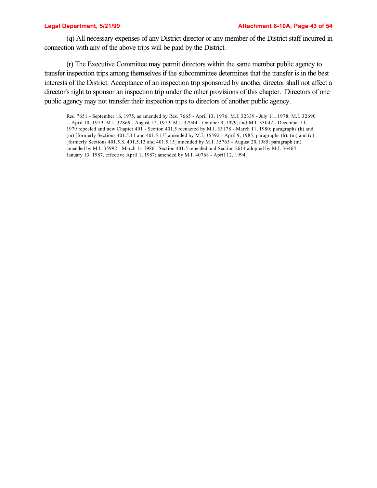(q) All necessary expenses of any District director or any member of the District staff incurred in connection with any of the above trips will be paid by the District.

(r) The Executive Committee may permit directors within the same member public agency to transfer inspection trips among themselves if the subcommittee determines that the transfer is in the best interests of the District. Acceptance of an inspection trip sponsored by another director shall not affect a director's right to sponsor an inspection trip under the other provisions of this chapter. Directors of one public agency may not transfer their inspection trips to directors of another public agency.

Res. 7651 - September 16, 1975, as amended by Res. 7665 - April 13, 1976, M.I. 32339 - July 11, 1978, M.I. 32690 -- April 10, 1979, M.I. 32869 - August 17, 1979, M.I. 32944 - October 9, 1979, and M.I. 33042 - December 11, 1979 repealed and new Chapter 401 - Section 401.5 reenacted by M.I. 33178 - March 11, 1980; paragraphs (k) and (m) [formerly Sections 401.5.11 and 401.5.13] amended by M.I. 35592 - April 9, 1985; paragraphs (h), (m) and (o) [formerly Sections 401.5.8, 401.5.13 and 401.5.15] amended by M.I. 35765 - August 20, l985; paragraph (m) amended by M.I. 35992 - March 11, l986. Section 401.5 repealed and Section 2614 adopted by M.I. 36464 - January 13, 1987, effective April 1, 1987; amended by M.I. 40768 - April 12, 1994.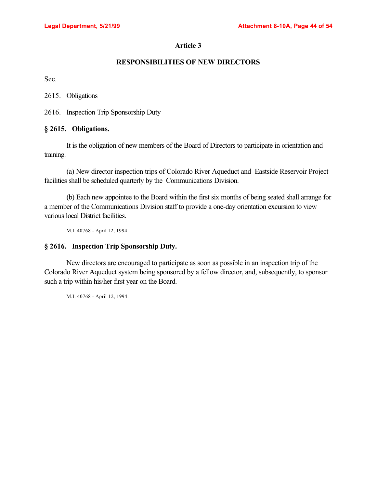# **RESPONSIBILITIES OF NEW DIRECTORS**

Sec.

2615. Obligations

2616. Inspection Trip Sponsorship Duty

## **§ 2615. Obligations.**

It is the obligation of new members of the Board of Directors to participate in orientation and training.

(a) New director inspection trips of Colorado River Aqueduct and Eastside Reservoir Project facilities shall be scheduled quarterly by the Communications Division.

(b) Each new appointee to the Board within the first six months of being seated shall arrange for a member of the Communications Division staff to provide a one-day orientation excursion to view various local District facilities.

M.I. 40768 - April 12, 1994.

## **§ 2616. Inspection Trip Sponsorship Duty.**

New directors are encouraged to participate as soon as possible in an inspection trip of the Colorado River Aqueduct system being sponsored by a fellow director, and, subsequently, to sponsor such a trip within his/her first year on the Board.

M.I. 40768 - April 12, 1994.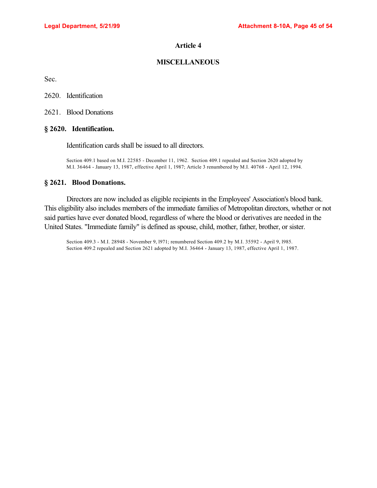## **MISCELLANEOUS**

Sec.

2620. Identification

2621. Blood Donations

#### **§ 2620. Identification.**

Identification cards shall be issued to all directors.

Section 409.1 based on M.I. 22585 - December 11, 1962. Section 409.1 repealed and Section 2620 adopted by M.I. 36464 - January 13, 1987, effective April 1, 1987; Article 3 renumbered by M.I. 40768 - April 12, 1994.

#### **§ 2621. Blood Donations.**

Directors are now included as eligible recipients in the Employees' Association's blood bank. This eligibility also includes members of the immediate families of Metropolitan directors, whether or not said parties have ever donated blood, regardless of where the blood or derivatives are needed in the United States. "Immediate family" is defined as spouse, child, mother, father, brother, or sister.

Section 409.3 - M.I. 28948 - November 9, l971; renumbered Section 409.2 by M.I. 35592 - April 9, l985. Section 409.2 repealed and Section 2621 adopted by M.I. 36464 - January 13, 1987, effective April 1, 1987.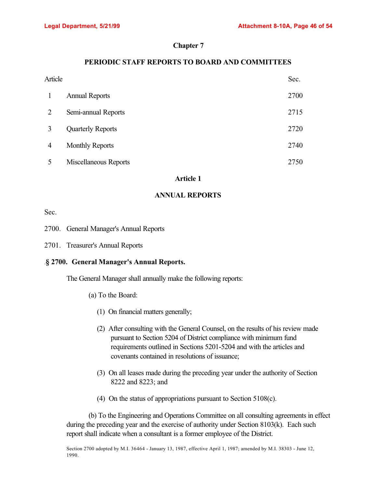# **Chapter 7**

# **PERIODIC STAFF REPORTS TO BOARD AND COMMITTEES**

| Article |                          | Sec. |
|---------|--------------------------|------|
|         | <b>Annual Reports</b>    | 2700 |
| 2       | Semi-annual Reports      | 2715 |
| 3       | <b>Quarterly Reports</b> | 2720 |
| 4       | <b>Monthly Reports</b>   | 2740 |
|         | Miscellaneous Reports    | 2750 |

#### **Article 1**

# **ANNUAL REPORTS**

Sec.

- 2700. General Manager's Annual Reports
- 2701. Treasurer's Annual Reports

# .**§ 2700. General Manager's Annual Reports.**

The General Manager shall annually make the following reports:

- (a) To the Board:
	- (1) On financial matters generally;
	- (2) After consulting with the General Counsel, on the results of his review made pursuant to Section 5204 of District compliance with minimum fund requirements outlined in Sections 5201-5204 and with the articles and covenants contained in resolutions of issuance;
	- (3) On all leases made during the preceding year under the authority of Section 8222 and 8223; and
	- (4) On the status of appropriations pursuant to Section 5108(c).

(b) To the Engineering and Operations Committee on all consulting agreements in effect during the preceding year and the exercise of authority under Section 8103(k). Each such report shall indicate when a consultant is a former employee of the District.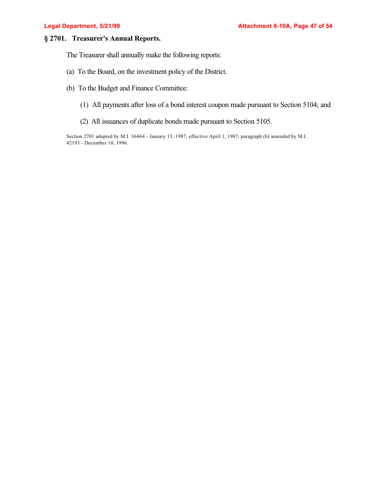# **§ 2701. Treasurer's Annual Reports.**

The Treasurer shall annually make the following reports:

- (a) To the Board, on the investment policy of the District.
- (b) To the Budget and Finance Committee:
	- (1) All payments after loss of a bond interest coupon made pursuant to Section 5104; and
	- (2) All issuances of duplicate bonds made pursuant to Section 5105.

Section 2701 adopted by M.I. 36464 - January 13, 1987, effective April 1, 1987; paragraph (b) amended by M.I. 42193 - December 10, 1996.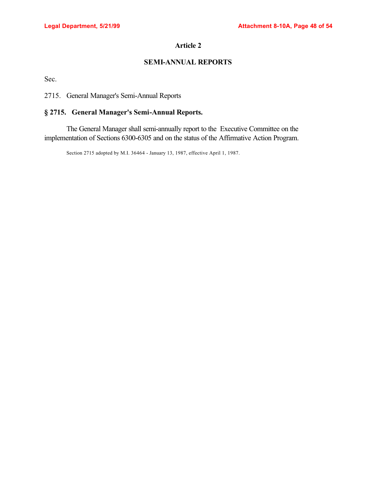# **SEMI-ANNUAL REPORTS**

Sec.

2715. General Manager's Semi-Annual Reports

# **§ 2715. General Manager's Semi-Annual Reports.**

The General Manager shall semi-annually report to the Executive Committee on the implementation of Sections 6300-6305 and on the status of the Affirmative Action Program.

Section 2715 adopted by M.I. 36464 - January 13, 1987, effective April 1, 1987.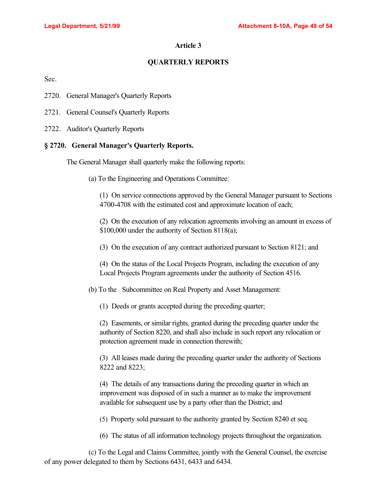## **QUARTERLY REPORTS**

Sec.

- 2720. General Manager's Quarterly Reports
- 2721. General Counsel's Quarterly Reports
- 2722. Auditor's Quarterly Reports

#### **§ 2720. General Manager's Quarterly Reports.**

The General Manager shall quarterly make the following reports:

(a) To the Engineering and Operations Committee:

(1) On service connections approved by the General Manager pursuant to Sections 4700-4708 with the estimated cost and approximate location of each;

(2) On the execution of any relocation agreements involving an amount in excess of \$100,000 under the authority of Section 8118(a);

(3) On the execution of any contract authorized pursuant to Section 8121; and

(4) On the status of the Local Projects Program, including the execution of any Local Projects Program agreements under the authority of Section 4516.

(b) To the Subcommittee on Real Property and Asset Management:

(1) Deeds or grants accepted during the preceding quarter;

(2) Easements, or similar rights, granted during the preceding quarter under the authority of Section 8220, and shall also include in such report any relocation or protection agreement made in connection therewith;

(3) All leases made during the preceding quarter under the authority of Sections 8222 and 8223;

(4) The details of any transactions during the preceding quarter in which an improvement was disposed of in such a manner as to make the improvement available for subsequent use by a party other than the District; and

(5) Property sold pursuant to the authority granted by Section 8240 et seq.

(6) The status of all information technology projects throughout the organization.

(c) To the Legal and Claims Committee, jointly with the General Counsel, the exercise of any power delegated to them by Sections 6431, 6433 and 6434.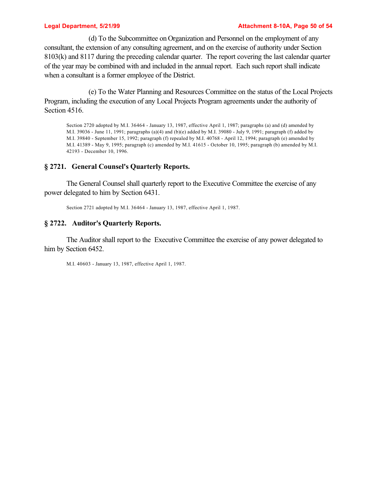#### **Legal Department, 5/21/99 Attachment 8-10A, Page 50 of 54**

(d) To the Subcommittee on Organization and Personnel on the employment of any consultant, the extension of any consulting agreement, and on the exercise of authority under Section 8103(k) and 8117 during the preceding calendar quarter. The report covering the last calendar quarter of the year may be combined with and included in the annual report. Each such report shall indicate when a consultant is a former employee of the District.

(e) To the Water Planning and Resources Committee on the status of the Local Projects Program, including the execution of any Local Projects Program agreements under the authority of Section 4516.

Section 2720 adopted by M.I. 36464 - January 13, 1987, effective April 1, 1987; paragraphs (a) and (d) amended by M.I. 39036 - June 11, 1991; paragraphs (a)(4) and (b)(e) added by M.I. 39080 - July 9, 1991; paragraph (f) added by M.I. 39840 - September 15, 1992; paragraph (f) repealed by M.I. 40768 - April 12, 1994; paragraph (e) amended by M.I. 41389 - May 9, 1995; paragraph (c) amended by M.I. 41615 - October 10, 1995; paragraph (b) amended by M.I. 42193 - December 10, 1996.

## **§ 2721. General Counsel's Quarterly Reports.**

The General Counsel shall quarterly report to the Executive Committee the exercise of any power delegated to him by Section 6431.

Section 2721 adopted by M.I. 36464 - January 13, 1987, effective April 1, 1987.

## **§ 2722. Auditor's Quarterly Reports.**

The Auditor shall report to the Executive Committee the exercise of any power delegated to him by Section 6452.

M.I. 40603 - January 13, 1987, effective April 1, 1987.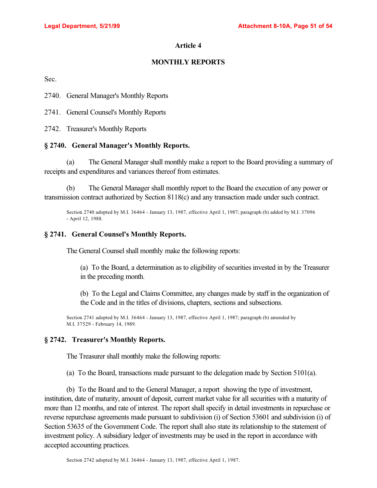# **MONTHLY REPORTS**

Sec.

2740. General Manager's Monthly Reports

2741. General Counsel's Monthly Reports

2742. Treasurer's Monthly Reports

## **§ 2740. General Manager's Monthly Reports.**

(a) The General Manager shall monthly make a report to the Board providing a summary of receipts and expenditures and variances thereof from estimates.

(b) The General Manager shall monthly report to the Board the execution of any power or transmission contract authorized by Section 8118(c) and any transaction made under such contract.

Section 2740 adopted by M.I. 36464 - January 13, 1987, effective April 1, 1987; paragraph (b) added by M.I. 37096 - April 12, 1988.

# **§ 2741. General Counsel's Monthly Reports.**

The General Counsel shall monthly make the following reports:

(a) To the Board, a determination as to eligibility of securities invested in by the Treasurer in the preceding month.

(b) To the Legal and Claims Committee, any changes made by staff in the organization of the Code and in the titles of divisions, chapters, sections and subsections.

Section 2741 adopted by M.I. 36464 - January 13, 1987, effective April 1, 1987; paragraph (b) amended by M.I. 37529 - February 14, 1989.

# **§ 2742. Treasurer's Monthly Reports.**

The Treasurer shall monthly make the following reports:

(a) To the Board, transactions made pursuant to the delegation made by Section 5101(a).

(b) To the Board and to the General Manager, a report showing the type of investment, institution, date of maturity, amount of deposit, current market value for all securities with a maturity of more than 12 months, and rate of interest. The report shall specify in detail investments in repurchase or reverse repurchase agreements made pursuant to subdivision (i) of Section 53601 and subdivision (i) of Section 53635 of the Government Code. The report shall also state its relationship to the statement of investment policy. A subsidiary ledger of investments may be used in the report in accordance with accepted accounting practices.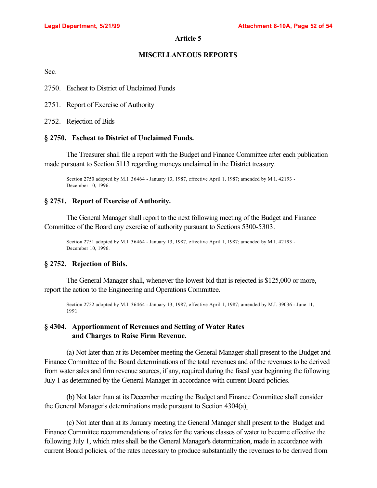# **MISCELLANEOUS REPORTS**

Sec.

- 2750. Escheat to District of Unclaimed Funds
- 2751. Report of Exercise of Authority
- 2752. Rejection of Bids

### **§ 2750. Escheat to District of Unclaimed Funds.**

The Treasurer shall file a report with the Budget and Finance Committee after each publication made pursuant to Section 5113 regarding moneys unclaimed in the District treasury.

Section 2750 adopted by M.I. 36464 - January 13, 1987, effective April 1, 1987; amended by M.I. 42193 - December 10, 1996.

## **§ 2751. Report of Exercise of Authority.**

The General Manager shall report to the next following meeting of the Budget and Finance Committee of the Board any exercise of authority pursuant to Sections 5300-5303.

Section 2751 adopted by M.I. 36464 - January 13, 1987, effective April 1, 1987; amended by M.I. 42193 - December 10, 1996.

# **§ 2752. Rejection of Bids.**

The General Manager shall, whenever the lowest bid that is rejected is \$125,000 or more, report the action to the Engineering and Operations Committee.

Section 2752 adopted by M.I. 36464 - January 13, 1987, effective April 1, 1987; amended by M.I. 39036 - June 11, 1991.

# **§ 4304. Apportionment of Revenues and Setting of Water Rates and Charges to Raise Firm Revenue.**

(a) Not later than at its December meeting the General Manager shall present to the Budget and Finance Committee of the Board determinations of the total revenues and of the revenues to be derived from water sales and firm revenue sources, if any, required during the fiscal year beginning the following July 1 as determined by the General Manager in accordance with current Board policies.

(b) Not later than at its December meeting the Budget and Finance Committee shall consider the General Manager's determinations made pursuant to Section 4304(a).

(c) Not later than at its January meeting the General Manager shall present to the Budget and Finance Committee recommendations of rates for the various classes of water to become effective the following July 1, which rates shall be the General Manager's determination, made in accordance with current Board policies, of the rates necessary to produce substantially the revenues to be derived from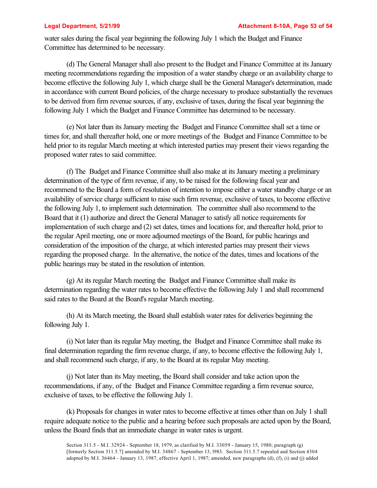water sales during the fiscal year beginning the following July 1 which the Budget and Finance Committee has determined to be necessary.

(d) The General Manager shall also present to the Budget and Finance Committee at its January meeting recommendations regarding the imposition of a water standby charge or an availability charge to become effective the following July 1, which charge shall be the General Manager's determination, made in accordance with current Board policies, of the charge necessary to produce substantially the revenues to be derived from firm revenue sources, if any, exclusive of taxes, during the fiscal year beginning the following July 1 which the Budget and Finance Committee has determined to be necessary.

(e) Not later than its January meeting the Budget and Finance Committee shall set a time or times for, and shall thereafter hold, one or more meetings of the Budget and Finance Committee to be held prior to its regular March meeting at which interested parties may present their views regarding the proposed water rates to said committee.

(f) The Budget and Finance Committee shall also make at its January meeting a preliminary determination of the type of firm revenue, if any, to be raised for the following fiscal year and recommend to the Board a form of resolution of intention to impose either a water standby charge or an availability of service charge sufficient to raise such firm revenue, exclusive of taxes, to become effective the following July 1, to implement such determination. The committee shall also recommend to the Board that it (1) authorize and direct the General Manager to satisfy all notice requirements for implementation of such charge and (2) set dates, times and locations for, and thereafter hold, prior to the regular April meeting, one or more adjourned meetings of the Board, for public hearings and consideration of the imposition of the charge, at which interested parties may present their views regarding the proposed charge. In the alternative, the notice of the dates, times and locations of the public hearings may be stated in the resolution of intention.

(g) At its regular March meeting the Budget and Finance Committee shall make its determination regarding the water rates to become effective the following July 1 and shall recommend said rates to the Board at the Board's regular March meeting.

(h) At its March meeting, the Board shall establish water rates for deliveries beginning the following July 1.

(i) Not later than its regular May meeting, the Budget and Finance Committee shall make its final determination regarding the firm revenue charge, if any, to become effective the following July 1, and shall recommend such charge, if any, to the Board at its regular May meeting.

(j) Not later than its May meeting, the Board shall consider and take action upon the recommendations, if any, of the Budget and Finance Committee regarding a firm revenue source, exclusive of taxes, to be effective the following July 1.

(k) Proposals for changes in water rates to become effective at times other than on July 1 shall require adequate notice to the public and a hearing before such proposals are acted upon by the Board, unless the Board finds that an immediate change in water rates is urgent.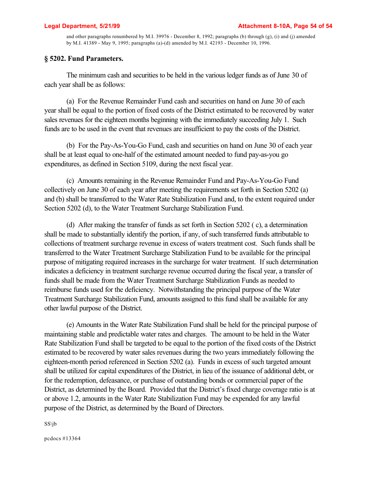and other paragraphs renumbered by M.I. 39976 - December 8, 1992; paragraphs (b) through (g), (i) and (j) amended by M.I. 41389 - May 9, 1995; paragraphs (a)-(d) amended by M.I. 42193 - December 10, 1996.

## **§ 5202. Fund Parameters.**

The minimum cash and securities to be held in the various ledger funds as of June 30 of each year shall be as follows:

(a) For the Revenue Remainder Fund cash and securities on hand on June 30 of each year shall be equal to the portion of fixed costs of the District estimated to be recovered by water sales revenues for the eighteen months beginning with the immediately succeeding July 1. Such funds are to be used in the event that revenues are insufficient to pay the costs of the District.

(b) For the Pay-As-You-Go Fund, cash and securities on hand on June 30 of each year shall be at least equal to one-half of the estimated amount needed to fund pay-as-you go expenditures, as defined in Section 5109, during the next fiscal year.

(c) Amounts remaining in the Revenue Remainder Fund and Pay-As-You-Go Fund collectively on June 30 of each year after meeting the requirements set forth in Section 5202 (a) and (b) shall be transferred to the Water Rate Stabilization Fund and, to the extent required under Section 5202 (d), to the Water Treatment Surcharge Stabilization Fund.

(d) After making the transfer of funds as set forth in Section 5202 ( c), a determination shall be made to substantially identify the portion, if any, of such transferred funds attributable to collections of treatment surcharge revenue in excess of waters treatment cost. Such funds shall be transferred to the Water Treatment Surcharge Stabilization Fund to be available for the principal purpose of mitigating required increases in the surcharge for water treatment. If such determination indicates a deficiency in treatment surcharge revenue occurred during the fiscal year, a transfer of funds shall be made from the Water Treatment Surcharge Stabilization Funds as needed to reimburse funds used for the deficiency. Notwithstanding the principal purpose of the Water Treatment Surcharge Stabilization Fund, amounts assigned to this fund shall be available for any other lawful purpose of the District.

(e) Amounts in the Water Rate Stabilization Fund shall be held for the principal purpose of maintaining stable and predictable water rates and charges. The amount to be held in the Water Rate Stabilization Fund shall be targeted to be equal to the portion of the fixed costs of the District estimated to be recovered by water sales revenues during the two years immediately following the eighteen-month period referenced in Section 5202 (a). Funds in excess of such targeted amount shall be utilized for capital expenditures of the District, in lieu of the issuance of additional debt, or for the redemption, defeasance, or purchase of outstanding bonds or commercial paper of the District, as determined by the Board. Provided that the District's fixed charge coverage ratio is at or above 1.2, amounts in the Water Rate Stabilization Fund may be expended for any lawful purpose of the District, as determined by the Board of Directors.

SS\jb

pcdocs #13364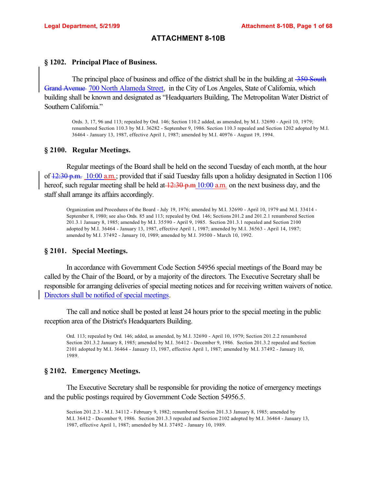# **ATTACHMENT 8-10B**

## **§ 1202. Principal Place of Business.**

The principal place of business and office of the district shall be in the building at  $\frac{350}{100}$  South Grand Avenue 700 North Alameda Street, in the City of Los Angeles, State of California, which building shall be known and designated as "Headquarters Building, The Metropolitan Water District of Southern California."

Ords. 3, 17, 96 and 113; repealed by Ord. 146; Section 110.2 added, as amended, by M.I. 32690 - April 10, 1979; renumbered Section 110.3 by M.I. 36282 - September 9, 1986. Section 110.3 repealed and Section 1202 adopted by M.I. 36464 - January 13, 1987, effective April 1, 1987; amended by M.I. 40976 - August 19, 1994.

#### **§ 2100. Regular Meetings.**

Regular meetings of the Board shall be held on the second Tuesday of each month, at the hour of  $\frac{12:30 \text{ p.m.}}{2}$  10:00 a.m.; provided that if said Tuesday falls upon a holiday designated in Section 1106 hereof, such regular meeting shall be held at  $\frac{12:30 \text{ p.m}}{10:00 \text{ a.m.}}$  on the next business day, and the staff shall arrange its affairs accordingly.

Organization and Procedures of the Board - July 19, 1976; amended by M.I. 32690 - April 10, 1979 and M.I. 33414 - September 8, 1980; see also Ords. 85 and 113; repealed by Ord. 146; Sections 201.2 and 201.2.1 renumbered Section 201.3.1 January 8, 1985; amended by M.I. 35590 - April 9, 1985. Section 201.3.1 repealed and Section 2100 adopted by M.I. 36464 - January 13, 1987, effective April 1, 1987; amended by M.I. 36563 - April 14, 1987; amended by M.I. 37492 - January 10, 1989; amended by M.I. 39500 - March 10, 1992.

## **§ 2101. Special Meetings.**

In accordance with Government Code Section 54956 special meetings of the Board may be called by the Chair of the Board, or by a majority of the directors. The Executive Secretary shall be responsible for arranging deliveries of special meeting notices and for receiving written waivers of notice. Directors shall be notified of special meetings.

The call and notice shall be posted at least 24 hours prior to the special meeting in the public reception area of the District's Headquarters Building.

Ord. 113; repealed by Ord. 146; added, as amended, by M.I. 32690 - April 10, 1979; Section 201.2.2 renumbered Section 201.3.2 January 8, 1985; amended by M.I. 36412 - December 9, 1986. Section 201.3.2 repealed and Section 2101 adopted by M.I. 36464 - January 13, 1987, effective April 1, 1987; amended by M.I. 37492 - January 10, 1989.

## **§ 2102. Emergency Meetings.**

The Executive Secretary shall be responsible for providing the notice of emergency meetings and the public postings required by Government Code Section 54956.5.

Section 201.2.3 - M.I. 34112 - February 9, 1982; renumbered Section 201.3.3 January 8, 1985; amended by M.I. 36412 - December 9, 1986. Section 201.3.3 repealed and Section 2102 adopted by M.I. 36464 - January 13, 1987, effective April 1, 1987; amended by M.I. 37492 - January 10, 1989.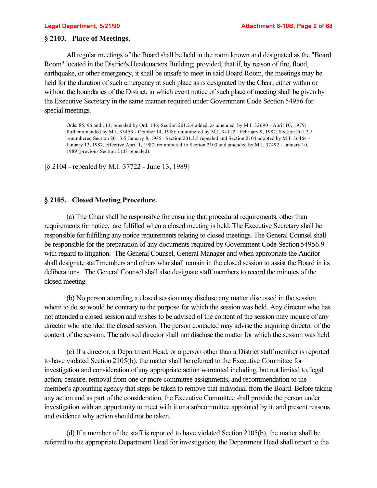## **§ 2103. Place of Meetings.**

All regular meetings of the Board shall be held in the room known and designated as the "Board Room" located in the District's Headquarters Building; provided, that if, by reason of fire, flood, earthquake, or other emergency, it shall be unsafe to meet in said Board Room, the meetings may be held for the duration of such emergency at such place as is designated by the Chair, either within or without the boundaries of the District, in which event notice of such place of meeting shall be given by the Executive Secretary in the same manner required under Government Code Section 54956 for special meetings.

Ords. 85, 96 and 113; repealed by Ord. 146; Section 201.2.4 added, as amended, by M.I. 32690 - April 10, 1979; further amended by M.I. 33453 - October 14, 1980; renumbered by M.I. 34112 - February 9, 1982; Section 201.2.5 renumbered Section 201.3.5 January 8, 1985. Section 201.3.5 repealed and Section 2104 adopted by M.I. 36464 - January 13, 1987, effective April 1, 1987; renumbered to Section 2103 and amended by M.I. 37492 - January 10, 1989 (previous Section 2103 repealed).

[§ 2104 - repealed by M.I. 37722 - June 13, 1989]

### **§ 2105. Closed Meeting Procedure.**

(a) The Chair shall be responsible for ensuring that procedural requirements, other than requirements for notice, are fulfilled when a closed meeting is held. The Executive Secretary shall be responsible for fulfilling any notice requirements relating to closed meetings. The General Counsel shall be responsible for the preparation of any documents required by Government Code Section 54956.9 with regard to litigation. The General Counsel, General Manager and when appropriate the Auditor shall designate staff members and others who shall remain in the closed session to assist the Board in its deliberations. The General Counsel shall also designate staff members to record the minutes of the closed meeting.

(b) No person attending a closed session may disclose any matter discussed in the session where to do so would be contrary to the purpose for which the session was held. Any director who has not attended a closed session and wishes to be advised of the content of the session may inquire of any director who attended the closed session. The person contacted may advise the inquiring director of the content of the session. The advised director shall not disclose the matter for which the session was held.

(c) If a director, a Department Head, or a person other than a District staff member is reported to have violated Section 2105(b), the matter shall be referred to the Executive Committee for investigation and consideration of any appropriate action warranted including, but not limited to, legal action, censure, removal from one or more committee assignments, and recommendation to the member's appointing agency that steps be taken to remove that individual from the Board. Before taking any action and as part of the consideration, the Executive Committee shall provide the person under investigation with an opportunity to meet with it or a subcommittee appointed by it, and present reasons and evidence why action should not be taken.

(d) If a member of the staff is reported to have violated Section 2105(b), the matter shall be referred to the appropriate Department Head for investigation; the Department Head shall report to the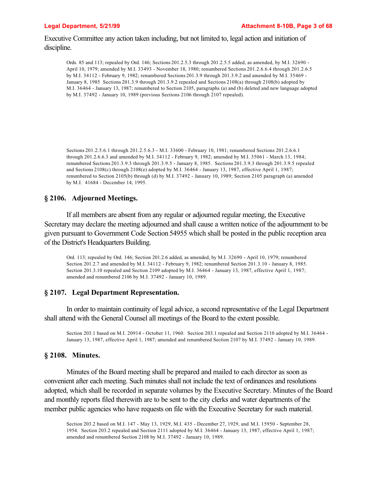Executive Committee any action taken including, but not limited to, legal action and initiation of discipline.

Ords. 85 and 113; repealed by Ord. 146; Sections 201.2.5.3 through 201.2.5.5 added, as amended, by M.I. 32690 - April 10, 1979; amended by M.I. 33493 - November 18, 1980; renumbered Sections 201.2.6.6.4 through 201.2.6.5 by M.I. 34112 - February 9, 1982; renumbered Sections 201.3.9 through 201.3.9.2 and amended by M.I. 35469 - January 8, 1985 Sections 201.3.9 through 201.3.9.2 repealed and Sections 2108(a) through 2108(b) adopted by M.I. 36464 - January 13, 1987; renumbered to Section 2105, paragraphs (a) and (b) deleted and new language adopted by M.I. 37492 - January 10, 1989 (previous Sections 2106 through 2107 repealed).

Sections 201.2.5.6.1 through 201.2.5.6.3 - M.I. 33600 - February 10, 1981; renumbered Sections 201.2.6.6.1 through 201.2.6.6.3 and amended by M.I. 34112 - February 9, 1982; amended by M.I. 35061 - March 13, 1984; renumbered Sections 201.3.9.3 through 201.3.9.5 - January 8, 1985. Sections 201.3.9.3 through 201.3.9.5 repealed and Sections 2108(c) through 2108(e) adopted by M.I. 36464 - January 13, 1987, effective April 1, 1987; renumbered to Section 2105(b) through (d) by M.I. 37492 - January 10, 1989; Section 2105 paragraph (a) amended by M.I. 41684 - December 14, 1995.

### **§ 2106. Adjourned Meetings.**

If all members are absent from any regular or adjourned regular meeting, the Executive Secretary may declare the meeting adjourned and shall cause a written notice of the adjournment to be given pursuant to Government Code Section 54955 which shall be posted in the public reception area of the District's Headquarters Building.

Ord. 113; repealed by Ord. 146; Section 201.2.6 added, as amended, by M.I. 32690 - April 10, 1979; renumbered Section 201.2.7 and amended by M.I. 34112 - February 9, 1982; renumbered Section 201.3.10 - January 8, 1985. Section 201.3.10 repealed and Section 2109 adopted by M.I. 36464 - January 13, 1987, effective April 1, 1987; amended and renumbered 2106 by M.I. 37492 - January 10, 1989.

### **§ 2107. Legal Department Representation.**

In order to maintain continuity of legal advice, a second representative of the Legal Department shall attend with the General Counsel all meetings of the Board to the extent possible.

Section 203.1 based on M.I. 20914 - October 11, 1960. Section 203.1 repealed and Section 2110 adopted by M.I. 36464 - January 13, 1987, effective April 1, 1987; amended and renumbered Section 2107 by M.I. 37492 - January 10, 1989.

## **§ 2108. Minutes.**

Minutes of the Board meeting shall be prepared and mailed to each director as soon as convenient after each meeting. Such minutes shall not include the text of ordinances and resolutions adopted, which shall be recorded in separate volumes by the Executive Secretary. Minutes of the Board and monthly reports filed therewith are to be sent to the city clerks and water departments of the member public agencies who have requests on file with the Executive Secretary for such material.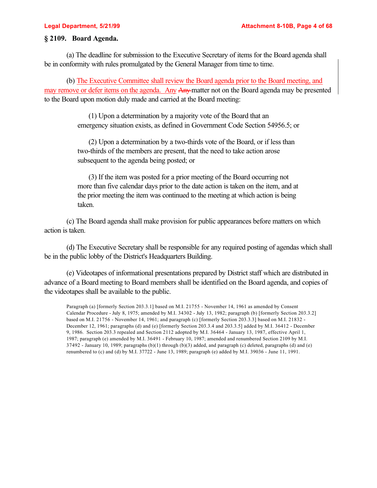## **§ 2109. Board Agenda.**

(a) The deadline for submission to the Executive Secretary of items for the Board agenda shall be in conformity with rules promulgated by the General Manager from time to time.

(b) The Executive Committee shall review the Board agenda prior to the Board meeting, and may remove or defer items on the agenda. Any Any matter not on the Board agenda may be presented to the Board upon motion duly made and carried at the Board meeting:

> (1) Upon a determination by a majority vote of the Board that an emergency situation exists, as defined in Government Code Section 54956.5; or

(2) Upon a determination by a two-thirds vote of the Board, or if less than two-thirds of the members are present, that the need to take action arose subsequent to the agenda being posted; or

(3) If the item was posted for a prior meeting of the Board occurring not more than five calendar days prior to the date action is taken on the item, and at the prior meeting the item was continued to the meeting at which action is being taken.

(c) The Board agenda shall make provision for public appearances before matters on which action is taken.

(d) The Executive Secretary shall be responsible for any required posting of agendas which shall be in the public lobby of the District's Headquarters Building.

(e) Videotapes of informational presentations prepared by District staff which are distributed in advance of a Board meeting to Board members shall be identified on the Board agenda, and copies of the videotapes shall be available to the public.

Paragraph (a) [formerly Section 203.3.1] based on M.I. 21755 - November 14, 1961 as amended by Consent Calendar Procedure - July 8, 1975; amended by M.I. 34302 - July 13, 1982; paragraph (b) [formerly Section 203.3.2] based on M.I. 21756 - November 14, 1961; and paragraph (c) [formerly Section 203.3.3] based on M.I. 21832 -December 12, 1961; paragraphs (d) and (e) [formerly Section 203.3.4 and 203.3.5] added by M.I. 36412 - December 9, 1986. Section 203.3 repealed and Section 2112 adopted by M.I. 36464 - January 13, 1987, effective April 1, 1987; paragraph (e) amended by M.I. 36491 - February 10, 1987; amended and renumbered Section 2109 by M.I.  $37492$  - January 10, 1989; paragraphs (b)(1) through (b)(3) added, and paragraph (c) deleted, paragraphs (d) and (e) renumbered to (c) and (d) by M.I. 37722 - June 13, 1989; paragraph (e) added by M.I. 39036 - June 11, 1991.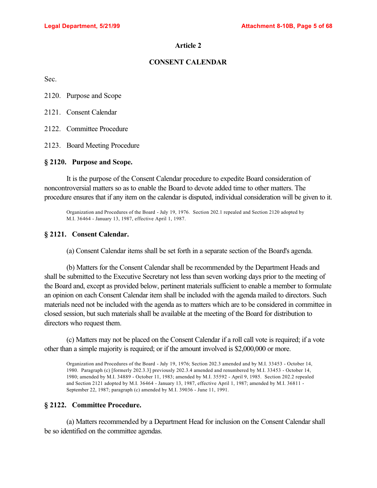## **CONSENT CALENDAR**

Sec.

2120. Purpose and Scope

2121. Consent Calendar

2122. Committee Procedure

2123. Board Meeting Procedure

#### **§ 2120. Purpose and Scope.**

It is the purpose of the Consent Calendar procedure to expedite Board consideration of noncontroversial matters so as to enable the Board to devote added time to other matters. The procedure ensures that if any item on the calendar is disputed, individual consideration will be given to it.

Organization and Procedures of the Board - July 19, 1976. Section 202.1 repealed and Section 2120 adopted by M.I. 36464 - January 13, 1987, effective April 1, 1987.

#### **§ 2121. Consent Calendar.**

(a) Consent Calendar items shall be set forth in a separate section of the Board's agenda.

(b) Matters for the Consent Calendar shall be recommended by the Department Heads and shall be submitted to the Executive Secretary not less than seven working days prior to the meeting of the Board and, except as provided below, pertinent materials sufficient to enable a member to formulate an opinion on each Consent Calendar item shall be included with the agenda mailed to directors. Such materials need not be included with the agenda as to matters which are to be considered in committee in closed session, but such materials shall be available at the meeting of the Board for distribution to directors who request them.

(c) Matters may not be placed on the Consent Calendar if a roll call vote is required; if a vote other than a simple majority is required; or if the amount involved is \$2,000,000 or more.

Organization and Procedures of the Board - July 19, 1976; Section 202.3 amended and by M.I. 33453 - October 14, 1980. Paragraph (c) [formerly 202.3.3] previously 202.3.4 amended and renumbered by M.I. 33453 - October 14, 1980; amended by M.I. 34889 - October 11, 1983; amended by M.I. 35592 - April 9, 1985. Section 202.2 repealed and Section 2121 adopted by M.I. 36464 - January 13, 1987, effective April 1, 1987; amended by M.I. 36811 - September 22, 1987; paragraph (c) amended by M.I. 39036 - June 11, 1991.

### **§ 2122. Committee Procedure.**

(a) Matters recommended by a Department Head for inclusion on the Consent Calendar shall be so identified on the committee agendas.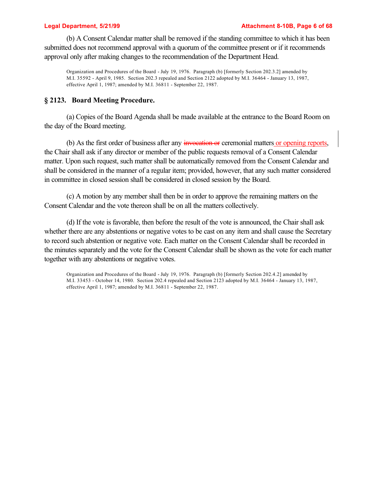#### **Legal Department, 5/21/99 Attachment 8-10B, Page 6 of 68**

(b) A Consent Calendar matter shall be removed if the standing committee to which it has been submitted does not recommend approval with a quorum of the committee present or if it recommends approval only after making changes to the recommendation of the Department Head.

Organization and Procedures of the Board - July 19, 1976. Paragraph (b) [formerly Section 202.3.2] amended by M.I. 35592 - April 9, 1985. Section 202.3 repealed and Section 2122 adopted by M.I. 36464 - January 13, 1987, effective April 1, 1987; amended by M.I. 36811 - September 22, 1987.

### **§ 2123. Board Meeting Procedure.**

(a) Copies of the Board Agenda shall be made available at the entrance to the Board Room on the day of the Board meeting.

(b) As the first order of business after any invocation or ceremonial matters or opening reports, the Chair shall ask if any director or member of the public requests removal of a Consent Calendar matter. Upon such request, such matter shall be automatically removed from the Consent Calendar and shall be considered in the manner of a regular item; provided, however, that any such matter considered in committee in closed session shall be considered in closed session by the Board.

(c) A motion by any member shall then be in order to approve the remaining matters on the Consent Calendar and the vote thereon shall be on all the matters collectively.

(d) If the vote is favorable, then before the result of the vote is announced, the Chair shall ask whether there are any abstentions or negative votes to be cast on any item and shall cause the Secretary to record such abstention or negative vote. Each matter on the Consent Calendar shall be recorded in the minutes separately and the vote for the Consent Calendar shall be shown as the vote for each matter together with any abstentions or negative votes.

Organization and Procedures of the Board - July 19, 1976. Paragraph (b) [formerly Section 202.4.2] amended by M.I. 33453 - October 14, 1980. Section 202.4 repealed and Section 2123 adopted by M.I. 36464 - January 13, 1987, effective April 1, 1987; amended by M.I. 36811 - September 22, 1987.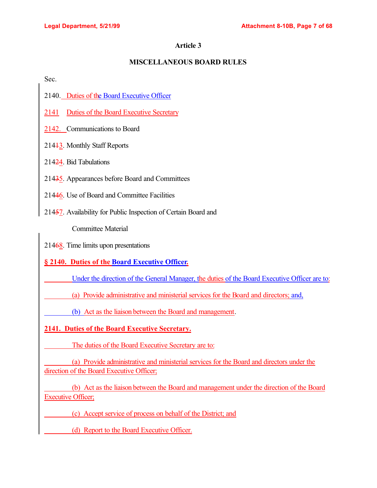# **MISCELLANEOUS BOARD RULES**

Sec.

- 2140. Duties of the Board Executive Officer
- 2141 Duties of the Board Executive Secretary
- 2142. Communications to Board
- 21413. Monthly Staff Reports
- 21424. Bid Tabulations
- 21435. Appearances before Board and Committees
- 21446. Use of Board and Committee Facilities
- 21457. Availability for Public Inspection of Certain Board and

Committee Material

21468. Time limits upon presentations

# **§ 2140. Duties of the Board Executive Officer.**

Under the direction of the General Manager, the duties of the Board Executive Officer are to:

(a) Provide administrative and ministerial services for the Board and directors; and,

(b) Act as the liaison between the Board and management.

# **2141. Duties of the Board Executive Secretary.**

The duties of the Board Executive Secretary are to:

 (a) Provide administrative and ministerial services for the Board and directors under the direction of the Board Executive Officer;

 (b) Act as the liaison between the Board and management under the direction of the Board Executive Officer;

(c) Accept service of process on behalf of the District; and

(d) Report to the Board Executive Officer.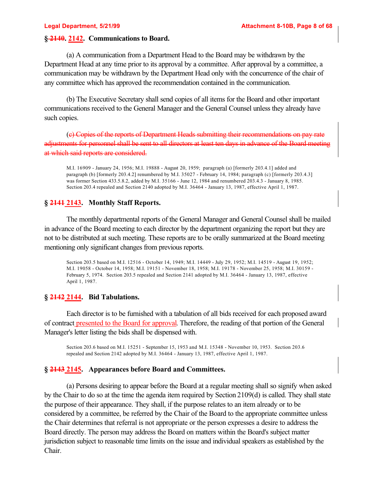# **§ 2140. 2142. Communications to Board.**

(a) A communication from a Department Head to the Board may be withdrawn by the Department Head at any time prior to its approval by a committee. After approval by a committee, a communication may be withdrawn by the Department Head only with the concurrence of the chair of any committee which has approved the recommendation contained in the communication.

(b) The Executive Secretary shall send copies of all items for the Board and other important communications received to the General Manager and the General Counsel unless they already have such copies.

(c) Copies of the reports of Department Heads submitting their recommendations on pay rate adjustments for personnel shall be sent to all directors at least ten days in advance of the Board meeting at which said reports are considered.

M.I. 16909 - January 24, 1956; M.I. 19888 - August 20, 1959; paragraph (a) [formerly 203.4.1] added and paragraph (b) [formerly 203.4.2] renumbered by M.I. 35027 - February 14, 1984; paragraph (c) [formerly 203.4.3] was former Section 433.5.8.2, added by M.I. 35166 - June 12, 1984 and renumbered 203.4.3 - January 8, 1985. Section 203.4 repealed and Section 2140 adopted by M.I. 36464 - January 13, 1987, effective April 1, 1987.

# **§ 2141 2143. Monthly Staff Reports.**

The monthly departmental reports of the General Manager and General Counsel shall be mailed in advance of the Board meeting to each director by the department organizing the report but they are not to be distributed at such meeting. These reports are to be orally summarized at the Board meeting mentioning only significant changes from previous reports.

Section 203.5 based on M.I. 12516 - October 14, 1949; M.I. 14449 - July 29, 1952; M.I. 14519 - August 19, 1952; M.I. 19058 - October 14, 1958; M.I. 19151 - November 18, 1958; M.I. 19178 - November 25, 1958; M.I. 30159 - February 5, 1974. Section 203.5 repealed and Section 2141 adopted by M.I. 36464 - January 13, 1987, effective April 1, 1987.

# **§ 2142 2144. Bid Tabulations.**

Each director is to be furnished with a tabulation of all bids received for each proposed award of contract presented to the Board for approval. Therefore, the reading of that portion of the General Manager's letter listing the bids shall be dispensed with.

Section 203.6 based on M.I. 15251 - September 15, 1953 and M.I. 15348 - November 10, 1953. Section 203.6 repealed and Section 2142 adopted by M.I. 36464 - January 13, 1987, effective April 1, 1987.

# **§ 2143 2145. Appearances before Board and Committees.**

(a) Persons desiring to appear before the Board at a regular meeting shall so signify when asked by the Chair to do so at the time the agenda item required by Section 2109(d) is called. They shall state the purpose of their appearance. They shall, if the purpose relates to an item already or to be considered by a committee, be referred by the Chair of the Board to the appropriate committee unless the Chair determines that referral is not appropriate or the person expresses a desire to address the Board directly. The person may address the Board on matters within the Board's subject matter jurisdiction subject to reasonable time limits on the issue and individual speakers as established by the Chair.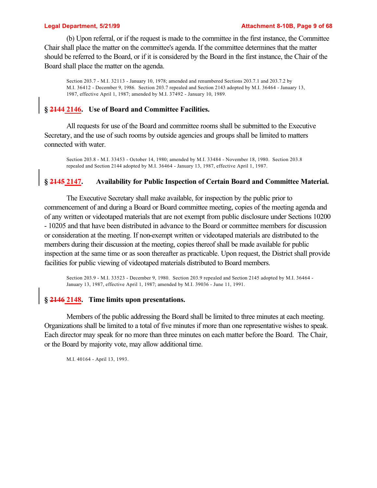(b) Upon referral, or if the request is made to the committee in the first instance, the Committee Chair shall place the matter on the committee's agenda. If the committee determines that the matter should be referred to the Board, or if it is considered by the Board in the first instance, the Chair of the Board shall place the matter on the agenda.

Section 203.7 - M.I. 32113 - January 10, 1978; amended and renumbered Sections 203.7.1 and 203.7.2 by M.I. 36412 - December 9, 1986. Section 203.7 repealed and Section 2143 adopted by M.I. 36464 - January 13, 1987, effective April 1, 1987; amended by M.I. 37492 - January 10, 1989.

# **§ 2144 2146. Use of Board and Committee Facilities.**

All requests for use of the Board and committee rooms shall be submitted to the Executive Secretary, and the use of such rooms by outside agencies and groups shall be limited to matters connected with water.

Section 203.8 - M.I. 33453 - October 14, 1980; amended by M.I. 33484 - November 18, 1980. Section 203.8 repealed and Section 2144 adopted by M.I. 36464 - January 13, 1987, effective April 1, 1987.

## **§ 2145 2147. Availability for Public Inspection of Certain Board and Committee Material.**

The Executive Secretary shall make available, for inspection by the public prior to commencement of and during a Board or Board committee meeting, copies of the meeting agenda and of any written or videotaped materials that are not exempt from public disclosure under Sections 10200 - 10205 and that have been distributed in advance to the Board or committee members for discussion or consideration at the meeting. If non-exempt written or videotaped materials are distributed to the members during their discussion at the meeting, copies thereof shall be made available for public inspection at the same time or as soon thereafter as practicable. Upon request, the District shall provide facilities for public viewing of videotaped materials distributed to Board members.

Section 203.9 - M.I. 33523 - December 9, 1980. Section 203.9 repealed and Section 2145 adopted by M.I. 36464 - January 13, 1987, effective April 1, 1987; amended by M.I. 39036 - June 11, 1991.

# **§ 2146 2148. Time limits upon presentations.**

Members of the public addressing the Board shall be limited to three minutes at each meeting. Organizations shall be limited to a total of five minutes if more than one representative wishes to speak. Each director may speak for no more than three minutes on each matter before the Board. The Chair, or the Board by majority vote, may allow additional time.

M.I. 40164 - April 13, 1993.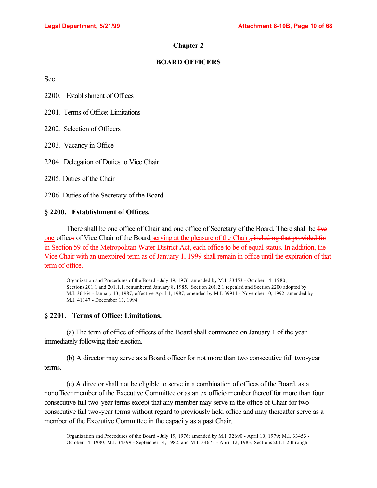## **Chapter 2**

## **BOARD OFFICERS**

Sec.

2200. Establishment of Offices

2201. Terms of Office: Limitations

2202. Selection of Officers

2203. Vacancy in Office

2204. Delegation of Duties to Vice Chair

2205. Duties of the Chair

2206. Duties of the Secretary of the Board

## **§ 2200. Establishment of Offices.**

There shall be one office of Chair and one office of Secretary of the Board. There shall be five one offices of Vice Chair of the Board serving at the pleasure of the Chair., including that provided for in Section 59 of the Metropolitan Water District Act, each office to be of equal status. In addition, the Vice Chair with an unexpired term as of January 1, 1999 shall remain in office until the expiration of that term of office.

Organization and Procedures of the Board - July 19, 1976; amended by M.I. 33453 - October 14, 1980; Sections 201.1 and 201.1.1, renumbered January 8, 1985. Section 201.2.1 repealed and Section 2200 adopted by M.I. 36464 - January 13, 1987, effective April 1, 1987; amended by M.I. 39911 - November 10, 1992; amended by M.I. 41147 - December 13, 1994.

# **§ 2201. Terms of Office; Limitations.**

(a) The term of office of officers of the Board shall commence on January 1 of the year immediately following their election.

(b) A director may serve as a Board officer for not more than two consecutive full two-year terms.

(c) A director shall not be eligible to serve in a combination of offices of the Board, as a nonofficer member of the Executive Committee or as an ex officio member thereof for more than four consecutive full two-year terms except that any member may serve in the office of Chair for two consecutive full two-year terms without regard to previously held office and may thereafter serve as a member of the Executive Committee in the capacity as a past Chair.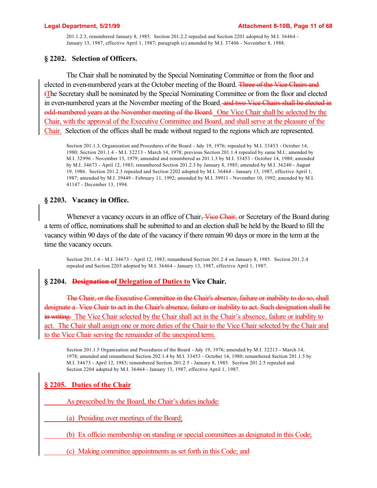201.1.2.3, renumbered January 8, 1985. Section 201.2.2 repealed and Section 2201 adopted by M.I. 36464 - January 13, 1987, effective April 1, 1987; paragraph (c) amended by M.I. 37406 - November 8, 1988.

## **§ 2202. Selection of Officers.**

The Chair shall be nominated by the Special Nominating Committee or from the floor and elected in even-numbered years at the October meeting of the Board. Three of the Vice Chairs and tThe Secretary shall be nominated by the Special Nominating Committee or from the floor and elected in even-numbered years at the November meeting of the Board. and two Vice Chairs shall be elected in odd-numbered years at the November meeting of the Board. One Vice Chair shall be selected by the Chair, with the approval of the Executive Committee and Board, and shall serve at the pleasure of the Chair. Selection of the offices shall be made without regard to the regions which are represented.

Section 201.1.3, Organization and Procedures of the Board - July 19, 1976; repealed by M.I. 33453 - October 14, 1980; Section 201.1.4 - M.I. 32213 - March 14, 1978; previous Section 201.1.4 repealed by same M.I.; amended by M.I. 32996 - November 13, 1979; amended and renumbered as 201.1.3 by M.I. 33453 - October 14, 1980; amended by M.I. 34673 - April 12, 1983; renumbered Section 201.2.3 by January 8, 1985; amended by M.I. 36240 - August 19, 1986. Section 201.2.3 repealed and Section 2202 adopted by M.I. 36464 - January 13, 1987, effective April 1, 1987; amended by M.I. 39449 - February 11, 1992; amended by M.I. 39911 - November 10, 1992; amended by M.I. 41147 - December 13, 1994.

# **§ 2203. Vacancy in Office.**

Whenever a vacancy occurs in an office of Chair, Vice Chair, or Secretary of the Board during a term of office, nominations shall be submitted to and an election shall be held by the Board to fill the vacancy within 90 days of the date of the vacancy if there remain 90 days or more in the term at the time the vacancy occurs.

Section 201.1.4 - M.I. 34673 - April 12, 1983; renumbered Section 201.2.4 on January 8, 1985. Section 201.2.4 repealed and Section 2203 adopted by M.I. 36464 - January 13, 1987, effective April 1, 1987.

### **§ 2204. Designation of Delegation of Duties to Vice Chair.**

The Chair, or the Executive Committee in the Chair's absence, failure or inability to do so, shall designate a Vice Chair to act in the Chair's absence, failure or inability to act. Such designation shall be in writing. The Vice Chair selected by the Chair shall act in the Chair's absence, failure or inability to act. The Chair shall assign one or more duties of the Chair to the Vice Chair selected by the Chair and to the Vice Chair serving the remainder of the unexpired term.

Section 201.1.5 Organization and Procedures of the Board - July 19, 1976; amended by M.I. 32213 - March 14, 1978; amended and renumbered Section 202.1.4 by M.I. 33453 - October 14, 1980; renumbered Section 201.1.5 by M.I. 34673 - April 12, 1983; renumbered Section 201.2.5 - January 8, 1985. Section 201.2.5 repealed and Section 2204 adopted by M.I. 36464 - January 13, 1987, effective April 1, 1987.

# **§ 2205. Duties of the Chair**

As prescribed by the Board, the Chair's duties include:

(a) Presiding over meetings of the Board;

(b) Ex officio membership on standing or special committees as designated in this Code;

(c) Making committee appointments as set forth in this Code; and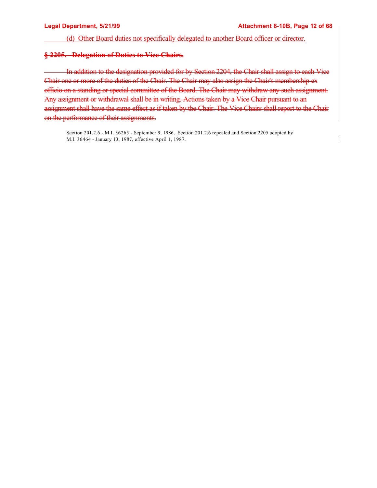(d) Other Board duties not specifically delegated to another Board officer or director.

## **§ 2205. Delegation of Duties to Vice Chairs.**

 In addition to the designation provided for by Section 2204, the Chair shall assign to each Vice Chair one or more of the duties of the Chair. The Chair may also assign the Chair's membership ex officio on a standing or special committee of the Board. The Chair may withdraw any such assignment. Any assignment or withdrawal shall be in writing. Actions taken by a Vice Chair pursuant to an assignment shall have the same effect as if taken by the Chair. The Vice Chairs shall report to the Chair on the performance of their assignments.

Section 201.2.6 - M.I. 36265 - September 9, 1986. Section 201.2.6 repealed and Section 2205 adopted by M.I. 36464 - January 13, 1987, effective April 1, 1987.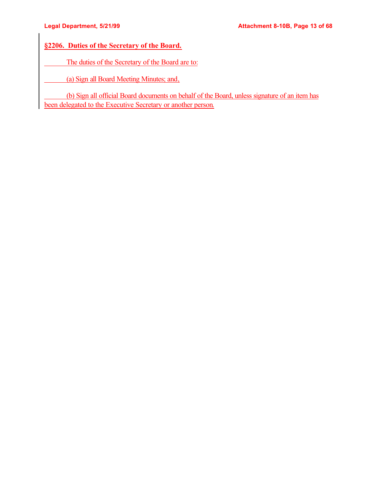# **§2206. Duties of the Secretary of the Board.**

The duties of the Secretary of the Board are to:

(a) Sign all Board Meeting Minutes; and,

 (b) Sign all official Board documents on behalf of the Board, unless signature of an item has been delegated to the Executive Secretary or another person.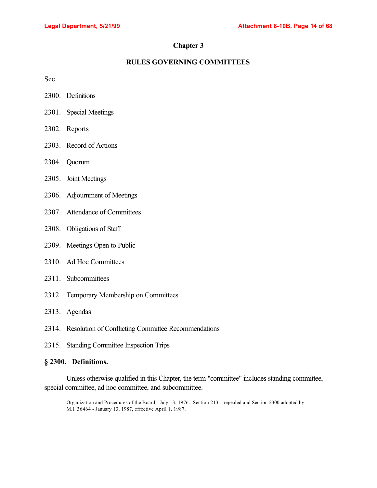# **Chapter 3**

## **RULES GOVERNING COMMITTEES**

Sec.

- 2300. Definitions
- 2301. Special Meetings
- 2302. Reports
- 2303. Record of Actions
- 2304. Quorum
- 2305. Joint Meetings
- 2306. Adjournment of Meetings
- 2307. Attendance of Committees
- 2308. Obligations of Staff
- 2309. Meetings Open to Public
- 2310. Ad Hoc Committees
- 2311. Subcommittees
- 2312. Temporary Membership on Committees
- 2313. Agendas
- 2314. Resolution of Conflicting Committee Recommendations
- 2315. Standing Committee Inspection Trips

### **§ 2300. Definitions.**

Unless otherwise qualified in this Chapter, the term "committee" includes standing committee, special committee, ad hoc committee, and subcommittee.

Organization and Procedures of the Board - July 13, 1976. Section 213.1 repealed and Section 2300 adopted by M.I. 36464 - January 13, 1987, effective April 1, 1987.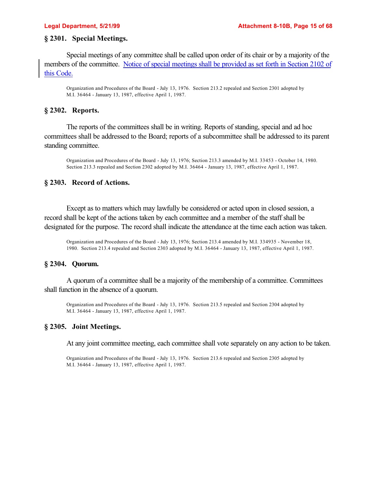## **§ 2301. Special Meetings.**

Special meetings of any committee shall be called upon order of its chair or by a majority of the members of the committee. Notice of special meetings shall be provided as set forth in Section 2102 of this Code.

Organization and Procedures of the Board - July 13, 1976. Section 213.2 repealed and Section 2301 adopted by M.I. 36464 - January 13, 1987, effective April 1, 1987.

#### **§ 2302. Reports.**

The reports of the committees shall be in writing. Reports of standing, special and ad hoc committees shall be addressed to the Board; reports of a subcommittee shall be addressed to its parent standing committee.

Organization and Procedures of the Board - July 13, 1976; Section 213.3 amended by M.I. 33453 - October 14, 1980. Section 213.3 repealed and Section 2302 adopted by M.I. 36464 - January 13, 1987, effective April 1, 1987.

### **§ 2303. Record of Actions.**

Except as to matters which may lawfully be considered or acted upon in closed session, a record shall be kept of the actions taken by each committee and a member of the staff shall be designated for the purpose. The record shall indicate the attendance at the time each action was taken.

Organization and Procedures of the Board - July 13, 1976; Section 213.4 amended by M.I. 334935 - November 18, 1980. Section 213.4 repealed and Section 2303 adopted by M.I. 36464 - January 13, 1987, effective April 1, 1987.

## **§ 2304. Quorum.**

A quorum of a committee shall be a majority of the membership of a committee. Committees shall function in the absence of a quorum.

Organization and Procedures of the Board - July 13, 1976. Section 213.5 repealed and Section 2304 adopted by M.I. 36464 - January 13, 1987, effective April 1, 1987.

#### **§ 2305. Joint Meetings.**

At any joint committee meeting, each committee shall vote separately on any action to be taken.

Organization and Procedures of the Board - July 13, 1976. Section 213.6 repealed and Section 2305 adopted by M.I. 36464 - January 13, 1987, effective April 1, 1987.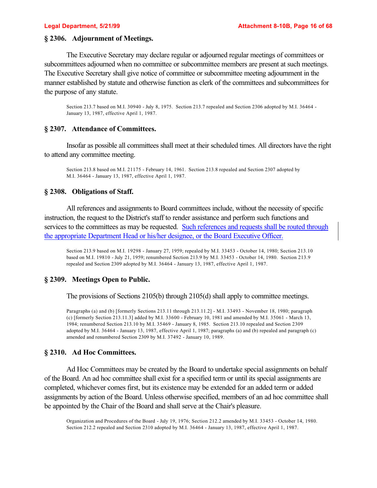## **§ 2306. Adjournment of Meetings.**

The Executive Secretary may declare regular or adjourned regular meetings of committees or subcommittees adjourned when no committee or subcommittee members are present at such meetings. The Executive Secretary shall give notice of committee or subcommittee meeting adjournment in the manner established by statute and otherwise function as clerk of the committees and subcommittees for the purpose of any statute.

Section 213.7 based on M.I. 30940 - July 8, 1975. Section 213.7 repealed and Section 2306 adopted by M.I. 36464 - January 13, 1987, effective April 1, 1987.

## **§ 2307. Attendance of Committees.**

Insofar as possible all committees shall meet at their scheduled times. All directors have the right to attend any committee meeting.

Section 213.8 based on M.I. 21175 - February 14, 1961. Section 213.8 repealed and Section 2307 adopted by M.I. 36464 - January 13, 1987, effective April 1, 1987.

## **§ 2308. Obligations of Staff.**

All references and assignments to Board committees include, without the necessity of specific instruction, the request to the District's staff to render assistance and perform such functions and services to the committees as may be requested. Such references and requests shall be routed through the appropriate Department Head or his/her designee, or the Board Executive Officer.

Section 213.9 based on M.I. 19298 - January 27, 1959; repealed by M.I. 33453 - October 14, 1980; Section 213.10 based on M.I. 19810 - July 21, 1959; renumbered Section 213.9 by M.I. 33453 - October 14, 1980. Section 213.9 repealed and Section 2309 adopted by M.I. 36464 - January 13, 1987, effective April 1, 1987.

# **§ 2309. Meetings Open to Public.**

The provisions of Sections 2105(b) through 2105(d) shall apply to committee meetings.

Paragraphs (a) and (b) [formerly Sections 213.11 through 213.11.2] - M.I. 33493 - November 18, 1980; paragraph (c) [formerly Section 213.11.3] added by M.I. 33600 - February 10, 1981 and amended by M.I. 35061 - March 13, 1984; renumbered Section 213.10 by M.I. 35469 - January 8, 1985. Section 213.10 repealed and Section 2309 adopted by M.I. 36464 - January 13, 1987, effective April 1, 1987; paragraphs (a) and (b) repealed and paragraph (c) amended and renumbered Section 2309 by M.I. 37492 - January 10, 1989.

# **§ 2310. Ad Hoc Committees.**

Ad Hoc Committees may be created by the Board to undertake special assignments on behalf of the Board. An ad hoc committee shall exist for a specified term or until its special assignments are completed, whichever comes first, but its existence may be extended for an added term or added assignments by action of the Board. Unless otherwise specified, members of an ad hoc committee shall be appointed by the Chair of the Board and shall serve at the Chair's pleasure.

Organization and Procedures of the Board - July 19, 1976; Section 212.2 amended by M.I. 33453 - October 14, 1980. Section 212.2 repealed and Section 2310 adopted by M.I. 36464 - January 13, 1987, effective April 1, 1987.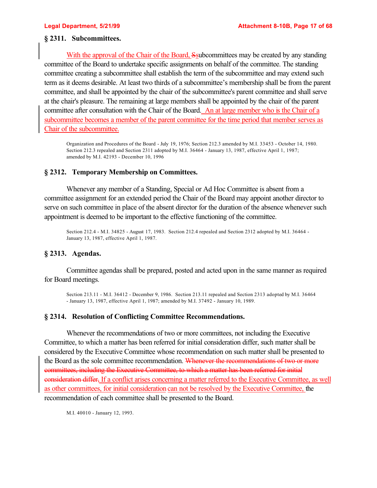## **§ 2311. Subcommittees.**

With the approval of the Chair of the Board, Ssubcommittees may be created by any standing committee of the Board to undertake specific assignments on behalf of the committee. The standing committee creating a subcommittee shall establish the term of the subcommittee and may extend such term as it deems desirable. At least two thirds of a subcommittee's membership shall be from the parent committee, and shall be appointed by the chair of the subcommittee's parent committee and shall serve at the chair's pleasure. The remaining at large members shall be appointed by the chair of the parent committee after consultation with the Chair of the Board. An at large member who is the Chair of a subcommittee becomes a member of the parent committee for the time period that member serves as Chair of the subcommittee.

Organization and Procedures of the Board - July 19, 1976; Section 212.3 amended by M.I. 33453 - October 14, 1980. Section 212.3 repealed and Section 2311 adopted by M.I. 36464 - January 13, 1987, effective April 1, 1987; amended by M.I. 42193 - December 10, 1996

## **§ 2312. Temporary Membership on Committees.**

Whenever any member of a Standing, Special or Ad Hoc Committee is absent from a committee assignment for an extended period the Chair of the Board may appoint another director to serve on such committee in place of the absent director for the duration of the absence whenever such appointment is deemed to be important to the effective functioning of the committee.

Section 212.4 - M.I. 34825 - August 17, 1983. Section 212.4 repealed and Section 2312 adopted by M.I. 36464 - January 13, 1987, effective April 1, 1987.

### **§ 2313. Agendas.**

Committee agendas shall be prepared, posted and acted upon in the same manner as required for Board meetings.

Section 213.11 - M.I. 36412 - December 9, 1986. Section 213.11 repealed and Section 2313 adopted by M.I. 36464 - January 13, 1987, effective April 1, 1987; amended by M.I. 37492 - January 10, 1989.

### **§ 2314. Resolution of Conflicting Committee Recommendations.**

Whenever the recommendations of two or more committees, not including the Executive Committee, to which a matter has been referred for initial consideration differ, such matter shall be considered by the Executive Committee whose recommendation on such matter shall be presented to the Board as the sole committee recommendation. Whenever the recommendations of two or more committees, including the Executive Committee, to which a matter has been referred for initial consideration differ, If a conflict arises concerning a matter referred to the Executive Committee, as well as other committees, for initial consideration can not be resolved by the Executive Committee, the recommendation of each committee shall be presented to the Board.

M.I. 40010 - January 12, 1993.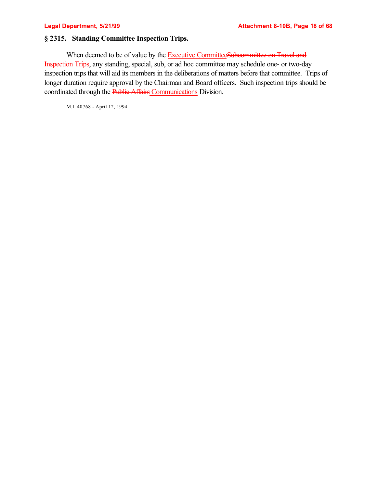## **§ 2315. Standing Committee Inspection Trips.**

When deemed to be of value by the Executive CommitteeSubcommittee on Travel and Inspection Trips, any standing, special, sub, or ad hoc committee may schedule one- or two-day inspection trips that will aid its members in the deliberations of matters before that committee. Trips of longer duration require approval by the Chairman and Board officers. Such inspection trips should be coordinated through the Public Affairs Communications Division.

M.I. 40768 - April 12, 1994.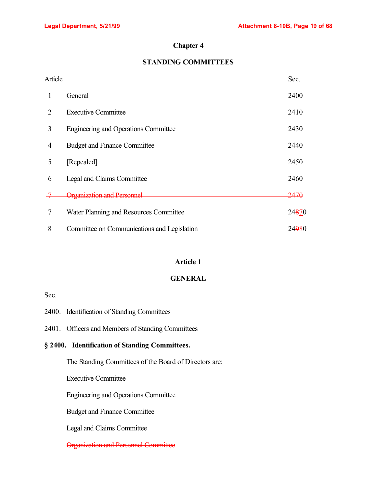# **Chapter 4**

# **STANDING COMMITTEES**

| Article |                                             | Sec.            |
|---------|---------------------------------------------|-----------------|
| 1       | General                                     | 2400            |
| 2       | <b>Executive Committee</b>                  | 2410            |
| 3       | <b>Engineering and Operations Committee</b> | 2430            |
| 4       | <b>Budget and Finance Committee</b>         | 2440            |
| 5       | [Repealed]                                  | 2450            |
| 6       | Legal and Claims Committee                  | 2460            |
|         | <del>Organization and Personnel</del>       | <del>2470</del> |
| 7       | Water Planning and Resources Committee      | 24870           |
| 8       | Committee on Communications and Legislation | 24980           |

# **Article 1**

## **GENERAL**

Sec.

|                                                | 2400. Identification of Standing Committees            |  |  |
|------------------------------------------------|--------------------------------------------------------|--|--|
|                                                | 2401. Officers and Members of Standing Committees      |  |  |
| § 2400. Identification of Standing Committees. |                                                        |  |  |
|                                                | The Standing Committees of the Board of Directors are: |  |  |
|                                                | <b>Executive Committee</b>                             |  |  |
|                                                | <b>Engineering and Operations Committee</b>            |  |  |
|                                                | <b>Budget and Finance Committee</b>                    |  |  |
|                                                | Legal and Claims Committee                             |  |  |
|                                                | <u> Organization and Personnel Comm</u>                |  |  |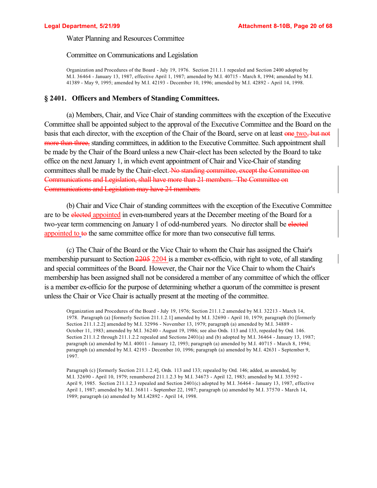Water Planning and Resources Committee

#### Committee on Communications and Legislation

Organization and Procedures of the Board - July 19, 1976. Section 211.1.1 repealed and Section 2400 adopted by M.I. 36464 - January 13, 1987, effective April 1, 1987; amended by M.I. 40715 - March 8, 1994; amended by M.I. 41389 - May 9, 1995; amended by M.I. 42193 - December 10, 1996; amended by M.I. 42892 - April 14, 1998.

### **§ 2401. Officers and Members of Standing Committees.**

(a) Members, Chair, and Vice Chair of standing committees with the exception of the Executive Committee shall be appointed subject to the approval of the Executive Committee and the Board on the basis that each director, with the exception of the Chair of the Board, serve on at least one two, but not more than three, standing committees, in addition to the Executive Committee. Such appointment shall be made by the Chair of the Board unless a new Chair-elect has been selected by the Board to take office on the next January 1, in which event appointment of Chair and Vice-Chair of standing committees shall be made by the Chair-elect. No standing committee, except the Committee on Communications and Legislation, shall have more than 21 members. The Committee on Communications and Legislation may have 24 members.

(b) Chair and Vice Chair of standing committees with the exception of the Executive Committee are to be elected appointed in even-numbered years at the December meeting of the Board for a two-year term commencing on January 1 of odd-numbered years. No director shall be elected appointed to to the same committee office for more than two consecutive full terms.

(c) The Chair of the Board or the Vice Chair to whom the Chair has assigned the Chair's membership pursuant to Section 2205 2204 is a member ex-officio, with right to vote, of all standing and special committees of the Board. However, the Chair nor the Vice Chair to whom the Chair's membership has been assigned shall not be considered a member of any committee of which the officer is a member ex-officio for the purpose of determining whether a quorum of the committee is present unless the Chair or Vice Chair is actually present at the meeting of the committee.

Organization and Procedures of the Board - July 19, 1976; Section 211.1.2 amended by M.I. 32213 - March 14, 1978. Paragraph (a) [formerly Section 211.1.2.1] amended by M.I. 32690 - April 10, 1979; paragraph (b) [formerly Section 211.1.2.2] amended by M.I. 32996 - November 13, 1979; paragraph (a) amended by M.I. 34889 - October 11, 1983; amended by M.I. 36240 - August 19, 1986; see also Ords. 113 and 133, repealed by Ord. 146. Section 211.1.2 through 211.1.2.2 repealed and Sections 2401(a) and (b) adopted by M.I. 36464 - January 13, 1987; paragraph (a) amended by M.I. 40011 - January 12, 1993; paragraph (a) amended by M.I. 40715 - March 8, 1994; paragraph (a) amended by M.I. 42193 - December 10, 1996; paragraph (a) amended by M.I. 42631 - September 9, 1997.

Paragraph (c) [formerly Section 211.1.2.4], Ords. 113 and 133; repealed by Ord. 146; added, as amended, by M.I. 32690 - April 10, 1979; renumbered 211.1.2.3 by M.I. 34673 - April 12, 1983; amended by M.I. 35592 - April 9, 1985. Section 211.1.2.3 repealed and Section 2401(c) adopted by M.I. 36464 - January 13, 1987, effective April 1, 1987; amended by M.I. 36811 - September 22, 1987; paragraph (a) amended by M.I. 37570 - March 14, 1989; paragraph (a) amended by M.I.42892 - April 14, 1998.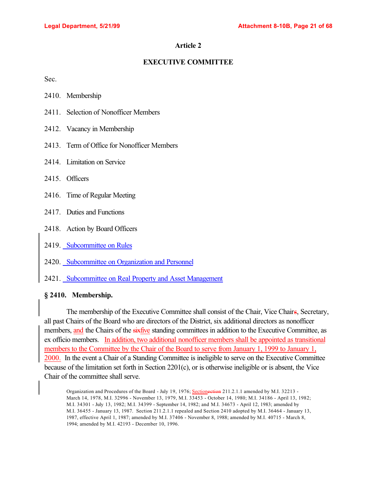## **EXECUTIVE COMMITTEE**

Sec.

- 2410. Membership
- 2411. Selection of Nonofficer Members
- 2412. Vacancy in Membership
- 2413. Term of Office for Nonofficer Members
- 2414. Limitation on Service
- 2415. Officers
- 2416. Time of Regular Meeting
- 2417. Duties and Functions
- 2418. Action by Board Officers
- 2419. Subcommittee on Rules
- 2420. Subcommittee on Organization and Personnel
- 2421. Subcommittee on Real Property and Asset Management

## **§ 2410. Membership.**

The membership of the Executive Committee shall consist of the Chair, Vice Chairs, Secretary, all past Chairs of the Board who are directors of the District, six additional directors as nonofficer members, and the Chairs of the sixfive standing committees in addition to the Executive Committee, as ex officio members. In addition, two additional nonofficer members shall be appointed as transitional members to the Committee by the Chair of the Board to serve from January 1, 1999 to January 1, 2000. In the event a Chair of a Standing Committee is ineligible to serve on the Executive Committee because of the limitation set forth in Section 2201(c), or is otherwise ineligible or is absent, the Vice Chair of the committee shall serve.

Organization and Procedures of the Board - July 19, 1976; Sectionection 211.2.1.1 amended by M.I. 32213 -March 14, 1978, M.I. 32996 - November 13, 1979, M.I. 33453 - October 14, 1980; M.I. 34186 - April 13, 1982; M.I. 34301 - July 13, 1982; M.I. 34399 - September 14, 1982; and M.I. 34673 - April 12, 1983; amended by M.I. 36455 - January 13, 1987. Section 211.2.1.1 repealed and Section 2410 adopted by M.I. 36464 - January 13, 1987, effective April 1, 1987; amended by M.I. 37406 - November 8, 1988; amended by M.I. 40715 - March 8, 1994; amended by M.I. 42193 - December 10, 1996.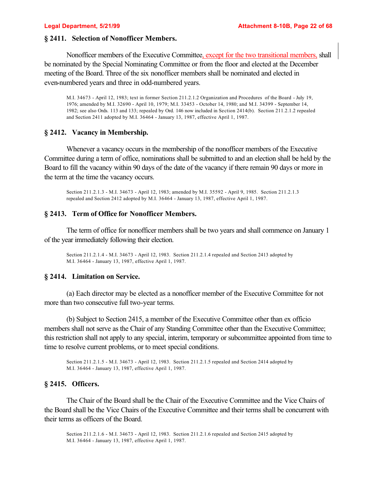### **§ 2411. Selection of Nonofficer Members.**

Nonofficer members of the Executive Committee, except for the two transitional members, shall be nominated by the Special Nominating Committee or from the floor and elected at the December meeting of the Board. Three of the six nonofficer members shall be nominated and elected in even-numbered years and three in odd-numbered years.

M.I. 34673 - April 12, 1983; text in former Section 211.2.1.2 Organization and Procedures of the Board - July 19, 1976; amended by M.I. 32690 - April 10, 1979; M.I. 33453 - October 14, 1980; and M.I. 34399 - September 14, 1982; see also Ords. 113 and 133; repealed by Ord. 146 now included in Section 2414(b). Section 211.2.1.2 repealed and Section 2411 adopted by M.I. 36464 - January 13, 1987, effective April 1, 1987.

## **§ 2412. Vacancy in Membership.**

Whenever a vacancy occurs in the membership of the nonofficer members of the Executive Committee during a term of office, nominations shall be submitted to and an election shall be held by the Board to fill the vacancy within 90 days of the date of the vacancy if there remain 90 days or more in the term at the time the vacancy occurs.

Section 211.2.1.3 - M.I. 34673 - April 12, 1983; amended by M.I. 35592 - April 9, 1985. Section 211.2.1.3 repealed and Section 2412 adopted by M.I. 36464 - January 13, 1987, effective April 1, 1987.

#### **§ 2413. Term of Office for Nonofficer Members.**

The term of office for nonofficer members shall be two years and shall commence on January 1 of the year immediately following their election.

Section 211.2.1.4 - M.I. 34673 - April 12, 1983. Section 211.2.1.4 repealed and Section 2413 adopted by M.I. 36464 - January 13, 1987, effective April 1, 1987.

#### **§ 2414. Limitation on Service.**

(a) Each director may be elected as a nonofficer member of the Executive Committee for not more than two consecutive full two-year terms.

(b) Subject to Section 2415, a member of the Executive Committee other than ex officio members shall not serve as the Chair of any Standing Committee other than the Executive Committee; this restriction shall not apply to any special, interim, temporary or subcommittee appointed from time to time to resolve current problems, or to meet special conditions.

Section 211.2.1.5 - M.I. 34673 - April 12, 1983. Section 211.2.1.5 repealed and Section 2414 adopted by M.I. 36464 - January 13, 1987, effective April 1, 1987.

#### **§ 2415. Officers.**

The Chair of the Board shall be the Chair of the Executive Committee and the Vice Chairs of the Board shall be the Vice Chairs of the Executive Committee and their terms shall be concurrent with their terms as officers of the Board.

Section 211.2.1.6 - M.I. 34673 - April 12, 1983. Section 211.2.1.6 repealed and Section 2415 adopted by M.I. 36464 - January 13, 1987, effective April 1, 1987.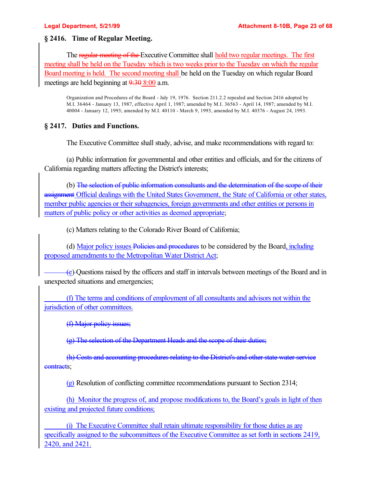## **§ 2416. Time of Regular Meeting.**

The regular meeting of the Executive Committee shall hold two regular meetings. The first meeting shall be held on the Tuesday which is two weeks prior to the Tuesday on which the regular Board meeting is held. The second meeting shall be held on the Tuesday on which regular Board meetings are held beginning at  $9:308:00$  a.m.

Organization and Procedures of the Board - July 19, 1976. Section 211.2.2 repealed and Section 2416 adopted by M.I. 36464 - January 13, 1987, effective April 1, 1987; amended by M.I. 36563 - April 14, 1987; amended by M.I. 40004 - January 12, 1993; amended by M.I. 40110 - March 9, 1993, amended by M.I. 40376 - August 24, 1993.

## **§ 2417. Duties and Functions.**

The Executive Committee shall study, advise, and make recommendations with regard to:

(a) Public information for governmental and other entities and officials, and for the citizens of California regarding matters affecting the District's interests;

(b) The selection of public information consultants and the determination of the scope of their assignment Official dealings with the United States Government, the State of California or other states, member public agencies or their subagencies, foreign governments and other entities or persons in matters of public policy or other activities as deemed appropriate;

(c) Matters relating to the Colorado River Board of California;

(d) Major policy issues Policies and procedures to be considered by the Board, including proposed amendments to the Metropolitan Water District Act;

 (e) Questions raised by the officers and staff in intervals between meetings of the Board and in unexpected situations and emergencies;

 (f) The terms and conditions of employment of all consultants and advisors not within the jurisdiction of other committees.

(f) Major policy issues;

(g) The selection of the Department Heads and the scope of their duties;

(h) Costs and accounting procedures relating to the District's and other state water service contracts;

(g) Resolution of conflicting committee recommendations pursuant to Section 2314;

(h) Monitor the progress of, and propose modifications to, the Board's goals in light of then existing and projected future conditions;

 (i) The Executive Committee shall retain ultimate responsibility for those duties as are specifically assigned to the subcommittees of the Executive Committee as set forth in sections 2419, 2420, and 2421.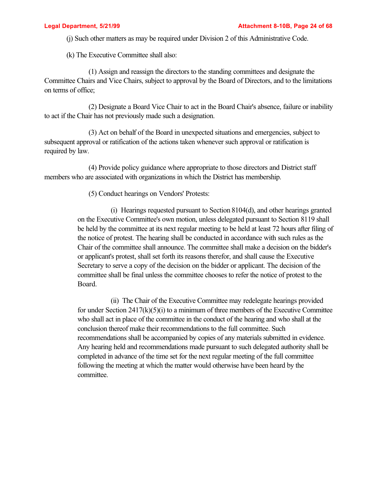(j) Such other matters as may be required under Division 2 of this Administrative Code.

(k) The Executive Committee shall also:

(1) Assign and reassign the directors to the standing committees and designate the Committee Chairs and Vice Chairs, subject to approval by the Board of Directors, and to the limitations on terms of office;

(2) Designate a Board Vice Chair to act in the Board Chair's absence, failure or inability to act if the Chair has not previously made such a designation.

(3) Act on behalf of the Board in unexpected situations and emergencies, subject to subsequent approval or ratification of the actions taken whenever such approval or ratification is required by law.

(4) Provide policy guidance where appropriate to those directors and District staff members who are associated with organizations in which the District has membership.

(5) Conduct hearings on Vendors' Protests:

(i) Hearings requested pursuant to Section 8104(d), and other hearings granted on the Executive Committee's own motion, unless delegated pursuant to Section 8119 shall be held by the committee at its next regular meeting to be held at least 72 hours after filing of the notice of protest. The hearing shall be conducted in accordance with such rules as the Chair of the committee shall announce. The committee shall make a decision on the bidder's or applicant's protest, shall set forth its reasons therefor, and shall cause the Executive Secretary to serve a copy of the decision on the bidder or applicant. The decision of the committee shall be final unless the committee chooses to refer the notice of protest to the Board.

(ii) The Chair of the Executive Committee may redelegate hearings provided for under Section 2417(k)(5)(i) to a minimum of three members of the Executive Committee who shall act in place of the committee in the conduct of the hearing and who shall at the conclusion thereof make their recommendations to the full committee. Such recommendations shall be accompanied by copies of any materials submitted in evidence. Any hearing held and recommendations made pursuant to such delegated authority shall be completed in advance of the time set for the next regular meeting of the full committee following the meeting at which the matter would otherwise have been heard by the committee.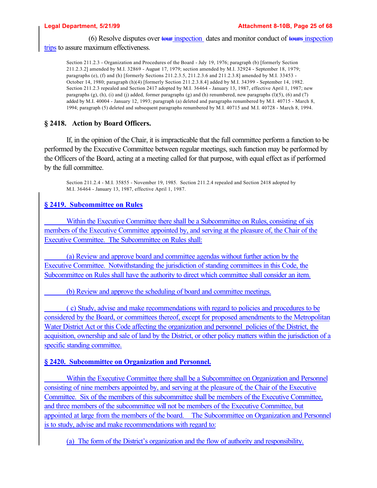(6) Resolve disputes over tour inspection dates and monitor conduct of tours inspection trips to assure maximum effectiveness.

Section 211.2.3 - Organization and Procedures of the Board - July 19, 1976; paragraph (b) [formerly Section 211.2.3.2] amended by M.I. 32869 - August 17, 1979; section amended by M.I. 32924 - September 18, 1979; paragraphs (e), (f) and (h) [formerly Sections 211.2.3.5, 211.2.3.6 and 211.2.3.8] amended by M.I. 33453 - October 14, 1980; paragraph (h)(4) [formerly Section 211.2.3.8.4] added by M.I. 34399 - September 14, 1982. Section 211.2.3 repealed and Section 2417 adopted by M.I. 36464 - January 13, 1987, effective April 1, 1987; new paragraphs  $(g)$ ,  $(h)$ ,  $(i)$  and  $(j)$  added, former paragraphs  $(g)$  and  $(h)$  renumbered, new paragraphs  $(l)(5)$ ,  $(6)$  and  $(7)$ added by M.I. 40004 - January 12, 1993; paragraph (a) deleted and paragraphs renumbered by M.I. 40715 - March 8, 1994; paragraph (5) deleted and subsequent paragraphs renumbered by M.I. 40715 and M.I. 40728 - March 8, 1994.

## **§ 2418. Action by Board Officers.**

If, in the opinion of the Chair, it is impracticable that the full committee perform a function to be performed by the Executive Committee between regular meetings, such function may be performed by the Officers of the Board, acting at a meeting called for that purpose, with equal effect as if performed by the full committee.

Section 211.2.4 - M.I. 35855 - November 19, 1985. Section 211.2.4 repealed and Section 2418 adopted by M.I. 36464 - January 13, 1987, effective April 1, 1987.

## **§ 2419. Subcommittee on Rules**

 Within the Executive Committee there shall be a Subcommittee on Rules, consisting of six members of the Executive Committee appointed by, and serving at the pleasure of, the Chair of the Executive Committee. The Subcommittee on Rules shall:

 (a) Review and approve board and committee agendas without further action by the Executive Committee. Notwithstanding the jurisdiction of standing committees in this Code, the Subcommittee on Rules shall have the authority to direct which committee shall consider an item.

(b) Review and approve the scheduling of board and committee meetings.

 ( c) Study, advise and make recommendations with regard to policies and procedures to be considered by the Board, or committees thereof, except for proposed amendments to the Metropolitan Water District Act or this Code affecting the organization and personnel policies of the District, the acquisition, ownership and sale of land by the District, or other policy matters within the jurisdiction of a specific standing committee.

### **§ 2420. Subcommittee on Organization and Personnel.**

 Within the Executive Committee there shall be a Subcommittee on Organization and Personnel consisting of nine members appointed by, and serving at the pleasure of, the Chair of the Executive Committee. Six of the members of this subcommittee shall be members of the Executive Committee, and three members of the subcommittee will not be members of the Executive Committee, but appointed at large from the members of the board. The Subcommittee on Organization and Personnel is to study, advise and make recommendations with regard to:

(a) The form of the District's organization and the flow of authority and responsibility.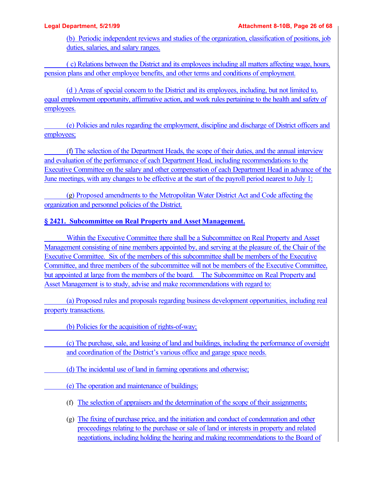(b) Periodic independent reviews and studies of the organization, classification of positions, job duties, salaries, and salary ranges.

 ( c) Relations between the District and its employees including all matters affecting wage, hours, pension plans and other employee benefits, and other terms and conditions of employment.

(d ) Areas of special concern to the District and its employees, including, but not limited to, equal employment opportunity, affirmative action, and work rules pertaining to the health and safety of employees.

 (e) Policies and rules regarding the employment, discipline and discharge of District officers and employees;

 (f) The selection of the Department Heads, the scope of their duties, and the annual interview and evaluation of the performance of each Department Head, including recommendations to the Executive Committee on the salary and other compensation of each Department Head in advance of the June meetings, with any changes to be effective at the start of the payroll period nearest to July 1;

 (g) Proposed amendments to the Metropolitan Water District Act and Code affecting the organization and personnel policies of the District.

# **§ 2421. Subcommittee on Real Property and Asset Management.**

 Within the Executive Committee there shall be a Subcommittee on Real Property and Asset Management consisting of nine members appointed by, and serving at the pleasure of, the Chair of the Executive Committee. Six of the members of this subcommittee shall be members of the Executive Committee, and three members of the subcommittee will not be members of the Executive Committee, but appointed at large from the members of the board. The Subcommittee on Real Property and Asset Management is to study, advise and make recommendations with regard to:

 (a) Proposed rules and proposals regarding business development opportunities, including real property transactions.

(b) Policies for the acquisition of rights-of-way;

 (c) The purchase, sale, and leasing of land and buildings, including the performance of oversight and coordination of the District's various office and garage space needs.

(d) The incidental use of land in farming operations and otherwise;

- (e) The operation and maintenance of buildings;
- (f) The selection of appraisers and the determination of the scope of their assignments;
- (g) The fixing of purchase price, and the initiation and conduct of condemnation and other proceedings relating to the purchase or sale of land or interests in property and related negotiations, including holding the hearing and making recommendations to the Board of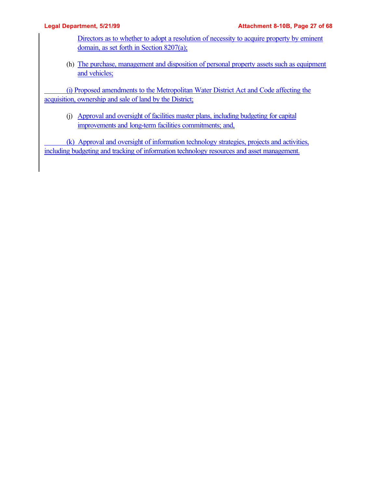Directors as to whether to adopt a resolution of necessity to acquire property by eminent domain, as set forth in Section 8207(a);

(h) The purchase, management and disposition of personal property assets such as equipment and vehicles;

 (i) Proposed amendments to the Metropolitan Water District Act and Code affecting the acquisition, ownership and sale of land by the District;

(j) Approval and oversight of facilities master plans, including budgeting for capital improvements and long-term facilities commitments; and,

 (k) Approval and oversight of information technology strategies, projects and activities, including budgeting and tracking of information technology resources and asset management.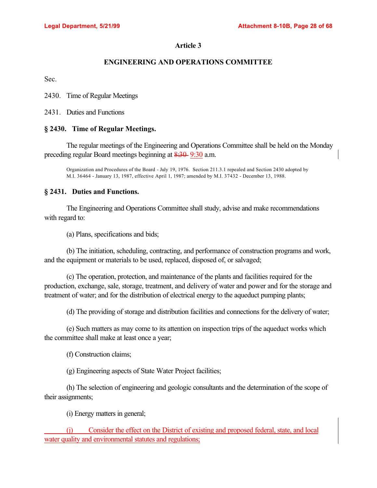## **ENGINEERING AND OPERATIONS COMMITTEE**

Sec.

2430. Time of Regular Meetings

2431. Duties and Functions

## **§ 2430. Time of Regular Meetings.**

The regular meetings of the Engineering and Operations Committee shall be held on the Monday preceding regular Board meetings beginning at 8:30 9:30 a.m.

Organization and Procedures of the Board - July 19, 1976. Section 211.3.1 repealed and Section 2430 adopted by M.I. 36464 - January 13, 1987, effective April 1, 1987; amended by M.I. 37432 - December 13, 1988.

### **§ 2431. Duties and Functions.**

The Engineering and Operations Committee shall study, advise and make recommendations with regard to:

(a) Plans, specifications and bids;

(b) The initiation, scheduling, contracting, and performance of construction programs and work, and the equipment or materials to be used, replaced, disposed of, or salvaged;

(c) The operation, protection, and maintenance of the plants and facilities required for the production, exchange, sale, storage, treatment, and delivery of water and power and for the storage and treatment of water; and for the distribution of electrical energy to the aqueduct pumping plants;

(d) The providing of storage and distribution facilities and connections for the delivery of water;

(e) Such matters as may come to its attention on inspection trips of the aqueduct works which the committee shall make at least once a year;

(f) Construction claims;

(g) Engineering aspects of State Water Project facilities;

(h) The selection of engineering and geologic consultants and the determination of the scope of their assignments;

(i) Energy matters in general;

 (j) Consider the effect on the District of existing and proposed federal, state, and local water quality and environmental statutes and regulations;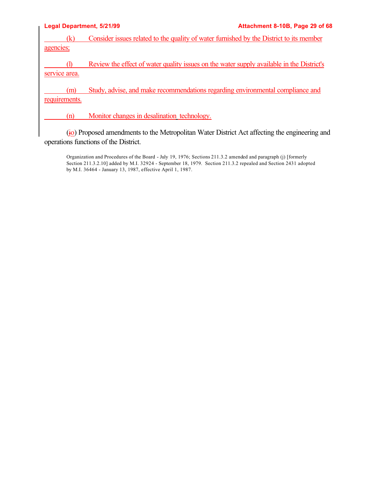| <b>Legal Department, 5/21/99</b> | Attachment 8-10B, Page 29 of 68                                                           |
|----------------------------------|-------------------------------------------------------------------------------------------|
| (k)                              | Consider issues related to the quality of water furnished by the District to its member   |
| agencies;                        |                                                                                           |
|                                  | Review the effect of water quality issues on the water supply available in the District's |
| service area.                    |                                                                                           |
| (m)<br>requirements.             | Study, advise, and make recommendations regarding environmental compliance and            |
| (n)                              | Monitor changes in desalination technology.                                               |

(jo) Proposed amendments to the Metropolitan Water District Act affecting the engineering and operations functions of the District.

Organization and Procedures of the Board - July 19, 1976; Sections 211.3.2 amended and paragraph (j) [formerly Section 211.3.2.10] added by M.I. 32924 - September 18, 1979. Section 211.3.2 repealed and Section 2431 adopted by M.I. 36464 - January 13, 1987, effective April 1, 1987.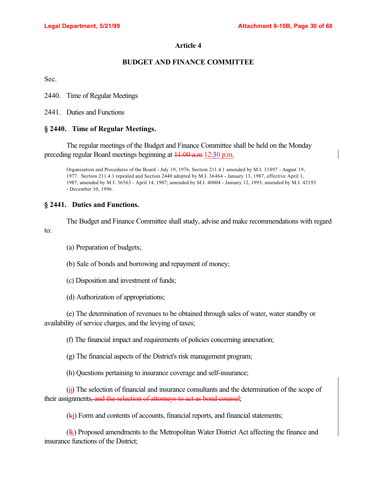## **BUDGET AND FINANCE COMMITTEE**

Sec.

2440. Time of Regular Meetings

2441. Duties and Functions

## **§ 2440. Time of Regular Meetings.**

The regular meetings of the Budget and Finance Committee shall be held on the Monday preceding regular Board meetings beginning at 11:00 a.m 12:30 p.m.

Organization and Procedures of the Board - July 19, 1976; Section 211.4.1 amended by M.I. 31897 - August 19, 1977. Section 211.4.1 repealed and Section 2440 adopted by M.I. 36464 - January 13, 1987, effective April 1, 1987; amended by M.I. 36563 - April 14, 1987; amended by M.I. 40004 - January 12, 1993; amended by M.I. 42193 - December 10, 1996.

## **§ 2441. Duties and Functions.**

The Budget and Finance Committee shall study, advise and make recommendations with regard to:

(a) Preparation of budgets;

(b) Sale of bonds and borrowing and repayment of money;

(c) Disposition and investment of funds;

(d) Authorization of appropriations;

(e) The determination of revenues to be obtained through sales of water, water standby or availability of service charges, and the levying of taxes;

(f) The financial impact and requirements of policies concerning annexation;

(g) The financial aspects of the District's risk management program;

(h) Questions pertaining to insurance coverage and self-insurance;

 $(i)$  The selection of financial and insurance consultants and the determination of the scope of their assignments, and the selection of attorneys to act as bond counsel;

 $(k<sub>i</sub>)$  Form and contents of accounts, financial reports, and financial statements;

(lk) Proposed amendments to the Metropolitan Water District Act affecting the finance and insurance functions of the District;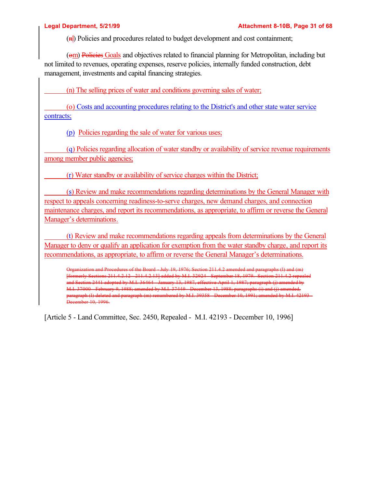(nl) Policies and procedures related to budget development and cost containment;

(om) Policies Goals and objectives related to financial planning for Metropolitan, including but not limited to revenues, operating expenses, reserve policies, internally funded construction, debt management, investments and capital financing strategies.

(n) The selling prices of water and conditions governing sales of water;

 (o) Costs and accounting procedures relating to the District's and other state water service contracts;

(p) Policies regarding the sale of water for various uses;

 (q) Policies regarding allocation of water standby or availability of service revenue requirements among member public agencies;

(r) Water standby or availability of service charges within the District;

 (s) Review and make recommendations regarding determinations by the General Manager with respect to appeals concerning readiness-to-serve charges, new demand charges, and connection maintenance charges, and report its recommendations, as appropriate, to affirm or reverse the General Manager's determinations.

 (t) Review and make recommendations regarding appeals from determinations by the General Manager to deny or qualify an application for exemption from the water standby charge, and report its recommendations, as appropriate, to affirm or reverse the General Manager's determinations.

Organization and Procedures of the Board - July 19, 1976; Section 211.4.2 amended and paragraphs (l) and (m) [formerly Sections 211.4.2.12 - 211.4.2.13] added by M.I. 32924 - September 18, 1979. Section 211.4.2 repealed and Section 2441 adopted by M.I. 36464 - January 13, 1987, effective April 1, 1987; paragraph (j) amended by M.I. 37000 - February 9, 1988; amended by M.I. 37449 - December 13, 1988; paragraphs (i) and (j) amended, paragraph (l) deleted and paragraph (m) renumbered by M.I. 39358 - December 10, 1991; amended by M.I. 42193 - December 10, 1996.

[Article 5 - Land Committee, Sec. 2450, Repealed - M.I. 42193 - December 10, 1996]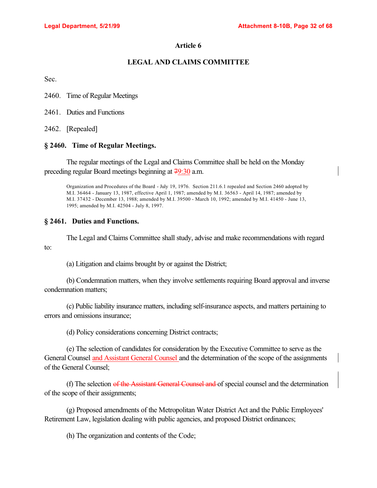### **LEGAL AND CLAIMS COMMITTEE**

Sec.

2460. Time of Regular Meetings

2461. Duties and Functions

2462. [Repealed]

#### **§ 2460. Time of Regular Meetings.**

The regular meetings of the Legal and Claims Committee shall be held on the Monday preceding regular Board meetings beginning at 79:30 a.m.

Organization and Procedures of the Board - July 19, 1976. Section 211.6.1 repealed and Section 2460 adopted by M.I. 36464 - January 13, 1987, effective April 1, 1987; amended by M.I. 36563 - April 14, 1987; amended by M.I. 37432 - December 13, 1988; amended by M.I. 39500 - March 10, 1992; amended by M.I. 41450 - June 13, 1995; amended by M.I. 42504 - July 8, 1997.

#### **§ 2461. Duties and Functions.**

The Legal and Claims Committee shall study, advise and make recommendations with regard to:

(a) Litigation and claims brought by or against the District;

(b) Condemnation matters, when they involve settlements requiring Board approval and inverse condemnation matters;

(c) Public liability insurance matters, including self-insurance aspects, and matters pertaining to errors and omissions insurance;

(d) Policy considerations concerning District contracts;

(e) The selection of candidates for consideration by the Executive Committee to serve as the General Counsel and Assistant General Counsel and the determination of the scope of the assignments of the General Counsel;

(f) The selection of the Assistant General Counsel and of special counsel and the determination of the scope of their assignments;

(g) Proposed amendments of the Metropolitan Water District Act and the Public Employees' Retirement Law, legislation dealing with public agencies, and proposed District ordinances;

(h) The organization and contents of the Code;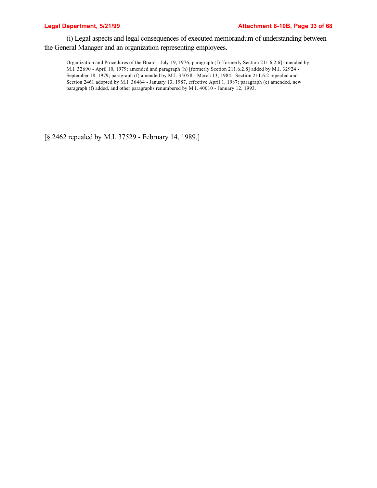#### Legal Department, 5/21/99 and the same of the Attachment 8-10B, Page 33 of 68

(i) Legal aspects and legal consequences of executed memorandum of understanding between the General Manager and an organization representing employees.

Organization and Procedures of the Board - July 19, 1976; paragraph (f) [formerly Section 211.6.2.6] amended by M.I. 32690 - April 10, 1979; amended and paragraph (h) [formerly Section 211.6.2.8] added by M.I. 32924 - September 18, 1979; paragraph (f) amended by M.I. 35058 - March 13, 1984. Section 211.6.2 repealed and Section 2461 adopted by M.I. 36464 - January 13, 1987, effective April 1, 1987; paragraph (e) amended, new paragraph (f) added, and other paragraphs renumbered by M.I. 40010 - January 12, 1993.

[§ 2462 repealed by M.I. 37529 - February 14, 1989.]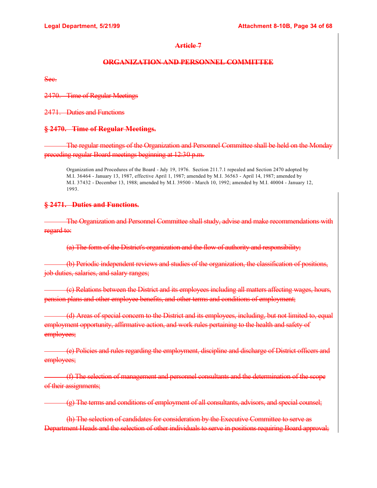## **ORGANIZATION AND PERSONNEL COMMITTEE**

Sec.

2470. Time of Regular Meetings

2471. Duties and Functions

## **§ 2470. Time of Regular Meetings.**

 The regular meetings of the Organization and Personnel Committee shall be held on the Monday preceding regular Board meetings beginning at 12:30 p.m.

Organization and Procedures of the Board - July 19, 1976. Section 211.7.1 repealed and Section 2470 adopted by M.I. 36464 - January 13, 1987, effective April 1, 1987; amended by M.I. 36563 - April 14, 1987; amended by M.I. 37432 - December 13, 1988; amended by M.I. 39500 - March 10, 1992; amended by M.I. 40004 - January 12, 1993.

## **§ 2471. Duties and Functions.**

 The Organization and Personnel Committee shall study, advise and make recommendations with regard to:

(a) The form of the District's organization and the flow of authority and responsibility;

 (b) Periodic independent reviews and studies of the organization, the classification of positions, job duties, salaries, and salary ranges;

 (c) Relations between the District and its employees including all matters affecting wages, hours, pension plans and other employee benefits, and other terms and conditions of employment;

 (d) Areas of special concern to the District and its employees, including, but not limited to, equal employment opportunity, affirmative action, and work rules pertaining to the health and safety of employees;

 (e) Policies and rules regarding the employment, discipline and discharge of District officers and employees;

 (f) The selection of management and personnel consultants and the determination of the scope of their assignments;

(g) The terms and conditions of employment of all consultants, advisors, and special counsel;

(h) The selection of candidates for consideration by the Executive Committee to serve as Department Heads and the selection of other individuals to serve in positions requiring Board approval;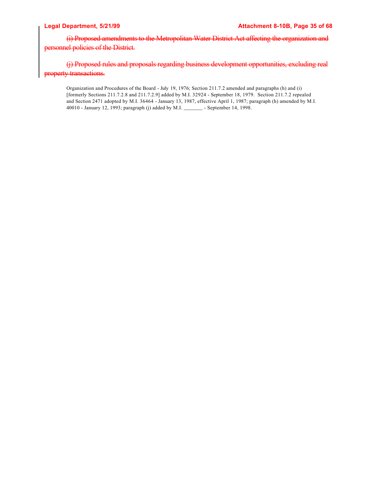(i) Proposed amendments to the Metropolitan Water District Act affecting the organization and personnel policies of the District.

(j) Proposed rules and proposals regarding business development opportunities, excluding real property transactions.

Organization and Procedures of the Board - July 19, 1976; Section 211.7.2 amended and paragraphs (h) and (i) [formerly Sections 211.7.2.8 and 211.7.2.9] added by M.I. 32924 - September 18, 1979. Section 211.7.2 repealed and Section 2471 adopted by M.I. 36464 - January 13, 1987, effective April 1, 1987; paragraph (h) amended by M.I. 40010 - January 12, 1993; paragraph (j) added by M.I. \_\_\_\_\_\_\_ - September 14, 1998.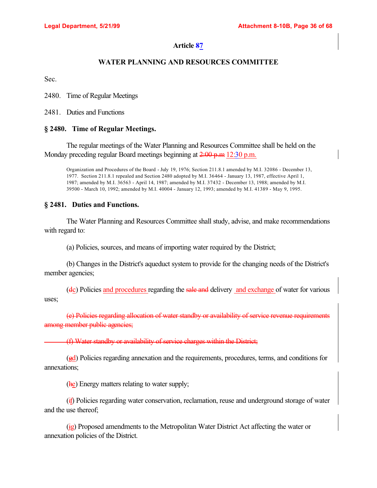## **WATER PLANNING AND RESOURCES COMMITTEE**

Sec.

2480. Time of Regular Meetings

2481. Duties and Functions

## **§ 2480. Time of Regular Meetings.**

The regular meetings of the Water Planning and Resources Committee shall be held on the Monday preceding regular Board meetings beginning at 2:00 p.m 12:30 p.m.

Organization and Procedures of the Board - July 19, 1976; Section 211.8.1 amended by M.I. 32086 - December 13, 1977. Section 211.8.1 repealed and Section 2480 adopted by M.I. 36464 - January 13, 1987, effective April 1, 1987; amended by M.I. 36563 - April 14, 1987; amended by M.I. 37432 - December 13, 1988; amended by M.I. 39500 - March 10, 1992; amended by M.I. 40004 - January 12, 1993; amended by M.I. 41389 - May 9, 1995.

## **§ 2481. Duties and Functions.**

The Water Planning and Resources Committee shall study, advise, and make recommendations with regard to:

(a) Policies, sources, and means of importing water required by the District;

(b) Changes in the District's aqueduct system to provide for the changing needs of the District's member agencies;

(dc) Policies and procedures regarding the sale and delivery and exchange of water for various uses;

(e) Policies regarding allocation of water standby or availability of service revenue requirements among member public agencies;

(f) Water standby or availability of service charges within the District;

(gd) Policies regarding annexation and the requirements, procedures, terms, and conditions for annexations;

(he) Energy matters relating to water supply;

(if) Policies regarding water conservation, reclamation, reuse and underground storage of water and the use thereof;

(jg) Proposed amendments to the Metropolitan Water District Act affecting the water or annexation policies of the District.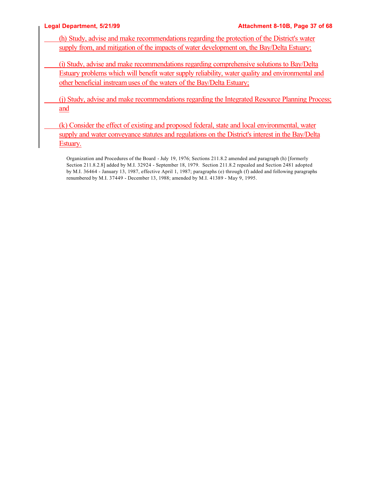- (h) Study, advise and make recommendations regarding the protection of the District's water supply from, and mitigation of the impacts of water development on, the Bay/Delta Estuary;
- (i) Study, advise and make recommendations regarding comprehensive solutions to Bay/Delta Estuary problems which will benefit water supply reliability, water quality and environmental and other beneficial instream uses of the waters of the Bay/Delta Estuary;
- (j) Study, advise and make recommendations regarding the Integrated Resource Planning Process; and
- (k) Consider the effect of existing and proposed federal, state and local environmental, water supply and water conveyance statutes and regulations on the District's interest in the Bay/Delta Estuary.
	- Organization and Procedures of the Board July 19, 1976; Sections 211.8.2 amended and paragraph (h) [formerly Section 211.8.2.8] added by M.I. 32924 - September 18, 1979. Section 211.8.2 repealed and Section 2481 adopted by M.I. 36464 - January 13, 1987, effective April 1, 1987; paragraphs (e) through (f) added and following paragraphs renumbered by M.I. 37449 - December 13, 1988; amended by M.I. 41389 - May 9, 1995.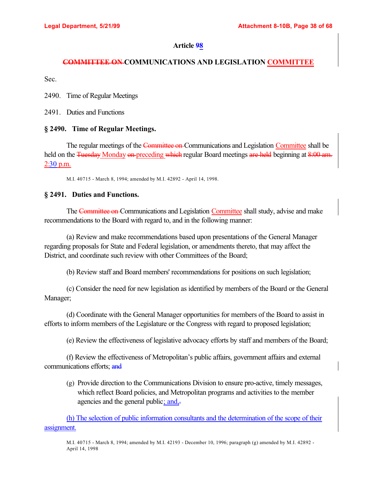## **COMMITTEE ON COMMUNICATIONS AND LEGISLATION COMMITTEE**

Sec.

2490. Time of Regular Meetings

2491. Duties and Functions

### **§ 2490. Time of Regular Meetings.**

The regular meetings of the Committee on-Communications and Legislation Committee shall be held on the Tuesday Monday on preceding which regular Board meetings are held beginning at 8:00 am. 2:30 p.m.

M.I. 40715 - March 8, 1994; amended by M.I. 42892 - April 14, 1998.

### **§ 2491. Duties and Functions.**

The Committee on Communications and Legislation Committee shall study, advise and make recommendations to the Board with regard to, and in the following manner:

(a) Review and make recommendations based upon presentations of the General Manager regarding proposals for State and Federal legislation, or amendments thereto, that may affect the District, and coordinate such review with other Committees of the Board;

(b) Review staff and Board members' recommendations for positions on such legislation;

(c) Consider the need for new legislation as identified by members of the Board or the General Manager;

(d) Coordinate with the General Manager opportunities for members of the Board to assist in efforts to inform members of the Legislature or the Congress with regard to proposed legislation;

(e) Review the effectiveness of legislative advocacy efforts by staff and members of the Board;

(f) Review the effectiveness of Metropolitan's public affairs, government affairs and external communications efforts; and

(g) Provide direction to the Communications Division to ensure pro-active, timely messages, which reflect Board policies, and Metropolitan programs and activities to the member agencies and the general public; and,

(h) The selection of public information consultants and the determination of the scope of their assignment.

M.I. 40715 - March 8, 1994; amended by M.I. 42193 - December 10, 1996; paragraph (g) amended by M.I. 42892 - April 14, 1998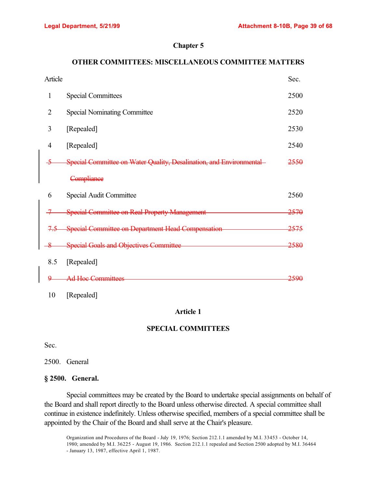## **Chapter 5**

## **OTHER COMMITTEES: MISCELLANEOUS COMMITTEE MATTERS**

| Article        |                                                                         | Sec. |
|----------------|-------------------------------------------------------------------------|------|
| 1              | <b>Special Committees</b>                                               | 2500 |
| 2              | <b>Special Nominating Committee</b>                                     | 2520 |
| 3              | [Repealed]                                                              | 2530 |
| 4              | [Repealed]                                                              | 2540 |
|                | Special Committee on Water Quality, Desalination, and Environmental     | 2550 |
|                | Compliance                                                              |      |
| 6              | Special Audit Committee                                                 | 2560 |
|                | <b>Special Committee on Real Property Management</b><br><del>2570</del> |      |
| <del>7.5</del> | Special Committee on Department Head Compensation                       | 2575 |
|                | <b>Special Goals and Objectives Committee</b>                           | 2580 |
| 8.5            | [Repealed]                                                              |      |
|                | <del>Ad Hoc Committees</del>                                            | 2590 |

10 [Repealed]

## **Article 1**

## **SPECIAL COMMITTEES**

Sec.

2500. General

#### **§ 2500. General.**

Special committees may be created by the Board to undertake special assignments on behalf of the Board and shall report directly to the Board unless otherwise directed. A special committee shall continue in existence indefinitely. Unless otherwise specified, members of a special committee shall be appointed by the Chair of the Board and shall serve at the Chair's pleasure.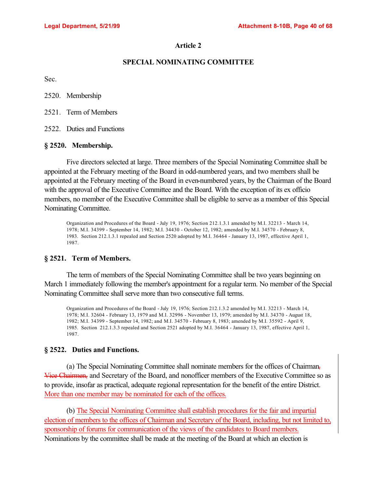#### **SPECIAL NOMINATING COMMITTEE**

Sec.

2520. Membership

2521. Term of Members

2522. Duties and Functions

#### **§ 2520. Membership.**

Five directors selected at large. Three members of the Special Nominating Committee shall be appointed at the February meeting of the Board in odd-numbered years, and two members shall be appointed at the February meeting of the Board in even-numbered years, by the Chairman of the Board with the approval of the Executive Committee and the Board. With the exception of its ex officio members, no member of the Executive Committee shall be eligible to serve as a member of this Special Nominating Committee.

Organization and Procedures of the Board - July 19, 1976; Section 212.1.3.1 amended by M.I. 32213 - March 14, 1978; M.I. 34399 - September 14, 1982; M.I. 34430 - October 12, 1982; amended by M.I. 34570 - February 8, 1983. Section 212.1.3.1 repealed and Section 2520 adopted by M.I. 36464 - January 13, 1987, effective April 1, 1987.

#### **§ 2521. Term of Members.**

The term of members of the Special Nominating Committee shall be two years beginning on March 1 immediately following the member's appointment for a regular term. No member of the Special Nominating Committee shall serve more than two consecutive full terms.

Organization and Procedures of the Board - July 19, 1976; Section 212.1.3.2 amended by M.I. 32213 - March 14, 1978; M.I. 32604 - February 13, 1979 and M.I. 32996 - November 13, 1979; amended by M.I. 34370 - August 18, 1982; M.I. 34399 - September 14, 1982; and M.I. 34570 - February 8, 1983; amended by M.I. 35592 - April 9, 1985. Section 212.1.3.3 repealed and Section 2521 adopted by M.I. 36464 - January 13, 1987, effective April 1, 1987.

#### **§ 2522. Duties and Functions.**

(a) The Special Nominating Committee shall nominate members for the offices of Chairman, Vice Chairmen, and Secretary of the Board, and nonofficer members of the Executive Committee so as to provide, insofar as practical, adequate regional representation for the benefit of the entire District. More than one member may be nominated for each of the offices.

(b) The Special Nominating Committee shall establish procedures for the fair and impartial election of members to the offices of Chairman and Secretary of the Board, including, but not limited to, sponsorship of forums for communication of the views of the candidates to Board members. Nominations by the committee shall be made at the meeting of the Board at which an election is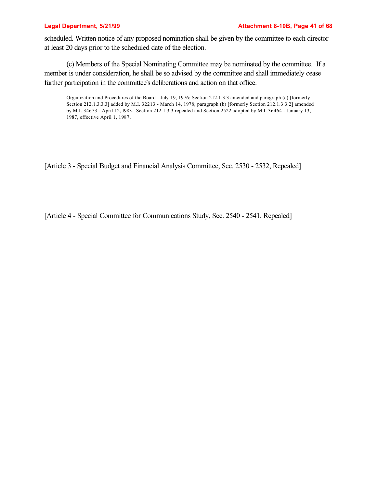scheduled. Written notice of any proposed nomination shall be given by the committee to each director at least 20 days prior to the scheduled date of the election.

(c) Members of the Special Nominating Committee may be nominated by the committee. If a member is under consideration, he shall be so advised by the committee and shall immediately cease further participation in the committee's deliberations and action on that office.

Organization and Procedures of the Board - July 19, 1976; Section 212.1.3.3 amended and paragraph (c) [formerly Section 212.1.3.3.3] added by M.I. 32213 - March 14, 1978; paragraph (b) [formerly Section 212.1.3.3.2] amended by M.I. 34673 - April 12, l983. Section 212.1.3.3 repealed and Section 2522 adopted by M.I. 36464 - January 13, 1987, effective April 1, 1987.

[Article 3 - Special Budget and Financial Analysis Committee, Sec. 2530 - 2532, Repealed]

[Article 4 - Special Committee for Communications Study, Sec. 2540 - 2541, Repealed]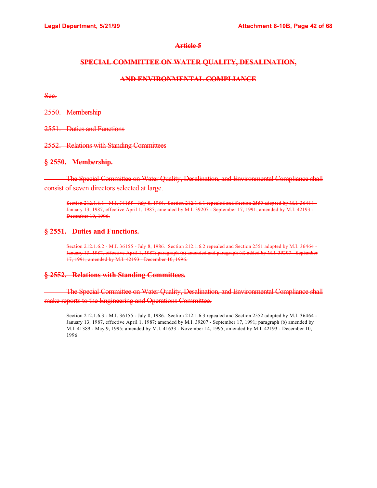#### **SPECIAL COMMITTEE ON WATER QUALITY, DESALINATION,**

## **AND ENVIRONMENTAL COMPLIANCE**

Sec.

2550. Membership

2551. Duties and Functions

2552. Relations with Standing Committees

#### **§ 2550. Membership.**

 The Special Committee on Water Quality, Desalination, and Environmental Compliance shall consist of seven directors selected at large.

Section 212.1.6.1 M.I. 36155 July 8, 1986. Section 212.1.6.1 repealed and Section 2550 adopted by M.I. 36464 January 13, 1987, effective April 1, 1987; amended by M.I. 39207 - September 17, 1991; amended by M.I. 42193-December 10, 1996.

#### **§ 2551. Duties and Functions.**

Section 212.1.6.2 M.I. 36155 July 8, 1986. Section 212.1.6.2 repealed and Section 2551 adopted by M.I. 36464 January 13, 1987, effective April 1, 1987; paragraph (a) amended and paragraph (d) added by M.I. 39207 - September 17, 1991; amended by M.I. 42193 - December 10, 1996.

### **§ 2552. Relations with Standing Committees.**

 The Special Committee on Water Quality, Desalination, and Environmental Compliance shall make reports to the Engineering and Operations Committee.

Section 212.1.6.3 - M.I. 36155 - July 8, 1986. Section 212.1.6.3 repealed and Section 2552 adopted by M.I. 36464 - January 13, 1987, effective April 1, 1987; amended by M.I. 39207 - September 17, 1991; paragraph (b) amended by M.I. 41389 - May 9, 1995; amended by M.I. 41633 - November 14, 1995; amended by M.I. 42193 - December 10, 1996.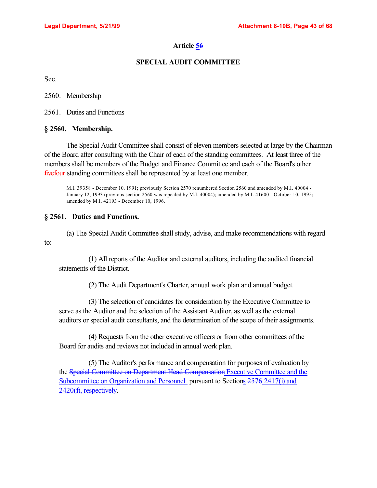## **SPECIAL AUDIT COMMITTEE**

Sec.

2560. Membership

2561. Duties and Functions

## **§ 2560. Membership.**

The Special Audit Committee shall consist of eleven members selected at large by the Chairman of the Board after consulting with the Chair of each of the standing committees. At least three of the members shall be members of the Budget and Finance Committee and each of the Board's other fivefour standing committees shall be represented by at least one member.

M.I. 39358 - December 10, 1991; previously Section 2570 renumbered Section 2560 and amended by M.I. 40004 - January 12, 1993 (previous section 2560 was repealed by M.I. 40004); amended by M.I. 41600 - October 10, 1995; amended by M.I. 42193 - December 10, 1996.

## **§ 2561. Duties and Functions.**

(a) The Special Audit Committee shall study, advise, and make recommendations with regard to:

(1) All reports of the Auditor and external auditors, including the audited financial statements of the District.

(2) The Audit Department's Charter, annual work plan and annual budget.

(3) The selection of candidates for consideration by the Executive Committee to serve as the Auditor and the selection of the Assistant Auditor, as well as the external auditors or special audit consultants, and the determination of the scope of their assignments.

(4) Requests from the other executive officers or from other committees of the Board for audits and reviews not included in annual work plan.

(5) The Auditor's performance and compensation for purposes of evaluation by the Special Committee on Department Head Compensation Executive Committee and the Subcommittee on Organization and Personnel pursuant to Sections 2576 2417(i) and 2420(f), respectively.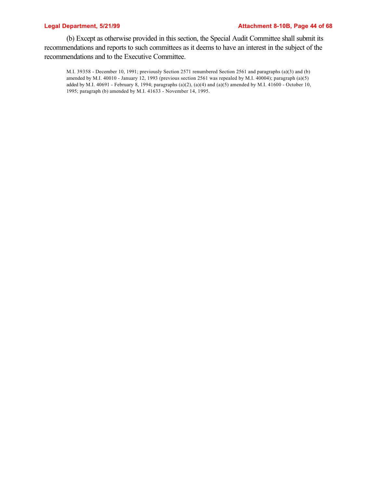(b) Except as otherwise provided in this section, the Special Audit Committee shall submit its recommendations and reports to such committees as it deems to have an interest in the subject of the recommendations and to the Executive Committee.

M.I. 39358 - December 10, 1991; previously Section 2571 renumbered Section 2561 and paragraphs (a)(3) and (b) amended by M.I. 40010 - January 12, 1993 (previous section 2561 was repealed by M.I. 40004); paragraph (a)(5) added by M.I. 40691 - February 8, 1994; paragraphs  $(a)(2)$ ,  $(a)(4)$  and  $(a)(5)$  amended by M.I. 41600 - October 10, 1995; paragraph (b) amended by M.I. 41633 - November 14, 1995.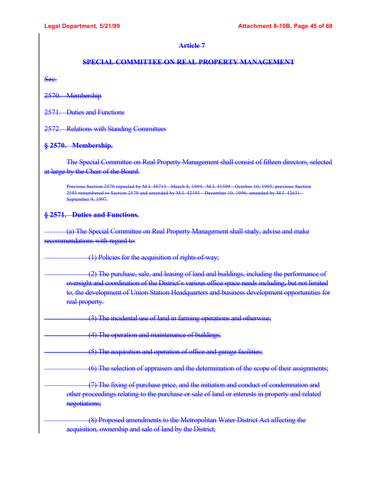## **SPECIAL COMMITTEE ON REAL PROPERTY MANAGEMENT**

Sec.

2570. Membership

2571. Duties and Functions

2572. Relations with Standing Committees

### **§ 2570. Membership.**

The Special Committee on Real Property Management shall consist of fifteen directors, selected at large by the Chair of the Board.

Previous Section 2570 repealed by M.I. 40715 - March 8, 1994. M.I. 41599 - October 10, 1995; previous Section 2593 renumbered to Section 2570 and amended by M.I. 42193 - December 10, 1996; amended by M.I. 42631 - September 9, 1997.

## **§ 2571. Duties and Functions.**

 (a) The Special Committee on Real Property Management shall study, advise and make recommendations with regard to:

(1) Policies for the acquisition of rights-of-way;

 (2) The purchase, sale, and leasing of land and buildings, including the performance of oversight and coordination of the District's various office space needs including, but not limited to, the development of Union Station Headquarters and business development opportunities for real property.

(3) The incidental use of land in farming operations and otherwise;

(4) The operation and maintenance of buildings;

(5) The acquisition and operation of office and garage facilities;

(6) The selection of appraisers and the determination of the scope of their assignments;

 (7) The fixing of purchase price, and the initiation and conduct of condemnation and other proceedings relating to the purchase or sale of land or interests in property and related negotiations;

 (8) Proposed amendments to the Metropolitan Water District Act affecting the acquisition, ownership and sale of land by the District;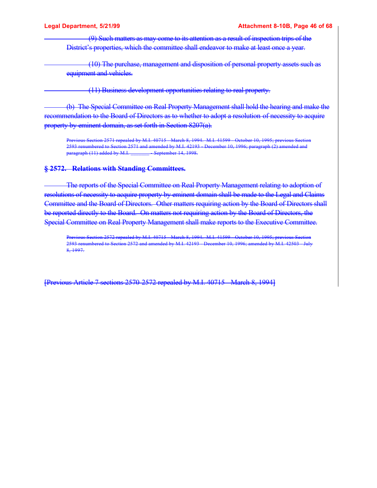(9) Such matters as may come to its attention as a result of inspection trips of the District's properties, which the committee shall endeavor to make at least once a year.

 (10) The purchase, management and disposition of personal property assets such as equipment and vehicles.

(11) Business development opportunities relating to real property.

 (b) The Special Committee on Real Property Management shall hold the hearing and make the recommendation to the Board of Directors as to whether to adopt a resolution of necessity to acquire property by eminent domain, as set forth in Section 8207(a).

Previous 2571 repealed by M.I. 40715 - March 8, 1994. M.I. 41599 - October 10, 1995 2593 renumbered to Section 2571 and amended by M.I.  $\overline{42193}$  December 10, 1996; paragraph (2) amended a<br>paragraph (11) added by M.I. September 14, 1998.  $\frac{1}{2}$  paragraph (11) added by M.I.

#### **§ 2572. Relations with Standing Committees.**

 The reports of the Special Committee on Real Property Management relating to adoption of resolutions of necessity to acquire property by eminent domain shall be made to the Legal and Claims Committee and the Board of Directors. Other matters requiring action by the Board of Directors shall be reported directly to the Board. On matters not requiring action by the Board of Directors, the Special Committee on Real Property Management shall make reports to the Executive Committee.

Previous Section 2572 repealed by M.I. 40715 March 8, 1994. M.I. 41599 October 10, 1995; previous Section 2593 renumbered to Section 2572 and amended by M.I. 42193 - December 10, 1996; amended by M.I. 42503 - July 8, 1997.

[Previous Article 7 sections 2570-2572 repealed by M.I. 40715 - March 8, 1994]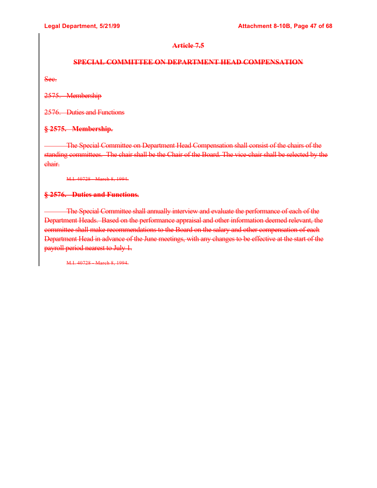## **Article 7.5**

## **SPECIAL COMMITTEE ON DEPARTMENT HEAD COMPENSATION**

Sec.

2575. Membership

2576. Duties and Functions

## **§ 2575. Membership.**

 The Special Committee on Department Head Compensation shall consist of the chairs of the standing committees. The chair shall be the Chair of the Board. The vice-chair shall be selected by the chair.

M.I. 40728 March 8, 1994.

## **§ 2576. Duties and Functions.**

 The Special Committee shall annually interview and evaluate the performance of each of the Department Heads. Based on the performance appraisal and other information deemed relevant, the committee shall make recommendations to the Board on the salary and other compensation of each Department Head in advance of the June meetings, with any changes to be effective at the start of the payroll period nearest to July 1.

M.I. 40728 March 8, 1994.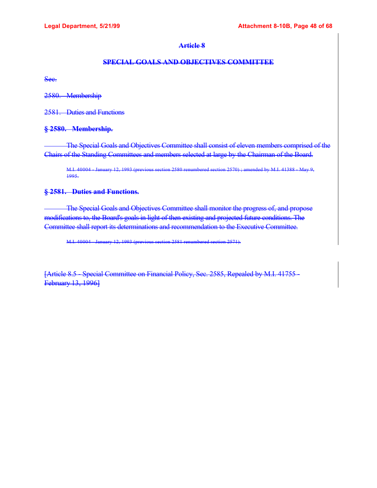## **SPECIAL GOALS AND OBJECTIVES COMMITTEE**

Sec.

2580. Membership

2581. Duties and Functions

## **§ 2580. Membership.**

 The Special Goals and Objectives Committee shall consist of eleven members comprised of the Chairs of the Standing Committees and members selected at large by the Chairman of the Board.

M.I. 40004 January 12, 1993 (previous section 2580 renumbered section 2570); amended by M.I. 41388 May 9, 1995.

## **§ 2581. Duties and Functions.**

 The Special Goals and Objectives Committee shall monitor the progress of, and propose modifications to, the Board's goals in light of then existing and projected future conditions. The Committee shall report its determinations and recommendation to the Executive Committee.

M.I. 40004 - January 12, 1993 (previous section 2581 renumbered section 2571).

[Article 8.5 - Special Committee on Financial Policy, Sec. 2585, Repealed by M.I. 41755 - February 13, 1996]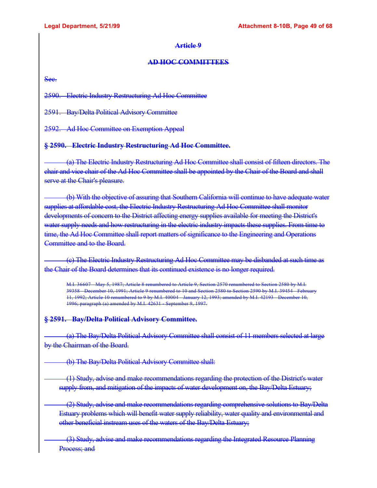## **AD HOC COMMITTEES**

Sec.

2590. Electric Industry Restructuring Ad Hoc Committee

2591. Bay/Delta Political Advisory Committee

2592. Ad Hoc Committee on Exemption Appeal

## **§ 2590. Electric Industry Restructuring Ad Hoc Committee.**

 (a) The Electric Industry Restructuring Ad Hoc Committee shall consist of fifteen directors. The chair and vice chair of the Ad Hoc Committee shall be appointed by the Chair of the Board and shall serve at the Chair's pleasure.

 (b) With the objective of assuring that Southern California will continue to have adequate water supplies at affordable cost, the Electric Industry Restructuring Ad Hoc Committee shall monitor developments of concern to the District affecting energy supplies available for meeting the District's water supply needs and how restructuring in the electric industry impacts these supplies. From time to time, the Ad Hoc Committee shall report matters of significance to the Engineering and Operations Committee and to the Board.

 (c) The Electric Industry Restructuring Ad Hoc Committee may be disbanded at such time as the Chair of the Board determines that its continued existence is no longer required.

M.I. 36607 May 5, 1987; Article 8 renumbered to Article 9, Section 2570 renumbered to Section 2580 by M.I. 39358 - December 10, 1991; Article 9 renumbered to 10 and Section 2580 to Section 2590 by M.I. 39454 - February 11, 1992; Article 10 renumbered to 9 by M.I. 40004 - January 12, 1993; amended by M.I. 42193 - December 10, 1996; paragraph (a) amended by M.I. 42631 - September 9, 1997.

## **§ 2591. Bay/Delta Political Advisory Committee.**

 (a) The Bay/Delta Political Advisory Committee shall consist of 11 members selected at large by the Chairman of the Board.

(b) The Bay/Delta Political Advisory Committee shall:

 (1) Study, advise and make recommendations regarding the protection of the District's water supply from, and mitigation of the impacts of water development on, the Bay/Delta Estuary;

 (2) Study, advise and make recommendations regarding comprehensive solutions to Bay/Delta Estuary problems which will benefit water supply reliability, water quality and environmental and other beneficial instream uses of the waters of the Bay/Delta Estuary;

 (3) Study, advise and make recommendations regarding the Integrated Resource Planning Process; and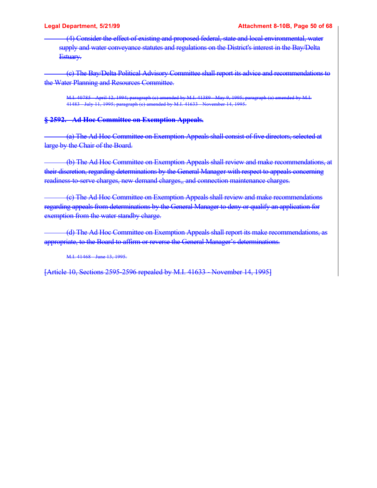(4) Consider the effect of existing and proposed federal, state and local environmental, water supply and water conveyance statutes and regulations on the District's interest in the Bay/Delta Estuary.

 (c) The Bay/Delta Political Advisory Committee shall report its advice and recommendations to the Water Planning and Resources Committee.

M.I. 40785 - April 12, 1994; paragraph (c) amended by M.I. 41389 - May 9, 1995; paragraph (a) amended by M.I. 41483 - July 11, 1995; paragraph (c) amended by M.I. 41633 - November 14, 1995.

## **§ 2592. Ad Hoc Committee on Exemption Appeals.**

 (a) The Ad Hoc Committee on Exemption Appeals shall consist of five directors, selected at large by the Chair of the Board.

 (b) The Ad Hoc Committee on Exemption Appeals shall review and make recommendations, at their discretion, regarding determinations by the General Manager with respect to appeals concerning readiness-to-serve charges, new demand charges,, and connection maintenance charges.

 (c) The Ad Hoc Committee on Exemption Appeals shall review and make recommendations regarding appeals from determinations by the General Manager to deny or qualify an application for exemption from the water standby charge.

 (d) The Ad Hoc Committee on Exemption Appeals shall report its make recommendations, as appropriate, to the Board to affirm or reverse the General Manager's determinations.

M.I. 41468 June 13, 1995.

[Article 10, Sections 2595-2596 repealed by M.I. 41633 - November 14, 1995]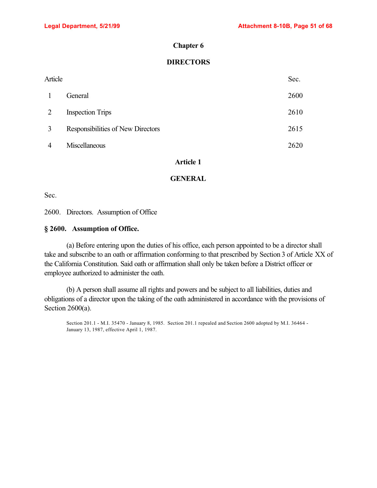#### **Chapter 6**

## **DIRECTORS**

| Article |                                   |      |
|---------|-----------------------------------|------|
| -1      | General                           | 2600 |
| 2       | <b>Inspection Trips</b>           | 2610 |
| 3       | Responsibilities of New Directors | 2615 |
| 4       | Miscellaneous                     | 2620 |

## **Article 1**

#### **GENERAL**

Sec.

2600. Directors. Assumption of Office

#### **§ 2600. Assumption of Office.**

(a) Before entering upon the duties of his office, each person appointed to be a director shall take and subscribe to an oath or affirmation conforming to that prescribed by Section 3 of Article XX of the California Constitution. Said oath or affirmation shall only be taken before a District officer or employee authorized to administer the oath.

(b) A person shall assume all rights and powers and be subject to all liabilities, duties and obligations of a director upon the taking of the oath administered in accordance with the provisions of Section 2600(a).

Section 201.1 - M.I. 35470 - January 8, 1985. Section 201.1 repealed and Section 2600 adopted by M.I. 36464 - January 13, 1987, effective April 1, 1987.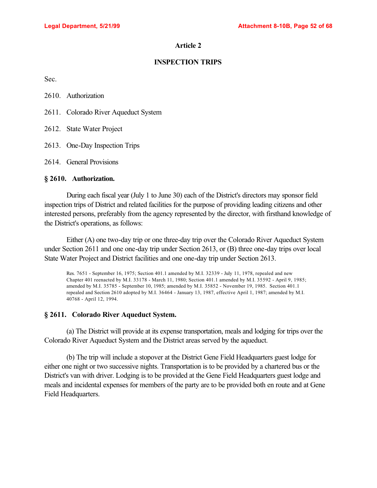## **INSPECTION TRIPS**

Sec.

| 2610. | Authorization |
|-------|---------------|
|-------|---------------|

- 2611. Colorado River Aqueduct System
- 2612. State Water Project
- 2613. One-Day Inspection Trips
- 2614. General Provisions

#### **§ 2610. Authorization.**

During each fiscal year (July 1 to June 30) each of the District's directors may sponsor field inspection trips of District and related facilities for the purpose of providing leading citizens and other interested persons, preferably from the agency represented by the director, with firsthand knowledge of the District's operations, as follows:

Either (A) one two-day trip or one three-day trip over the Colorado River Aqueduct System under Section 2611 and one one-day trip under Section 2613, or (B) three one-day trips over local State Water Project and District facilities and one one-day trip under Section 2613.

Res. 7651 - September 16, 1975; Section 401.1 amended by M.I. 32339 - July 11, 1978, repealed and new Chapter 401 reenacted by M.I. 33178 - March 11, 1980; Section 401.1 amended by M.I. 35592 - April 9, 1985; amended by M.I. 35785 - September 10, 1985; amended by M.I. 35852 - November 19, 1985. Section 401.1 repealed and Section 2610 adopted by M.I. 36464 - January 13, 1987, effective April 1, 1987; amended by M.I. 40768 - April 12, 1994.

### **§ 2611. Colorado River Aqueduct System.**

(a) The District will provide at its expense transportation, meals and lodging for trips over the Colorado River Aqueduct System and the District areas served by the aqueduct.

(b) The trip will include a stopover at the District Gene Field Headquarters guest lodge for either one night or two successive nights. Transportation is to be provided by a chartered bus or the District's van with driver. Lodging is to be provided at the Gene Field Headquarters guest lodge and meals and incidental expenses for members of the party are to be provided both en route and at Gene Field Headquarters.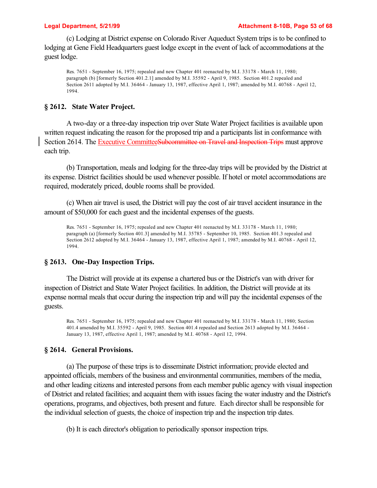(c) Lodging at District expense on Colorado River Aqueduct System trips is to be confined to lodging at Gene Field Headquarters guest lodge except in the event of lack of accommodations at the guest lodge.

Res. 7651 - September 16, 1975; repealed and new Chapter 401 reenacted by M.I. 33178 - March 11, 1980; paragraph (b) [formerly Section 401.2.1] amended by M.I. 35592 - April 9, 1985. Section 401.2 repealed and Section 2611 adopted by M.I. 36464 - January 13, 1987, effective April 1, 1987; amended by M.I. 40768 - April 12, 1994.

### **§ 2612. State Water Project.**

A two-day or a three-day inspection trip over State Water Project facilities is available upon written request indicating the reason for the proposed trip and a participants list in conformance with Section 2614. The Executive CommitteeSubcommittee on Travel and Inspection Trips must approve each trip.

(b) Transportation, meals and lodging for the three-day trips will be provided by the District at its expense. District facilities should be used whenever possible. If hotel or motel accommodations are required, moderately priced, double rooms shall be provided.

(c) When air travel is used, the District will pay the cost of air travel accident insurance in the amount of \$50,000 for each guest and the incidental expenses of the guests.

Res. 7651 - September 16, 1975; repealed and new Chapter 401 reenacted by M.I. 33178 - March 11, 1980; paragraph (a) [formerly Section 401.3] amended by M.I. 35785 - September 10, 1985. Section 401.3 repealed and Section 2612 adopted by M.I. 36464 - January 13, 1987, effective April 1, 1987; amended by M.I. 40768 - April 12, 1994.

### **§ 2613. One-Day Inspection Trips.**

The District will provide at its expense a chartered bus or the District's van with driver for inspection of District and State Water Project facilities. In addition, the District will provide at its expense normal meals that occur during the inspection trip and will pay the incidental expenses of the guests.

Res. 7651 - September 16, 1975; repealed and new Chapter 401 reenacted by M.I. 33178 - March 11, 1980; Section 401.4 amended by M.I. 35592 - April 9, 1985. Section 401.4 repealed and Section 2613 adopted by M.I. 36464 - January 13, 1987, effective April 1, 1987; amended by M.I. 40768 - April 12, 1994.

#### **§ 2614. General Provisions.**

(a) The purpose of these trips is to disseminate District information; provide elected and appointed officials, members of the business and environmental communities, members of the media, and other leading citizens and interested persons from each member public agency with visual inspection of District and related facilities; and acquaint them with issues facing the water industry and the District's operations, programs, and objectives, both present and future. Each director shall be responsible for the individual selection of guests, the choice of inspection trip and the inspection trip dates.

(b) It is each director's obligation to periodically sponsor inspection trips.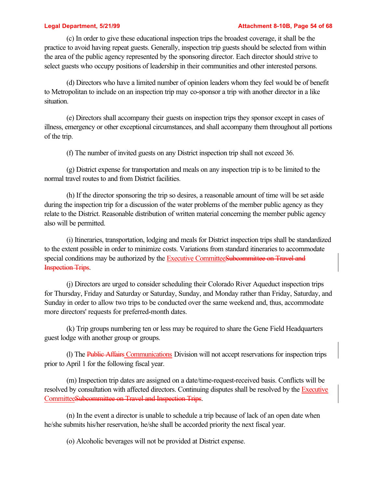#### **Legal Department, 5/21/99 Attachment 8-10B, Page 54 of 68**

(c) In order to give these educational inspection trips the broadest coverage, it shall be the practice to avoid having repeat guests. Generally, inspection trip guests should be selected from within the area of the public agency represented by the sponsoring director. Each director should strive to select guests who occupy positions of leadership in their communities and other interested persons.

(d) Directors who have a limited number of opinion leaders whom they feel would be of benefit to Metropolitan to include on an inspection trip may co-sponsor a trip with another director in a like situation.

(e) Directors shall accompany their guests on inspection trips they sponsor except in cases of illness, emergency or other exceptional circumstances, and shall accompany them throughout all portions of the trip.

(f) The number of invited guests on any District inspection trip shall not exceed 36.

(g) District expense for transportation and meals on any inspection trip is to be limited to the normal travel routes to and from District facilities.

(h) If the director sponsoring the trip so desires, a reasonable amount of time will be set aside during the inspection trip for a discussion of the water problems of the member public agency as they relate to the District. Reasonable distribution of written material concerning the member public agency also will be permitted.

(i) Itineraries, transportation, lodging and meals for District inspection trips shall be standardized to the extent possible in order to minimize costs. Variations from standard itineraries to accommodate special conditions may be authorized by the Executive CommitteeSubcommittee on Travel and Inspection Trips.

(j) Directors are urged to consider scheduling their Colorado River Aqueduct inspection trips for Thursday, Friday and Saturday or Saturday, Sunday, and Monday rather than Friday, Saturday, and Sunday in order to allow two trips to be conducted over the same weekend and, thus, accommodate more directors' requests for preferred-month dates.

(k) Trip groups numbering ten or less may be required to share the Gene Field Headquarters guest lodge with another group or groups.

(l) The Public Affairs Communications Division will not accept reservations for inspection trips prior to April 1 for the following fiscal year.

(m) Inspection trip dates are assigned on a date/time-request-received basis. Conflicts will be resolved by consultation with affected directors. Continuing disputes shall be resolved by the Executive CommitteeSubcommittee on Travel and Inspection Trips.

(n) In the event a director is unable to schedule a trip because of lack of an open date when he/she submits his/her reservation, he/she shall be accorded priority the next fiscal year.

(o) Alcoholic beverages will not be provided at District expense.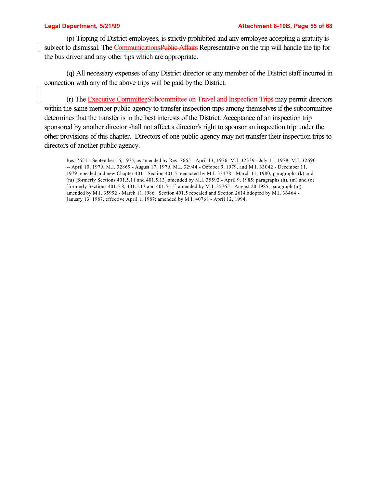(p) Tipping of District employees, is strictly prohibited and any employee accepting a gratuity is subject to dismissal. The CommunicationsPublic Affairs Representative on the trip will handle the tip for the bus driver and any other tips which are appropriate.

(q) All necessary expenses of any District director or any member of the District staff incurred in connection with any of the above trips will be paid by the District.

(r) The Executive CommitteeSubcommittee on Travel and Inspection Trips may permit directors within the same member public agency to transfer inspection trips among themselves if the subcommittee determines that the transfer is in the best interests of the District. Acceptance of an inspection trip sponsored by another director shall not affect a director's right to sponsor an inspection trip under the other provisions of this chapter. Directors of one public agency may not transfer their inspection trips to directors of another public agency.

Res. 7651 - September 16, 1975, as amended by Res. 7665 - April 13, 1976, M.I. 32339 - July 11, 1978, M.I. 32690 -- April 10, 1979, M.I. 32869 - August 17, 1979, M.I. 32944 - October 9, 1979, and M.I. 33042 - December 11, 1979 repealed and new Chapter 401 - Section 401.5 reenacted by M.I. 33178 - March 11, 1980; paragraphs (k) and (m) [formerly Sections 401.5.11 and 401.5.13] amended by M.I. 35592 - April 9, 1985; paragraphs (h), (m) and (o) [formerly Sections 401.5.8, 401.5.13 and 401.5.15] amended by M.I. 35765 - August 20, l985; paragraph (m) amended by M.I. 35992 - March 11, l986. Section 401.5 repealed and Section 2614 adopted by M.I. 36464 - January 13, 1987, effective April 1, 1987; amended by M.I. 40768 - April 12, 1994.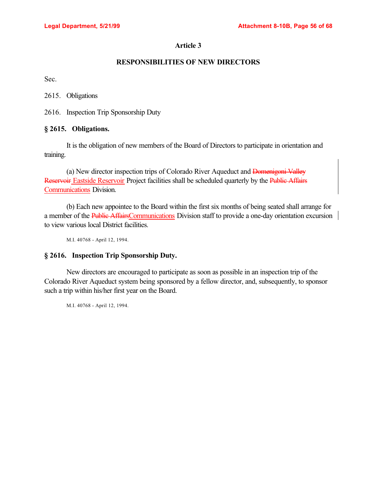## **RESPONSIBILITIES OF NEW DIRECTORS**

Sec.

2615. Obligations

2616. Inspection Trip Sponsorship Duty

## **§ 2615. Obligations.**

It is the obligation of new members of the Board of Directors to participate in orientation and training.

(a) New director inspection trips of Colorado River Aqueduct and Domenigoni Valley Reservoir Eastside Reservoir Project facilities shall be scheduled quarterly by the Public Affairs Communications Division.

(b) Each new appointee to the Board within the first six months of being seated shall arrange for a member of the Public AffairsCommunications Division staff to provide a one-day orientation excursion to view various local District facilities.

M.I. 40768 - April 12, 1994.

### **§ 2616. Inspection Trip Sponsorship Duty.**

New directors are encouraged to participate as soon as possible in an inspection trip of the Colorado River Aqueduct system being sponsored by a fellow director, and, subsequently, to sponsor such a trip within his/her first year on the Board.

M.I. 40768 - April 12, 1994.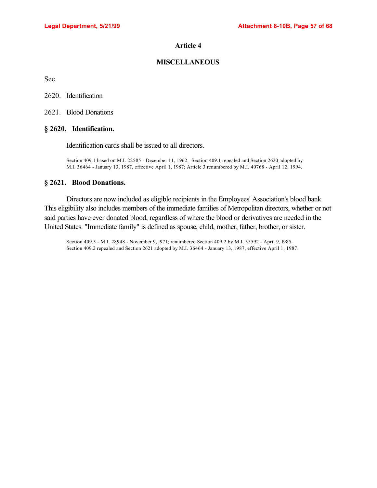## **MISCELLANEOUS**

Sec.

2620. Identification

2621. Blood Donations

#### **§ 2620. Identification.**

Identification cards shall be issued to all directors.

Section 409.1 based on M.I. 22585 - December 11, 1962. Section 409.1 repealed and Section 2620 adopted by M.I. 36464 - January 13, 1987, effective April 1, 1987; Article 3 renumbered by M.I. 40768 - April 12, 1994.

### **§ 2621. Blood Donations.**

Directors are now included as eligible recipients in the Employees' Association's blood bank. This eligibility also includes members of the immediate families of Metropolitan directors, whether or not said parties have ever donated blood, regardless of where the blood or derivatives are needed in the United States. "Immediate family" is defined as spouse, child, mother, father, brother, or sister.

Section 409.3 - M.I. 28948 - November 9, l971; renumbered Section 409.2 by M.I. 35592 - April 9, l985. Section 409.2 repealed and Section 2621 adopted by M.I. 36464 - January 13, 1987, effective April 1, 1987.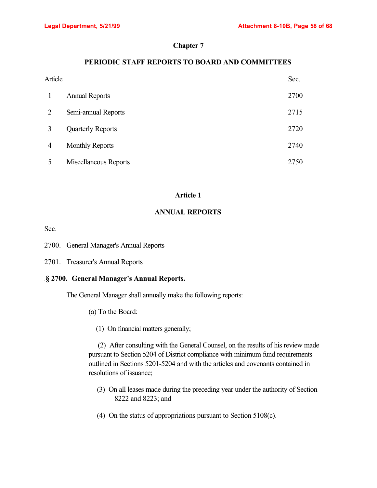## **Chapter 7**

## **PERIODIC STAFF REPORTS TO BOARD AND COMMITTEES**

| Article        |                          | Sec. |
|----------------|--------------------------|------|
|                | <b>Annual Reports</b>    | 2700 |
| $\overline{2}$ | Semi-annual Reports      | 2715 |
| 3              | <b>Quarterly Reports</b> | 2720 |
| 4              | <b>Monthly Reports</b>   | 2740 |
|                | Miscellaneous Reports    | 2750 |

## **Article 1**

## **ANNUAL REPORTS**

Sec.

2700. General Manager's Annual Reports

2701. Treasurer's Annual Reports

## .**§ 2700. General Manager's Annual Reports.**

The General Manager shall annually make the following reports:

- (a) To the Board:
	- (1) On financial matters generally;

 (2) After consulting with the General Counsel, on the results of his review made pursuant to Section 5204 of District compliance with minimum fund requirements outlined in Sections 5201-5204 and with the articles and covenants contained in resolutions of issuance;

- (3) On all leases made during the preceding year under the authority of Section 8222 and 8223; and
- (4) On the status of appropriations pursuant to Section 5108(c).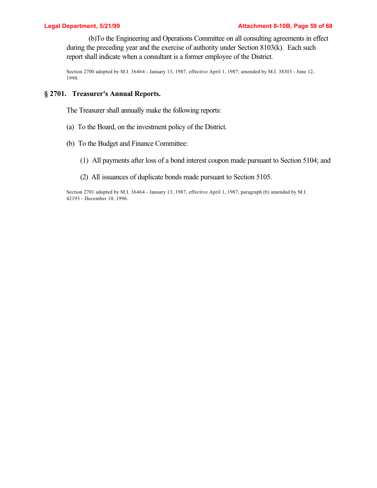(b)To the Engineering and Operations Committee on all consulting agreements in effect during the preceding year and the exercise of authority under Section 8103(k). Each such report shall indicate when a consultant is a former employee of the District.

Section 2700 adopted by M.I. 36464 - January 13, 1987, effective April 1, 1987; amended by M.I. 38303 - June 12, 1990.

## **§ 2701. Treasurer's Annual Reports.**

The Treasurer shall annually make the following reports:

- (a) To the Board, on the investment policy of the District.
- (b) To the Budget and Finance Committee:
	- (1) All payments after loss of a bond interest coupon made pursuant to Section 5104; and
	- (2) All issuances of duplicate bonds made pursuant to Section 5105.

Section 2701 adopted by M.I. 36464 - January 13, 1987, effective April 1, 1987; paragraph (b) amended by M.I. 42193 - December 10, 1996.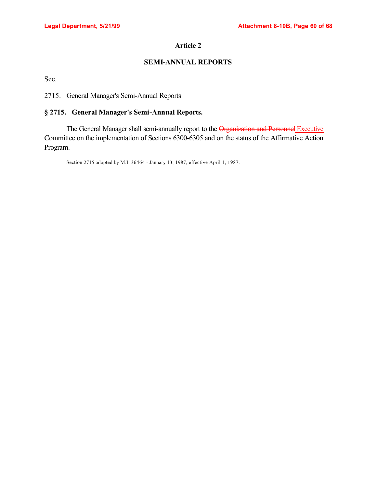# **SEMI-ANNUAL REPORTS**

Sec.

2715. General Manager's Semi-Annual Reports

# **§ 2715. General Manager's Semi-Annual Reports.**

The General Manager shall semi-annually report to the Organization and Personnel Executive Committee on the implementation of Sections 6300-6305 and on the status of the Affirmative Action Program.

Section 2715 adopted by M.I. 36464 - January 13, 1987, effective April 1, 1987.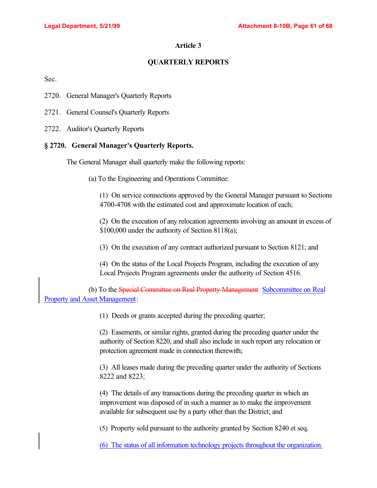## **QUARTERLY REPORTS**

Sec.

- 2720. General Manager's Quarterly Reports
- 2721. General Counsel's Quarterly Reports
- 2722. Auditor's Quarterly Reports

### **§ 2720. General Manager's Quarterly Reports.**

The General Manager shall quarterly make the following reports:

(a) To the Engineering and Operations Committee:

(1) On service connections approved by the General Manager pursuant to Sections 4700-4708 with the estimated cost and approximate location of each;

(2) On the execution of any relocation agreements involving an amount in excess of \$100,000 under the authority of Section 8118(a);

(3) On the execution of any contract authorized pursuant to Section 8121; and

(4) On the status of the Local Projects Program, including the execution of any Local Projects Program agreements under the authority of Section 4516.

(b) To the Special Committee on Real Property Management Subcommittee on Real Property and Asset Management:

(1) Deeds or grants accepted during the preceding quarter;

(2) Easements, or similar rights, granted during the preceding quarter under the authority of Section 8220, and shall also include in such report any relocation or protection agreement made in connection therewith;

(3) All leases made during the preceding quarter under the authority of Sections 8222 and 8223;

(4) The details of any transactions during the preceding quarter in which an improvement was disposed of in such a manner as to make the improvement available for subsequent use by a party other than the District; and

(5) Property sold pursuant to the authority granted by Section 8240 et seq.

(6) The status of all information technology projects throughout the organization.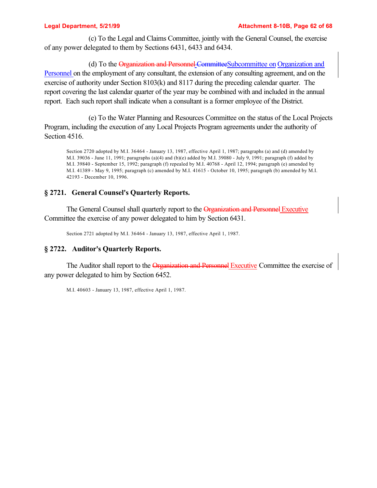(c) To the Legal and Claims Committee, jointly with the General Counsel, the exercise of any power delegated to them by Sections 6431, 6433 and 6434.

(d) To the Organization and Personnel Committee Subcommittee on Organization and Personnel on the employment of any consultant, the extension of any consulting agreement, and on the exercise of authority under Section 8103(k) and 8117 during the preceding calendar quarter. The report covering the last calendar quarter of the year may be combined with and included in the annual report. Each such report shall indicate when a consultant is a former employee of the District.

(e) To the Water Planning and Resources Committee on the status of the Local Projects Program, including the execution of any Local Projects Program agreements under the authority of Section 4516.

Section 2720 adopted by M.I. 36464 - January 13, 1987, effective April 1, 1987; paragraphs (a) and (d) amended by M.I. 39036 - June 11, 1991; paragraphs (a)(4) and (b)(e) added by M.I. 39080 - July 9, 1991; paragraph (f) added by M.I. 39840 - September 15, 1992; paragraph (f) repealed by M.I. 40768 - April 12, 1994; paragraph (e) amended by M.I. 41389 - May 9, 1995; paragraph (c) amended by M.I. 41615 - October 10, 1995; paragraph (b) amended by M.I. 42193 - December 10, 1996.

## **§ 2721. General Counsel's Quarterly Reports.**

The General Counsel shall quarterly report to the Organization and Personnel Executive Committee the exercise of any power delegated to him by Section 6431.

Section 2721 adopted by M.I. 36464 - January 13, 1987, effective April 1, 1987.

## **§ 2722. Auditor's Quarterly Reports.**

The Auditor shall report to the Organization and Personnel Executive Committee the exercise of any power delegated to him by Section 6452.

M.I. 40603 - January 13, 1987, effective April 1, 1987.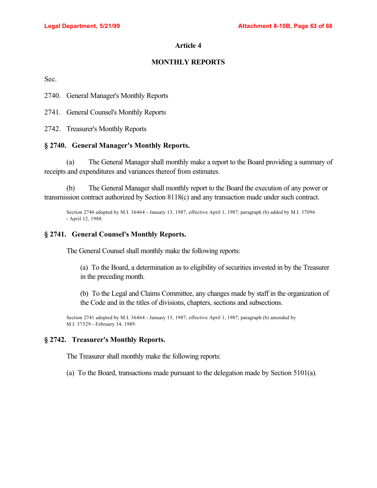# **MONTHLY REPORTS**

Sec.

2740. General Manager's Monthly Reports

2741. General Counsel's Monthly Reports

2742. Treasurer's Monthly Reports

## **§ 2740. General Manager's Monthly Reports.**

(a) The General Manager shall monthly make a report to the Board providing a summary of receipts and expenditures and variances thereof from estimates.

(b) The General Manager shall monthly report to the Board the execution of any power or transmission contract authorized by Section 8118(c) and any transaction made under such contract.

Section 2740 adopted by M.I. 36464 - January 13, 1987, effective April 1, 1987; paragraph (b) added by M.I. 37096 - April 12, 1988.

## **§ 2741. General Counsel's Monthly Reports.**

The General Counsel shall monthly make the following reports:

(a) To the Board, a determination as to eligibility of securities invested in by the Treasurer in the preceding month.

(b) To the Legal and Claims Committee, any changes made by staff in the organization of the Code and in the titles of divisions, chapters, sections and subsections.

Section 2741 adopted by M.I. 36464 - January 13, 1987, effective April 1, 1987; paragraph (b) amended by M.I. 37529 - February 14, 1989.

## **§ 2742. Treasurer's Monthly Reports.**

The Treasurer shall monthly make the following reports:

(a) To the Board, transactions made pursuant to the delegation made by Section 5101(a).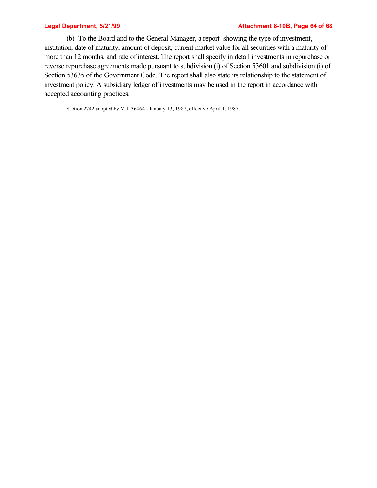#### **Legal Department, 5/21/99 Attachment 8-10B, Page 64 of 68**

(b) To the Board and to the General Manager, a report showing the type of investment, institution, date of maturity, amount of deposit, current market value for all securities with a maturity of more than 12 months, and rate of interest. The report shall specify in detail investments in repurchase or reverse repurchase agreements made pursuant to subdivision (i) of Section 53601 and subdivision (i) of Section 53635 of the Government Code. The report shall also state its relationship to the statement of investment policy. A subsidiary ledger of investments may be used in the report in accordance with accepted accounting practices.

Section 2742 adopted by M.I. 36464 - January 13, 1987, effective April 1, 1987.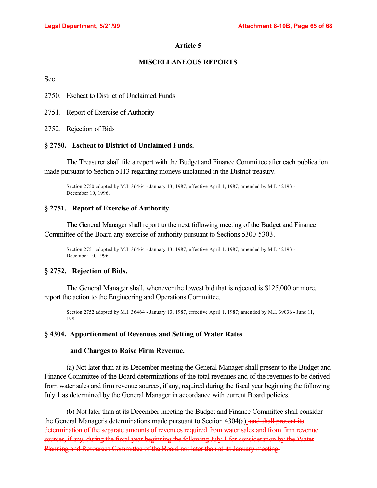## **MISCELLANEOUS REPORTS**

Sec.

2750. Escheat to District of Unclaimed Funds

2751. Report of Exercise of Authority

2752. Rejection of Bids

### **§ 2750. Escheat to District of Unclaimed Funds.**

The Treasurer shall file a report with the Budget and Finance Committee after each publication made pursuant to Section 5113 regarding moneys unclaimed in the District treasury.

Section 2750 adopted by M.I. 36464 - January 13, 1987, effective April 1, 1987; amended by M.I. 42193 - December 10, 1996.

## **§ 2751. Report of Exercise of Authority.**

The General Manager shall report to the next following meeting of the Budget and Finance Committee of the Board any exercise of authority pursuant to Sections 5300-5303.

Section 2751 adopted by M.I. 36464 - January 13, 1987, effective April 1, 1987; amended by M.I. 42193 - December 10, 1996.

## **§ 2752. Rejection of Bids.**

The General Manager shall, whenever the lowest bid that is rejected is \$125,000 or more, report the action to the Engineering and Operations Committee.

Section 2752 adopted by M.I. 36464 - January 13, 1987, effective April 1, 1987; amended by M.I. 39036 - June 11, 1991.

### **§ 4304. Apportionment of Revenues and Setting of Water Rates**

### **and Charges to Raise Firm Revenue.**

(a) Not later than at its December meeting the General Manager shall present to the Budget and Finance Committee of the Board determinations of the total revenues and of the revenues to be derived from water sales and firm revenue sources, if any, required during the fiscal year beginning the following July 1 as determined by the General Manager in accordance with current Board policies.

(b) Not later than at its December meeting the Budget and Finance Committee shall consider the General Manager's determinations made pursuant to Section 4304(a). and shall present its determination of the separate amounts of revenues required from water sales and from firm revenue sources, if any, during the fiscal year beginning the following July 1 for consideration by the Water Planning and Resources Committee of the Board not later than at its January meeting.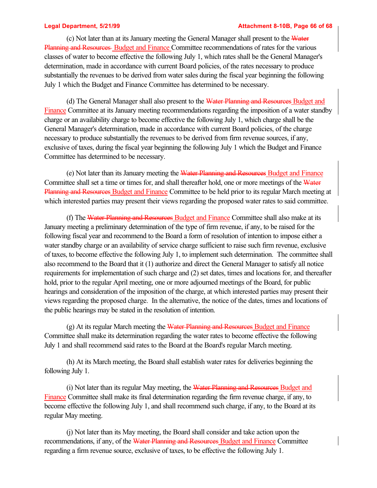#### **Legal Department, 5/21/99 Attachment 8-10B, Page 66 of 68**

(c) Not later than at its January meeting the General Manager shall present to the Water Planning and Resources Budget and Finance Committee recommendations of rates for the various classes of water to become effective the following July 1, which rates shall be the General Manager's determination, made in accordance with current Board policies, of the rates necessary to produce substantially the revenues to be derived from water sales during the fiscal year beginning the following July 1 which the Budget and Finance Committee has determined to be necessary.

(d) The General Manager shall also present to the Water Planning and Resources Budget and Finance Committee at its January meeting recommendations regarding the imposition of a water standby charge or an availability charge to become effective the following July 1, which charge shall be the General Manager's determination, made in accordance with current Board policies, of the charge necessary to produce substantially the revenues to be derived from firm revenue sources, if any, exclusive of taxes, during the fiscal year beginning the following July 1 which the Budget and Finance Committee has determined to be necessary.

(e) Not later than its January meeting the Water Planning and Resources Budget and Finance Committee shall set a time or times for, and shall thereafter hold, one or more meetings of the Water Planning and Resources Budget and Finance Committee to be held prior to its regular March meeting at which interested parties may present their views regarding the proposed water rates to said committee.

(f) The Water Planning and Resources Budget and Finance Committee shall also make at its January meeting a preliminary determination of the type of firm revenue, if any, to be raised for the following fiscal year and recommend to the Board a form of resolution of intention to impose either a water standby charge or an availability of service charge sufficient to raise such firm revenue, exclusive of taxes, to become effective the following July 1, to implement such determination. The committee shall also recommend to the Board that it (1) authorize and direct the General Manager to satisfy all notice requirements for implementation of such charge and (2) set dates, times and locations for, and thereafter hold, prior to the regular April meeting, one or more adjourned meetings of the Board, for public hearings and consideration of the imposition of the charge, at which interested parties may present their views regarding the proposed charge. In the alternative, the notice of the dates, times and locations of the public hearings may be stated in the resolution of intention.

(g) At its regular March meeting the Water Planning and Resources Budget and Finance Committee shall make its determination regarding the water rates to become effective the following July 1 and shall recommend said rates to the Board at the Board's regular March meeting.

(h) At its March meeting, the Board shall establish water rates for deliveries beginning the following July 1.

(i) Not later than its regular May meeting, the Water Planning and Resources Budget and Finance Committee shall make its final determination regarding the firm revenue charge, if any, to become effective the following July 1, and shall recommend such charge, if any, to the Board at its regular May meeting.

(j) Not later than its May meeting, the Board shall consider and take action upon the recommendations, if any, of the Water Planning and Resources Budget and Finance Committee regarding a firm revenue source, exclusive of taxes, to be effective the following July 1.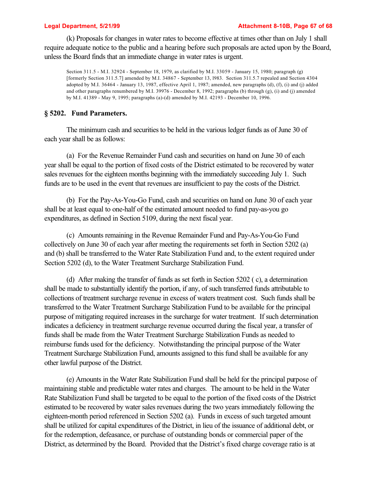(k) Proposals for changes in water rates to become effective at times other than on July 1 shall require adequate notice to the public and a hearing before such proposals are acted upon by the Board, unless the Board finds that an immediate change in water rates is urgent.

Section 311.5 - M.I. 32924 - September 18, 1979, as clarified by M.I. 33059 - January 15, 1980; paragraph (g) [formerly Section 311.5.7] amended by M.I. 34867 - September 13, l983. Section 311.5.7 repealed and Section 4304 adopted by M.I. 36464 - January 13, 1987, effective April 1, 1987; amended, new paragraphs (d), (f), (i) and (j) added and other paragraphs renumbered by M.I. 39976 - December 8, 1992; paragraphs (b) through (g), (i) and (j) amended by M.I. 41389 - May 9, 1995; paragraphs (a)-(d) amended by M.I. 42193 - December 10, 1996.

### **§ 5202. Fund Parameters.**

The minimum cash and securities to be held in the various ledger funds as of June 30 of each year shall be as follows:

(a) For the Revenue Remainder Fund cash and securities on hand on June 30 of each year shall be equal to the portion of fixed costs of the District estimated to be recovered by water sales revenues for the eighteen months beginning with the immediately succeeding July 1. Such funds are to be used in the event that revenues are insufficient to pay the costs of the District.

(b) For the Pay-As-You-Go Fund, cash and securities on hand on June 30 of each year shall be at least equal to one-half of the estimated amount needed to fund pay-as-you go expenditures, as defined in Section 5109, during the next fiscal year.

(c) Amounts remaining in the Revenue Remainder Fund and Pay-As-You-Go Fund collectively on June 30 of each year after meeting the requirements set forth in Section 5202 (a) and (b) shall be transferred to the Water Rate Stabilization Fund and, to the extent required under Section 5202 (d), to the Water Treatment Surcharge Stabilization Fund.

(d) After making the transfer of funds as set forth in Section 5202 ( c), a determination shall be made to substantially identify the portion, if any, of such transferred funds attributable to collections of treatment surcharge revenue in excess of waters treatment cost. Such funds shall be transferred to the Water Treatment Surcharge Stabilization Fund to be available for the principal purpose of mitigating required increases in the surcharge for water treatment. If such determination indicates a deficiency in treatment surcharge revenue occurred during the fiscal year, a transfer of funds shall be made from the Water Treatment Surcharge Stabilization Funds as needed to reimburse funds used for the deficiency. Notwithstanding the principal purpose of the Water Treatment Surcharge Stabilization Fund, amounts assigned to this fund shall be available for any other lawful purpose of the District.

(e) Amounts in the Water Rate Stabilization Fund shall be held for the principal purpose of maintaining stable and predictable water rates and charges. The amount to be held in the Water Rate Stabilization Fund shall be targeted to be equal to the portion of the fixed costs of the District estimated to be recovered by water sales revenues during the two years immediately following the eighteen-month period referenced in Section 5202 (a). Funds in excess of such targeted amount shall be utilized for capital expenditures of the District, in lieu of the issuance of additional debt, or for the redemption, defeasance, or purchase of outstanding bonds or commercial paper of the District, as determined by the Board. Provided that the District's fixed charge coverage ratio is at